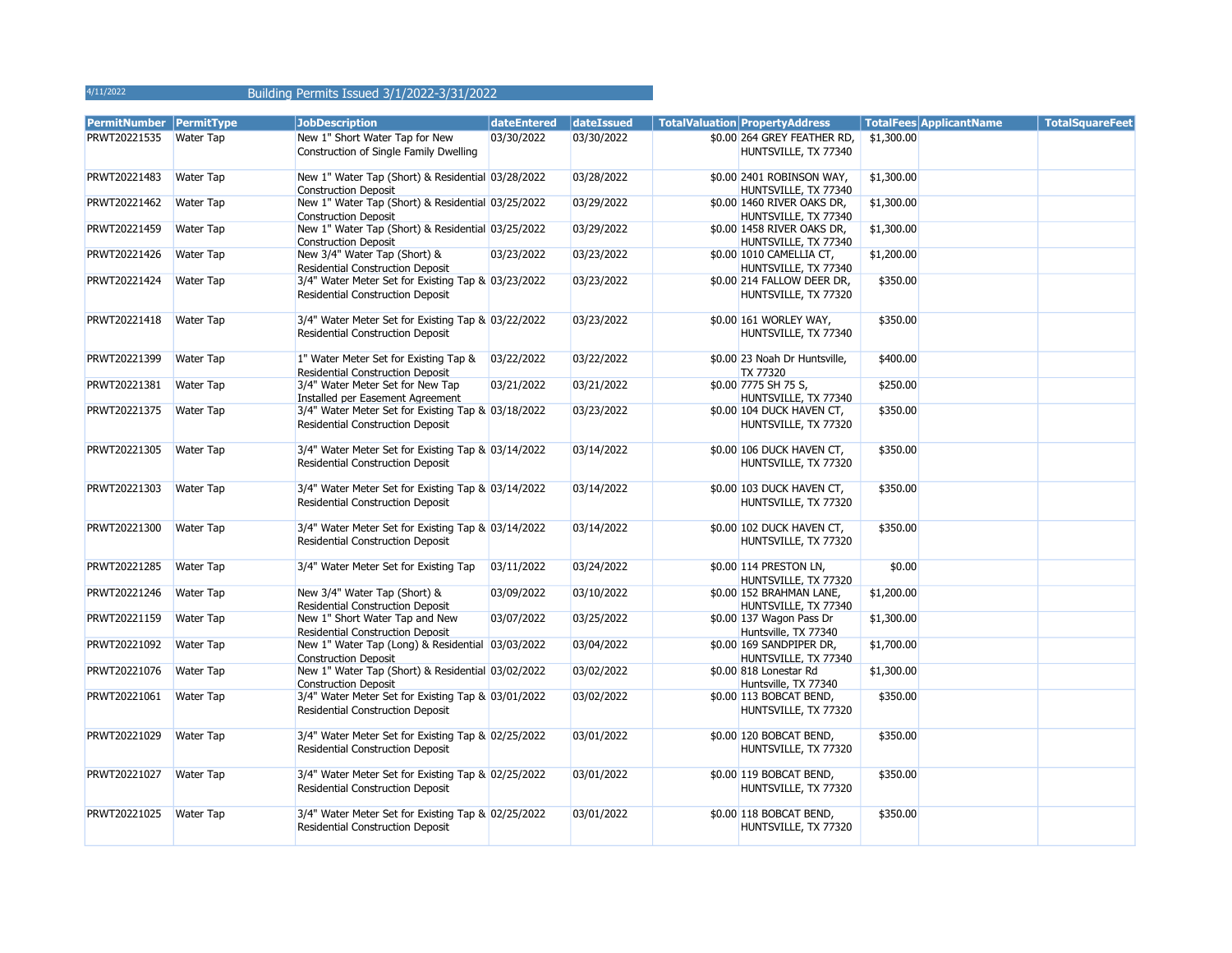# Building Permits Issued 3/1/2022-3/31/2022

| PermitNumber   PermitType |                  | <b>JobDescription</b>                                            | dateEntered | dateIssued | <b>TotalValuation PropertyAddress</b>            |            | <b>TotalFees ApplicantName</b> | <b>TotalSquareFeet</b> |
|---------------------------|------------------|------------------------------------------------------------------|-------------|------------|--------------------------------------------------|------------|--------------------------------|------------------------|
| PRWT20221535              | <b>Water Tap</b> | New 1" Short Water Tap for New                                   | 03/30/2022  | 03/30/2022 | \$0.00 264 GREY FEATHER RD,                      | \$1,300.00 |                                |                        |
|                           |                  | Construction of Single Family Dwelling                           |             |            | HUNTSVILLE, TX 77340                             |            |                                |                        |
| PRWT20221483              | <b>Water Tap</b> | New 1" Water Tap (Short) & Residential 03/28/2022                |             | 03/28/2022 | \$0.00 2401 ROBINSON WAY,                        | \$1,300.00 |                                |                        |
|                           |                  | <b>Construction Deposit</b>                                      |             |            | HUNTSVILLE, TX 77340                             |            |                                |                        |
| PRWT20221462              | <b>Water Tap</b> | New 1" Water Tap (Short) & Residential 03/25/2022                |             | 03/29/2022 | \$0.00 1460 RIVER OAKS DR,                       | \$1,300.00 |                                |                        |
|                           |                  | <b>Construction Deposit</b>                                      |             |            | HUNTSVILLE, TX 77340                             |            |                                |                        |
| PRWT20221459              | <b>Water Tap</b> | New 1" Water Tap (Short) & Residential 03/25/2022                |             | 03/29/2022 | \$0.00 1458 RIVER OAKS DR,                       | \$1,300.00 |                                |                        |
|                           |                  | <b>Construction Deposit</b>                                      |             |            | HUNTSVILLE, TX 77340                             |            |                                |                        |
| PRWT20221426              | <b>Water Tap</b> | New 3/4" Water Tap (Short) &                                     | 03/23/2022  | 03/23/2022 | \$0.00 1010 CAMELLIA CT,                         | \$1,200.00 |                                |                        |
|                           |                  | Residential Construction Deposit                                 |             |            | HUNTSVILLE, TX 77340                             |            |                                |                        |
| PRWT20221424              | <b>Water Tap</b> | 3/4" Water Meter Set for Existing Tap & 03/23/2022               |             | 03/23/2022 | \$0.00 214 FALLOW DEER DR,                       | \$350.00   |                                |                        |
|                           |                  | Residential Construction Deposit                                 |             |            | HUNTSVILLE, TX 77320                             |            |                                |                        |
| PRWT20221418              | <b>Water Tap</b> | 3/4" Water Meter Set for Existing Tap & 03/22/2022               |             | 03/23/2022 | \$0.00 161 WORLEY WAY,                           | \$350.00   |                                |                        |
|                           |                  | Residential Construction Deposit                                 |             |            | HUNTSVILLE, TX 77340                             |            |                                |                        |
|                           |                  |                                                                  |             |            |                                                  |            |                                |                        |
| PRWT20221399              | <b>Water Tap</b> | 1" Water Meter Set for Existing Tap &                            | 03/22/2022  | 03/22/2022 | \$0.00 23 Noah Dr Huntsville,                    | \$400.00   |                                |                        |
|                           |                  | <b>Residential Construction Deposit</b>                          |             |            | TX 77320                                         |            |                                |                        |
| PRWT20221381              | <b>Water Tap</b> | 3/4" Water Meter Set for New Tap                                 | 03/21/2022  | 03/21/2022 | \$0.00 7775 SH 75 S,                             | \$250.00   |                                |                        |
|                           |                  | Installed per Easement Agreement                                 |             |            | HUNTSVILLE, TX 77340                             |            |                                |                        |
| PRWT20221375              | <b>Water Tap</b> | 3/4" Water Meter Set for Existing Tap & 03/18/2022               |             | 03/23/2022 | \$0.00 104 DUCK HAVEN CT,                        | \$350.00   |                                |                        |
|                           |                  | <b>Residential Construction Deposit</b>                          |             |            | HUNTSVILLE, TX 77320                             |            |                                |                        |
| PRWT20221305              | <b>Water Tap</b> | 3/4" Water Meter Set for Existing Tap & 03/14/2022               |             | 03/14/2022 | \$0.00 106 DUCK HAVEN CT,                        | \$350.00   |                                |                        |
|                           |                  | <b>Residential Construction Deposit</b>                          |             |            | HUNTSVILLE, TX 77320                             |            |                                |                        |
|                           |                  |                                                                  |             |            |                                                  |            |                                |                        |
| PRWT20221303              | <b>Water Tap</b> | 3/4" Water Meter Set for Existing Tap & 03/14/2022               |             | 03/14/2022 | \$0.00 103 DUCK HAVEN CT,                        | \$350.00   |                                |                        |
|                           |                  | <b>Residential Construction Deposit</b>                          |             |            | HUNTSVILLE, TX 77320                             |            |                                |                        |
|                           |                  |                                                                  |             |            |                                                  |            |                                |                        |
| PRWT20221300              | <b>Water Tap</b> | 3/4" Water Meter Set for Existing Tap & 03/14/2022               |             | 03/14/2022 | \$0.00 102 DUCK HAVEN CT,                        | \$350.00   |                                |                        |
|                           |                  | <b>Residential Construction Deposit</b>                          |             |            | HUNTSVILLE, TX 77320                             |            |                                |                        |
|                           |                  |                                                                  |             |            |                                                  |            |                                |                        |
| PRWT20221285              | <b>Water Tap</b> | 3/4" Water Meter Set for Existing Tap                            | 03/11/2022  | 03/24/2022 | \$0.00 114 PRESTON LN,                           | \$0.00     |                                |                        |
|                           |                  |                                                                  |             |            | HUNTSVILLE, TX 77320                             |            |                                |                        |
| PRWT20221246              | <b>Water Tap</b> | New 3/4" Water Tap (Short) &<br>Residential Construction Deposit | 03/09/2022  | 03/10/2022 | \$0.00 152 BRAHMAN LANE,<br>HUNTSVILLE, TX 77340 | \$1,200.00 |                                |                        |
| PRWT20221159              | <b>Water Tap</b> | New 1" Short Water Tap and New                                   | 03/07/2022  | 03/25/2022 | \$0.00 137 Wagon Pass Dr                         | \$1,300.00 |                                |                        |
|                           |                  | <b>Residential Construction Deposit</b>                          |             |            | Huntsville, TX 77340                             |            |                                |                        |
| PRWT20221092              | <b>Water Tap</b> | New 1" Water Tap (Long) & Residential 03/03/2022                 |             | 03/04/2022 | \$0.00 169 SANDPIPER DR,                         | \$1,700.00 |                                |                        |
|                           |                  | <b>Construction Deposit</b>                                      |             |            | HUNTSVILLE, TX 77340                             |            |                                |                        |
| PRWT20221076              | <b>Water Tap</b> | New 1" Water Tap (Short) & Residential 03/02/2022                |             | 03/02/2022 | \$0.00 818 Lonestar Rd                           | \$1,300.00 |                                |                        |
|                           |                  | <b>Construction Deposit</b>                                      |             |            | Huntsville, TX 77340                             |            |                                |                        |
| PRWT20221061              | <b>Water Tap</b> | 3/4" Water Meter Set for Existing Tap & 03/01/2022               |             | 03/02/2022 | \$0.00 113 BOBCAT BEND,                          | \$350.00   |                                |                        |
|                           |                  | Residential Construction Deposit                                 |             |            | HUNTSVILLE, TX 77320                             |            |                                |                        |
|                           |                  |                                                                  |             |            |                                                  |            |                                |                        |
| PRWT20221029              | <b>Water Tap</b> | 3/4" Water Meter Set for Existing Tap & 02/25/2022               |             | 03/01/2022 | \$0.00 120 BOBCAT BEND,                          | \$350.00   |                                |                        |
|                           |                  | Residential Construction Deposit                                 |             |            | HUNTSVILLE, TX 77320                             |            |                                |                        |
| PRWT20221027              | <b>Water Tap</b> | 3/4" Water Meter Set for Existing Tap & 02/25/2022               |             | 03/01/2022 | \$0.00 119 BOBCAT BEND,                          | \$350.00   |                                |                        |
|                           |                  | Residential Construction Deposit                                 |             |            | HUNTSVILLE, TX 77320                             |            |                                |                        |
|                           |                  |                                                                  |             |            |                                                  |            |                                |                        |
| PRWT20221025              | <b>Water Tap</b> | 3/4" Water Meter Set for Existing Tap & 02/25/2022               |             | 03/01/2022 | \$0.00 118 BOBCAT BEND,                          | \$350.00   |                                |                        |
|                           |                  | Residential Construction Deposit                                 |             |            | HUNTSVILLE, TX 77320                             |            |                                |                        |
|                           |                  |                                                                  |             |            |                                                  |            |                                |                        |

4/11/2022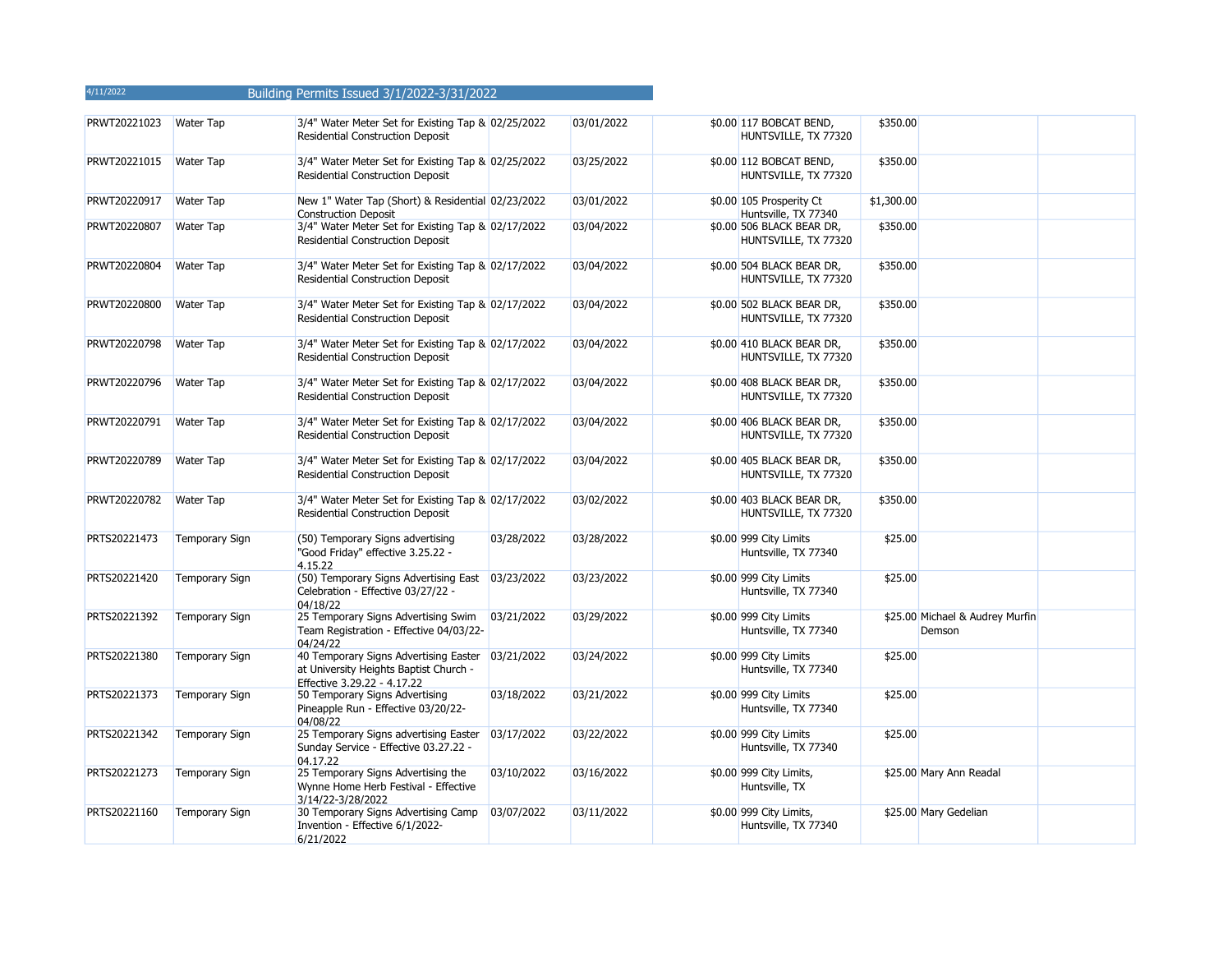| PRWT20221023 | <b>Water Tap</b>      | 3/4" Water Meter Set for Existing Tap & 02/25/2022<br><b>Residential Construction Deposit</b>                             |            | 03/01/2022 | \$0.00 117 BOBCAT BEND,<br>HUNTSVILLE, TX 77320   | \$350.00   |                                           |  |
|--------------|-----------------------|---------------------------------------------------------------------------------------------------------------------------|------------|------------|---------------------------------------------------|------------|-------------------------------------------|--|
| PRWT20221015 | <b>Water Tap</b>      | 3/4" Water Meter Set for Existing Tap & 02/25/2022<br><b>Residential Construction Deposit</b>                             |            | 03/25/2022 | \$0.00 112 BOBCAT BEND,<br>HUNTSVILLE, TX 77320   | \$350.00   |                                           |  |
| PRWT20220917 | Water Tap             | New 1" Water Tap (Short) & Residential 02/23/2022<br><b>Construction Deposit</b>                                          |            | 03/01/2022 | \$0.00 105 Prosperity Ct<br>Huntsville, TX 77340  | \$1,300.00 |                                           |  |
| PRWT20220807 | Water Tap             | 3/4" Water Meter Set for Existing Tap & 02/17/2022<br>Residential Construction Deposit                                    |            | 03/04/2022 | \$0.00 506 BLACK BEAR DR,<br>HUNTSVILLE, TX 77320 | \$350.00   |                                           |  |
| PRWT20220804 | <b>Water Tap</b>      | 3/4" Water Meter Set for Existing Tap & 02/17/2022<br>Residential Construction Deposit                                    |            | 03/04/2022 | \$0.00 504 BLACK BEAR DR,<br>HUNTSVILLE, TX 77320 | \$350.00   |                                           |  |
| PRWT20220800 | <b>Water Tap</b>      | 3/4" Water Meter Set for Existing Tap & 02/17/2022<br>Residential Construction Deposit                                    |            | 03/04/2022 | \$0.00 502 BLACK BEAR DR,<br>HUNTSVILLE, TX 77320 | \$350.00   |                                           |  |
| PRWT20220798 | Water Tap             | 3/4" Water Meter Set for Existing Tap & 02/17/2022<br>Residential Construction Deposit                                    |            | 03/04/2022 | \$0.00 410 BLACK BEAR DR,<br>HUNTSVILLE, TX 77320 | \$350.00   |                                           |  |
| PRWT20220796 | <b>Water Tap</b>      | 3/4" Water Meter Set for Existing Tap & 02/17/2022<br>Residential Construction Deposit                                    |            | 03/04/2022 | \$0.00 408 BLACK BEAR DR,<br>HUNTSVILLE, TX 77320 | \$350.00   |                                           |  |
| PRWT20220791 | <b>Water Tap</b>      | 3/4" Water Meter Set for Existing Tap & 02/17/2022<br>Residential Construction Deposit                                    |            | 03/04/2022 | \$0.00 406 BLACK BEAR DR,<br>HUNTSVILLE, TX 77320 | \$350.00   |                                           |  |
| PRWT20220789 | <b>Water Tap</b>      | 3/4" Water Meter Set for Existing Tap & 02/17/2022<br>Residential Construction Deposit                                    |            | 03/04/2022 | \$0.00 405 BLACK BEAR DR,<br>HUNTSVILLE, TX 77320 | \$350.00   |                                           |  |
| PRWT20220782 | <b>Water Tap</b>      | 3/4" Water Meter Set for Existing Tap & 02/17/2022<br>Residential Construction Deposit                                    |            | 03/02/2022 | \$0.00 403 BLACK BEAR DR,<br>HUNTSVILLE, TX 77320 | \$350.00   |                                           |  |
| PRTS20221473 | <b>Temporary Sign</b> | (50) Temporary Signs advertising<br>"Good Friday" effective 3.25.22 -<br>4.15.22                                          | 03/28/2022 | 03/28/2022 | \$0.00 999 City Limits<br>Huntsville, TX 77340    | \$25.00    |                                           |  |
| PRTS20221420 | <b>Temporary Sign</b> | (50) Temporary Signs Advertising East 03/23/2022<br>Celebration - Effective 03/27/22 -<br>04/18/22                        |            | 03/23/2022 | \$0.00 999 City Limits<br>Huntsville, TX 77340    | \$25.00    |                                           |  |
| PRTS20221392 | <b>Temporary Sign</b> | 25 Temporary Signs Advertising Swim 03/21/2022<br>Team Registration - Effective 04/03/22-<br>04/24/22                     |            | 03/29/2022 | \$0.00 999 City Limits<br>Huntsville, TX 77340    |            | \$25.00 Michael & Audrey Murfin<br>Demson |  |
| PRTS20221380 | <b>Temporary Sign</b> | 40 Temporary Signs Advertising Easter 03/21/2022<br>at University Heights Baptist Church -<br>Effective 3.29.22 - 4.17.22 |            | 03/24/2022 | \$0.00 999 City Limits<br>Huntsville, TX 77340    | \$25.00    |                                           |  |
| PRTS20221373 | <b>Temporary Sign</b> | 50 Temporary Signs Advertising<br>Pineapple Run - Effective 03/20/22-<br>04/08/22                                         | 03/18/2022 | 03/21/2022 | \$0.00 999 City Limits<br>Huntsville, TX 77340    | \$25.00    |                                           |  |
| PRTS20221342 | <b>Temporary Sign</b> | 25 Temporary Signs advertising Easter 03/17/2022<br>Sunday Service - Effective 03.27.22 -<br>04.17.22                     |            | 03/22/2022 | \$0.00 999 City Limits<br>Huntsville, TX 77340    | \$25.00    |                                           |  |
| PRTS20221273 | <b>Temporary Sign</b> | 25 Temporary Signs Advertising the<br>Wynne Home Herb Festival - Effective<br>3/14/22-3/28/2022                           | 03/10/2022 | 03/16/2022 | \$0.00 999 City Limits,<br>Huntsville, TX         |            | \$25.00 Mary Ann Readal                   |  |
| PRTS20221160 | <b>Temporary Sign</b> | 30 Temporary Signs Advertising Camp<br>Invention - Effective 6/1/2022-<br>6/21/2022                                       | 03/07/2022 | 03/11/2022 | \$0.00 999 City Limits,<br>Huntsville, TX 77340   |            | \$25.00 Mary Gedelian                     |  |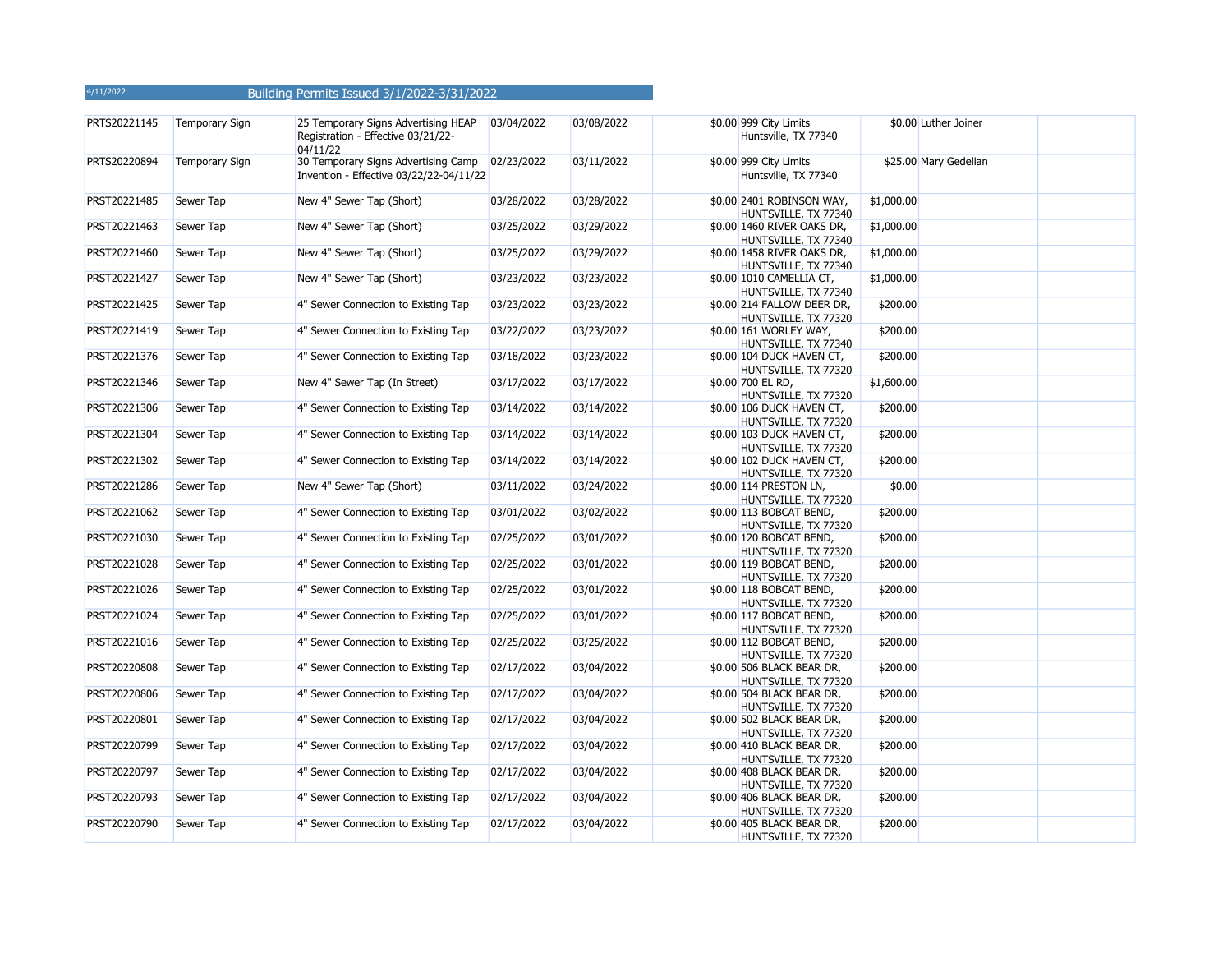| PRTS20221145 | <b>Temporary Sign</b> | 25 Temporary Signs Advertising HEAP<br>Registration - Effective 03/21/22-      | 03/04/2022 | 03/08/2022 | \$0.00 999 City Limits<br>Huntsville, TX 77340     |            | \$0.00 Luther Joiner  |  |
|--------------|-----------------------|--------------------------------------------------------------------------------|------------|------------|----------------------------------------------------|------------|-----------------------|--|
|              |                       | 04/11/22                                                                       |            |            |                                                    |            |                       |  |
| PRTS20220894 | <b>Temporary Sign</b> | 30 Temporary Signs Advertising Camp<br>Invention - Effective 03/22/22-04/11/22 | 02/23/2022 | 03/11/2022 | \$0.00 999 City Limits<br>Huntsville, TX 77340     |            | \$25.00 Mary Gedelian |  |
| PRST20221485 | Sewer Tap             | New 4" Sewer Tap (Short)                                                       | 03/28/2022 | 03/28/2022 | \$0.00 2401 ROBINSON WAY,<br>HUNTSVILLE, TX 77340  | \$1,000.00 |                       |  |
| PRST20221463 | Sewer Tap             | New 4" Sewer Tap (Short)                                                       | 03/25/2022 | 03/29/2022 | \$0.00 1460 RIVER OAKS DR,<br>HUNTSVILLE, TX 77340 | \$1,000.00 |                       |  |
| PRST20221460 | Sewer Tap             | New 4" Sewer Tap (Short)                                                       | 03/25/2022 | 03/29/2022 | \$0.00 1458 RIVER OAKS DR,<br>HUNTSVILLE, TX 77340 | \$1,000.00 |                       |  |
| PRST20221427 | Sewer Tap             | New 4" Sewer Tap (Short)                                                       | 03/23/2022 | 03/23/2022 | \$0.00 1010 CAMELLIA CT,<br>HUNTSVILLE, TX 77340   | \$1,000.00 |                       |  |
| PRST20221425 | Sewer Tap             | 4" Sewer Connection to Existing Tap                                            | 03/23/2022 | 03/23/2022 | \$0.00 214 FALLOW DEER DR,<br>HUNTSVILLE, TX 77320 | \$200.00   |                       |  |
| PRST20221419 | Sewer Tap             | 4" Sewer Connection to Existing Tap                                            | 03/22/2022 | 03/23/2022 | \$0.00 161 WORLEY WAY,<br>HUNTSVILLE, TX 77340     | \$200.00   |                       |  |
| PRST20221376 | Sewer Tap             | 4" Sewer Connection to Existing Tap                                            | 03/18/2022 | 03/23/2022 | \$0.00 104 DUCK HAVEN CT,<br>HUNTSVILLE, TX 77320  | \$200.00   |                       |  |
| PRST20221346 | Sewer Tap             | New 4" Sewer Tap (In Street)                                                   | 03/17/2022 | 03/17/2022 | \$0.00 700 EL RD,<br>HUNTSVILLE, TX 77320          | \$1,600.00 |                       |  |
| PRST20221306 | Sewer Tap             | 4" Sewer Connection to Existing Tap                                            | 03/14/2022 | 03/14/2022 | \$0.00 106 DUCK HAVEN CT,<br>HUNTSVILLE, TX 77320  | \$200.00   |                       |  |
| PRST20221304 | Sewer Tap             | 4" Sewer Connection to Existing Tap                                            | 03/14/2022 | 03/14/2022 | \$0.00 103 DUCK HAVEN CT,<br>HUNTSVILLE, TX 77320  | \$200.00   |                       |  |
| PRST20221302 | Sewer Tap             | 4" Sewer Connection to Existing Tap                                            | 03/14/2022 | 03/14/2022 | \$0.00 102 DUCK HAVEN CT,<br>HUNTSVILLE, TX 77320  | \$200.00   |                       |  |
| PRST20221286 | Sewer Tap             | New 4" Sewer Tap (Short)                                                       | 03/11/2022 | 03/24/2022 | \$0.00 114 PRESTON LN,<br>HUNTSVILLE, TX 77320     | \$0.00     |                       |  |
| PRST20221062 | Sewer Tap             | 4" Sewer Connection to Existing Tap                                            | 03/01/2022 | 03/02/2022 | \$0.00 113 BOBCAT BEND,<br>HUNTSVILLE, TX 77320    | \$200.00   |                       |  |
| PRST20221030 | Sewer Tap             | 4" Sewer Connection to Existing Tap                                            | 02/25/2022 | 03/01/2022 | \$0.00 120 BOBCAT BEND,<br>HUNTSVILLE, TX 77320    | \$200.00   |                       |  |
| PRST20221028 | Sewer Tap             | 4" Sewer Connection to Existing Tap                                            | 02/25/2022 | 03/01/2022 | \$0.00 119 BOBCAT BEND,<br>HUNTSVILLE, TX 77320    | \$200.00   |                       |  |
| PRST20221026 | Sewer Tap             | 4" Sewer Connection to Existing Tap                                            | 02/25/2022 | 03/01/2022 | \$0.00 118 BOBCAT BEND,<br>HUNTSVILLE, TX 77320    | \$200.00   |                       |  |
| PRST20221024 | Sewer Tap             | 4" Sewer Connection to Existing Tap                                            | 02/25/2022 | 03/01/2022 | \$0.00 117 BOBCAT BEND,<br>HUNTSVILLE, TX 77320    | \$200.00   |                       |  |
| PRST20221016 | Sewer Tap             | 4" Sewer Connection to Existing Tap                                            | 02/25/2022 | 03/25/2022 | \$0.00 112 BOBCAT BEND,<br>HUNTSVILLE, TX 77320    | \$200.00   |                       |  |
| PRST20220808 | Sewer Tap             | 4" Sewer Connection to Existing Tap                                            | 02/17/2022 | 03/04/2022 | \$0.00 506 BLACK BEAR DR,<br>HUNTSVILLE, TX 77320  | \$200.00   |                       |  |
| PRST20220806 | Sewer Tap             | 4" Sewer Connection to Existing Tap                                            | 02/17/2022 | 03/04/2022 | \$0.00 504 BLACK BEAR DR,<br>HUNTSVILLE, TX 77320  | \$200.00   |                       |  |
| PRST20220801 | Sewer Tap             | 4" Sewer Connection to Existing Tap                                            | 02/17/2022 | 03/04/2022 | \$0.00 502 BLACK BEAR DR,<br>HUNTSVILLE, TX 77320  | \$200.00   |                       |  |
| PRST20220799 | Sewer Tap             | 4" Sewer Connection to Existing Tap                                            | 02/17/2022 | 03/04/2022 | \$0.00 410 BLACK BEAR DR,<br>HUNTSVILLE, TX 77320  | \$200.00   |                       |  |
| PRST20220797 | Sewer Tap             | 4" Sewer Connection to Existing Tap                                            | 02/17/2022 | 03/04/2022 | \$0.00 408 BLACK BEAR DR,<br>HUNTSVILLE, TX 77320  | \$200.00   |                       |  |
| PRST20220793 | Sewer Tap             | 4" Sewer Connection to Existing Tap                                            | 02/17/2022 | 03/04/2022 | \$0.00 406 BLACK BEAR DR,<br>HUNTSVILLE, TX 77320  | \$200.00   |                       |  |
| PRST20220790 | Sewer Tap             | 4" Sewer Connection to Existing Tap                                            | 02/17/2022 | 03/04/2022 | \$0.00 405 BLACK BEAR DR,<br>HUNTSVILLE, TX 77320  | \$200.00   |                       |  |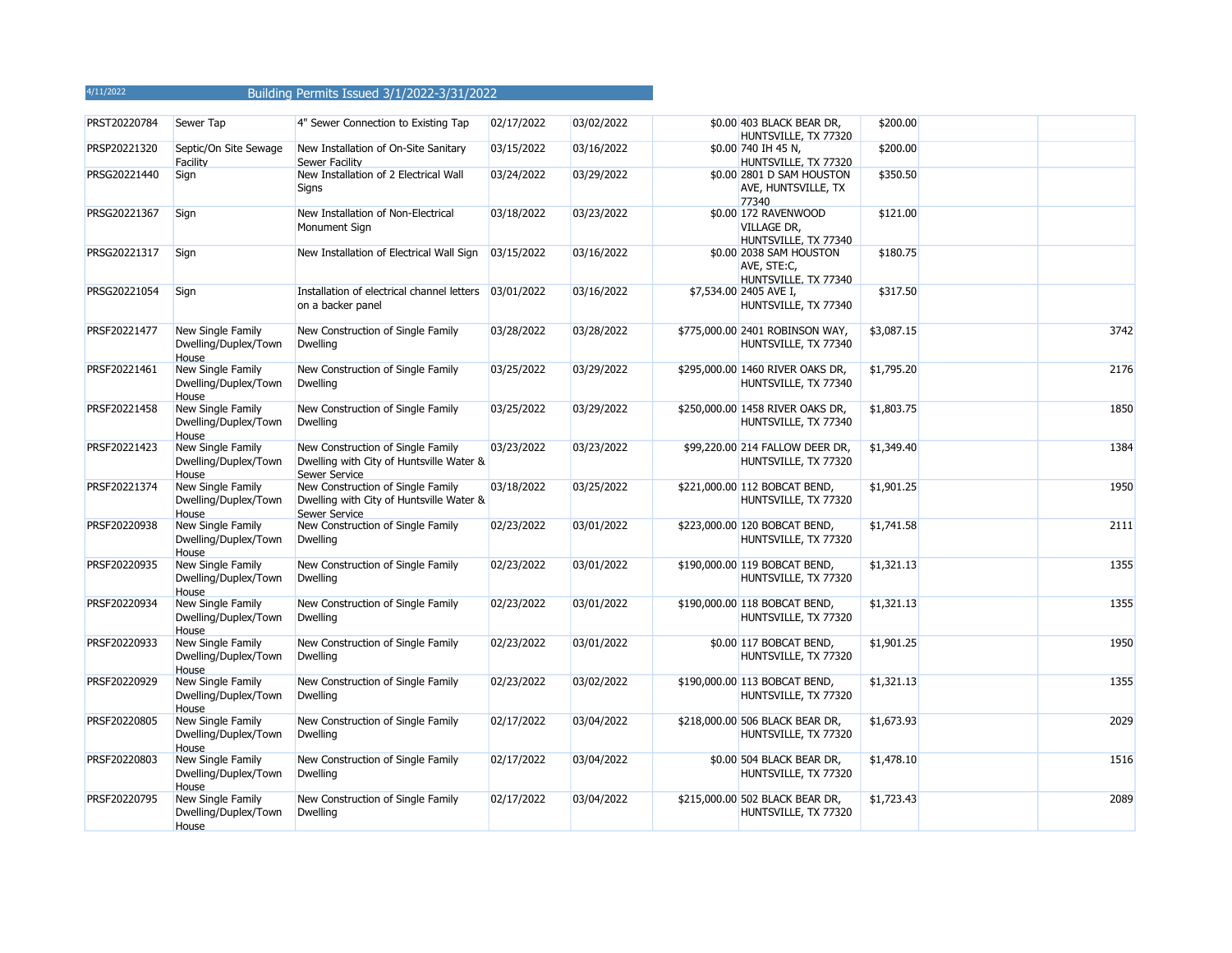| PRST20220784 | Sewer Tap                                          | 4" Sewer Connection to Existing Tap                                                            | 02/17/2022 | 03/02/2022 | \$0.00 403 BLACK BEAR DR,<br>HUNTSVILLE, TX 77320                  | \$200.00   |      |
|--------------|----------------------------------------------------|------------------------------------------------------------------------------------------------|------------|------------|--------------------------------------------------------------------|------------|------|
| PRSP20221320 | Septic/On Site Sewage<br>Facility                  | New Installation of On-Site Sanitary<br>Sewer Facility                                         | 03/15/2022 | 03/16/2022 | \$0.00 740 IH 45 N,<br>HUNTSVILLE, TX 77320                        | \$200.00   |      |
| PRSG20221440 | Sign                                               | New Installation of 2 Electrical Wall<br>Signs                                                 | 03/24/2022 | 03/29/2022 | \$0.00 2801 D SAM HOUSTON<br>AVE, HUNTSVILLE, TX<br>77340          | \$350.50   |      |
| PRSG20221367 | Sign                                               | New Installation of Non-Electrical<br>Monument Sign                                            | 03/18/2022 | 03/23/2022 | \$0.00 172 RAVENWOOD<br><b>VILLAGE DR,</b><br>HUNTSVILLE, TX 77340 | \$121.00   |      |
| PRSG20221317 | Sign                                               | New Installation of Electrical Wall Sign                                                       | 03/15/2022 | 03/16/2022 | \$0.00 2038 SAM HOUSTON<br>AVE, STE:C,<br>HUNTSVILLE, TX 77340     | \$180.75   |      |
| PRSG20221054 | Sign                                               | Installation of electrical channel letters<br>on a backer panel                                | 03/01/2022 | 03/16/2022 | \$7,534.00 2405 AVE I,<br>HUNTSVILLE, TX 77340                     | \$317.50   |      |
| PRSF20221477 | New Single Family<br>Dwelling/Duplex/Town<br>House | New Construction of Single Family<br><b>Dwelling</b>                                           | 03/28/2022 | 03/28/2022 | \$775,000.00 2401 ROBINSON WAY,<br>HUNTSVILLE, TX 77340            | \$3,087.15 | 3742 |
| PRSF20221461 | New Single Family<br>Dwelling/Duplex/Town<br>House | New Construction of Single Family<br><b>Dwelling</b>                                           | 03/25/2022 | 03/29/2022 | \$295,000.00 1460 RIVER OAKS DR,<br>HUNTSVILLE, TX 77340           | \$1,795.20 | 2176 |
| PRSF20221458 | New Single Family<br>Dwelling/Duplex/Town<br>House | New Construction of Single Family<br><b>Dwelling</b>                                           | 03/25/2022 | 03/29/2022 | \$250,000.00 1458 RIVER OAKS DR,<br>HUNTSVILLE, TX 77340           | \$1,803.75 | 1850 |
| PRSF20221423 | New Single Family<br>Dwelling/Duplex/Town<br>House | New Construction of Single Family<br>Dwelling with City of Huntsville Water &<br>Sewer Service | 03/23/2022 | 03/23/2022 | \$99,220.00 214 FALLOW DEER DR,<br>HUNTSVILLE, TX 77320            | \$1,349.40 | 1384 |
| PRSF20221374 | New Single Family<br>Dwelling/Duplex/Town<br>House | New Construction of Single Family<br>Dwelling with City of Huntsville Water &<br>Sewer Service | 03/18/2022 | 03/25/2022 | \$221,000.00 112 BOBCAT BEND,<br>HUNTSVILLE, TX 77320              | \$1,901.25 | 1950 |
| PRSF20220938 | New Single Family<br>Dwelling/Duplex/Town<br>House | New Construction of Single Family<br><b>Dwelling</b>                                           | 02/23/2022 | 03/01/2022 | \$223,000.00 120 BOBCAT BEND,<br>HUNTSVILLE, TX 77320              | \$1,741.58 | 2111 |
| PRSF20220935 | New Single Family<br>Dwelling/Duplex/Town<br>House | New Construction of Single Family<br><b>Dwelling</b>                                           | 02/23/2022 | 03/01/2022 | \$190,000.00 119 BOBCAT BEND,<br>HUNTSVILLE, TX 77320              | \$1,321.13 | 1355 |
| PRSF20220934 | New Single Family<br>Dwelling/Duplex/Town<br>House | New Construction of Single Family<br><b>Dwelling</b>                                           | 02/23/2022 | 03/01/2022 | \$190,000.00 118 BOBCAT BEND,<br>HUNTSVILLE, TX 77320              | \$1,321.13 | 1355 |
| PRSF20220933 | New Single Family<br>Dwelling/Duplex/Town<br>House | New Construction of Single Family<br><b>Dwelling</b>                                           | 02/23/2022 | 03/01/2022 | \$0.00 117 BOBCAT BEND,<br>HUNTSVILLE, TX 77320                    | \$1,901.25 | 1950 |
| PRSF20220929 | New Single Family<br>Dwelling/Duplex/Town<br>House | New Construction of Single Family<br><b>Dwelling</b>                                           | 02/23/2022 | 03/02/2022 | \$190,000.00 113 BOBCAT BEND,<br>HUNTSVILLE, TX 77320              | \$1,321.13 | 1355 |
| PRSF20220805 | New Single Family<br>Dwelling/Duplex/Town<br>House | New Construction of Single Family<br><b>Dwelling</b>                                           | 02/17/2022 | 03/04/2022 | \$218,000.00 506 BLACK BEAR DR,<br>HUNTSVILLE, TX 77320            | \$1,673.93 | 2029 |
| PRSF20220803 | New Single Family<br>Dwelling/Duplex/Town<br>House | New Construction of Single Family<br><b>Dwelling</b>                                           | 02/17/2022 | 03/04/2022 | \$0.00 504 BLACK BEAR DR,<br>HUNTSVILLE, TX 77320                  | \$1,478.10 | 1516 |
| PRSF20220795 | New Single Family<br>Dwelling/Duplex/Town<br>House | New Construction of Single Family<br><b>Dwelling</b>                                           | 02/17/2022 | 03/04/2022 | \$215,000.00 502 BLACK BEAR DR,<br>HUNTSVILLE, TX 77320            | \$1,723.43 | 2089 |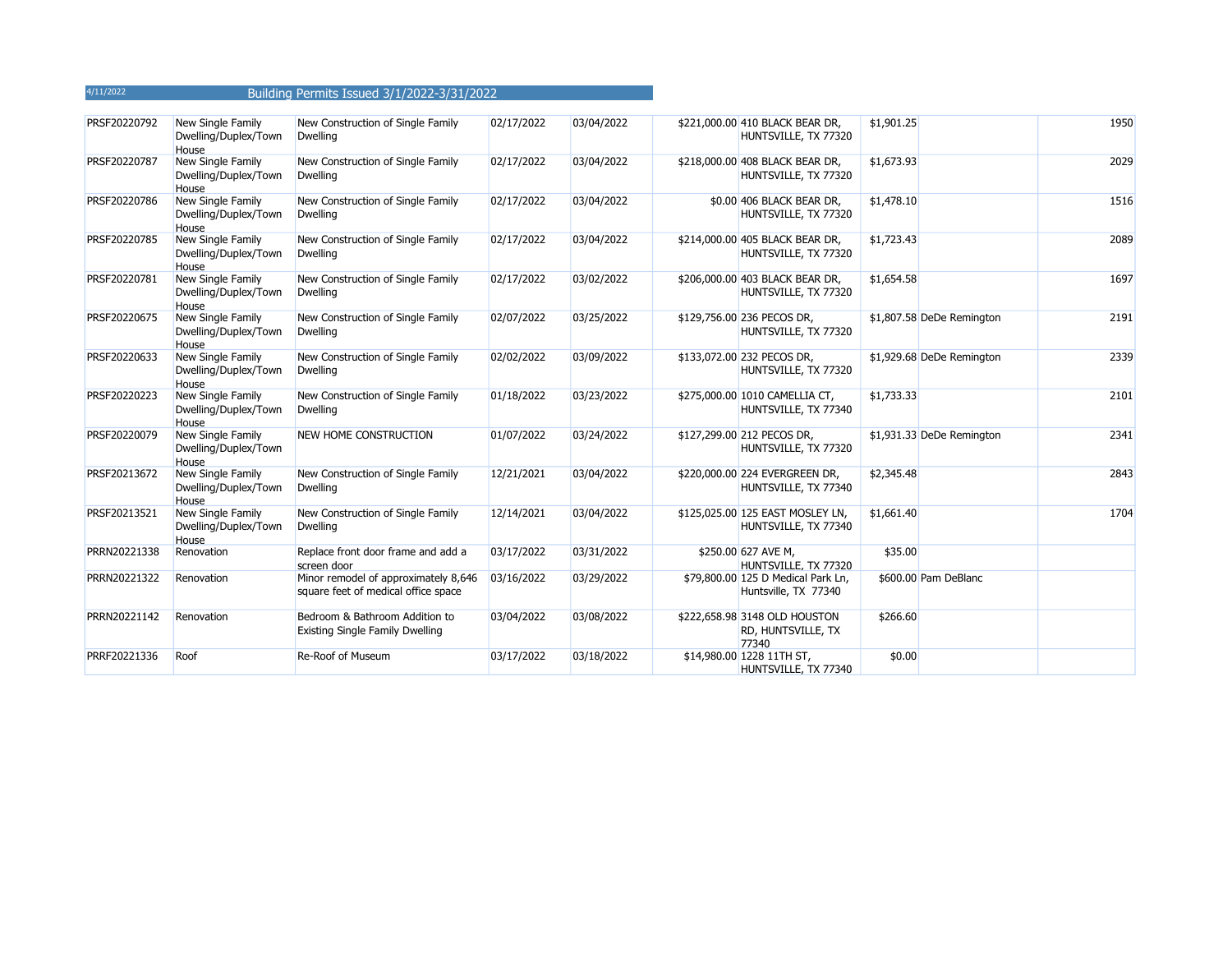| PRSF20220792 | New Single Family<br>Dwelling/Duplex/Town<br>House        | New Construction of Single Family<br><b>Dwelling</b>                        | 02/17/2022 | 03/04/2022 | \$221,000.00 410 BLACK BEAR DR,<br>HUNTSVILLE, TX 77320      | \$1,901.25 |                           | 1950 |
|--------------|-----------------------------------------------------------|-----------------------------------------------------------------------------|------------|------------|--------------------------------------------------------------|------------|---------------------------|------|
| PRSF20220787 | New Single Family<br>Dwelling/Duplex/Town<br><b>House</b> | New Construction of Single Family<br><b>Dwelling</b>                        | 02/17/2022 | 03/04/2022 | \$218,000.00 408 BLACK BEAR DR,<br>HUNTSVILLE, TX 77320      | \$1,673.93 |                           | 2029 |
| PRSF20220786 | New Single Family<br>Dwelling/Duplex/Town<br>House        | New Construction of Single Family<br><b>Dwelling</b>                        | 02/17/2022 | 03/04/2022 | \$0.00 406 BLACK BEAR DR,<br>HUNTSVILLE, TX 77320            | \$1,478.10 |                           | 1516 |
| PRSF20220785 | New Single Family<br>Dwelling/Duplex/Town<br><b>House</b> | New Construction of Single Family<br><b>Dwelling</b>                        | 02/17/2022 | 03/04/2022 | \$214,000.00 405 BLACK BEAR DR,<br>HUNTSVILLE, TX 77320      | \$1,723.43 |                           | 2089 |
| PRSF20220781 | New Single Family<br>Dwelling/Duplex/Town<br>House        | New Construction of Single Family<br><b>Dwelling</b>                        | 02/17/2022 | 03/02/2022 | \$206,000.00 403 BLACK BEAR DR,<br>HUNTSVILLE, TX 77320      | \$1,654.58 |                           | 1697 |
| PRSF20220675 | New Single Family<br>Dwelling/Duplex/Town<br>House        | New Construction of Single Family<br><b>Dwelling</b>                        | 02/07/2022 | 03/25/2022 | \$129,756.00 236 PECOS DR,<br>HUNTSVILLE, TX 77320           |            | \$1,807.58 DeDe Remington | 2191 |
| PRSF20220633 | New Single Family<br>Dwelling/Duplex/Town<br>House        | New Construction of Single Family<br><b>Dwelling</b>                        | 02/02/2022 | 03/09/2022 | \$133,072.00 232 PECOS DR,<br>HUNTSVILLE, TX 77320           |            | \$1,929.68 DeDe Remington | 2339 |
| PRSF20220223 | New Single Family<br>Dwelling/Duplex/Town<br><b>House</b> | New Construction of Single Family<br><b>Dwelling</b>                        | 01/18/2022 | 03/23/2022 | \$275,000.00 1010 CAMELLIA CT,<br>HUNTSVILLE, TX 77340       | \$1,733.33 |                           | 2101 |
| PRSF20220079 | New Single Family<br>Dwelling/Duplex/Town<br>House        | <b>NEW HOME CONSTRUCTION</b>                                                | 01/07/2022 | 03/24/2022 | \$127,299.00 212 PECOS DR,<br>HUNTSVILLE, TX 77320           |            | \$1,931.33 DeDe Remington | 2341 |
| PRSF20213672 | New Single Family<br>Dwelling/Duplex/Town<br><b>House</b> | New Construction of Single Family<br><b>Dwelling</b>                        | 12/21/2021 | 03/04/2022 | \$220,000.00 224 EVERGREEN DR,<br>HUNTSVILLE, TX 77340       | \$2,345.48 |                           | 2843 |
| PRSF20213521 | New Single Family<br>Dwelling/Duplex/Town<br>House        | New Construction of Single Family<br><b>Dwelling</b>                        | 12/14/2021 | 03/04/2022 | \$125,025.00 125 EAST MOSLEY LN,<br>HUNTSVILLE, TX 77340     | \$1,661.40 |                           | 1704 |
| PRRN20221338 | Renovation                                                | Replace front door frame and add a<br>screen door                           | 03/17/2022 | 03/31/2022 | \$250.00 627 AVE M,<br>HUNTSVILLE, TX 77320                  | \$35.00    |                           |      |
| PRRN20221322 | Renovation                                                | Minor remodel of approximately 8,646<br>square feet of medical office space | 03/16/2022 | 03/29/2022 | \$79,800.00 125 D Medical Park Ln,<br>Huntsville, TX 77340   |            | \$600.00 Pam DeBlanc      |      |
| PRRN20221142 | Renovation                                                | Bedroom & Bathroom Addition to<br><b>Existing Single Family Dwelling</b>    | 03/04/2022 | 03/08/2022 | \$222,658.98 3148 OLD HOUSTON<br>RD, HUNTSVILLE, TX<br>77340 | \$266.60   |                           |      |
| PRRF20221336 | Roof                                                      | Re-Roof of Museum                                                           | 03/17/2022 | 03/18/2022 | \$14,980.00 1228 11TH ST,<br>HUNTSVILLE, TX 77340            | \$0.00     |                           |      |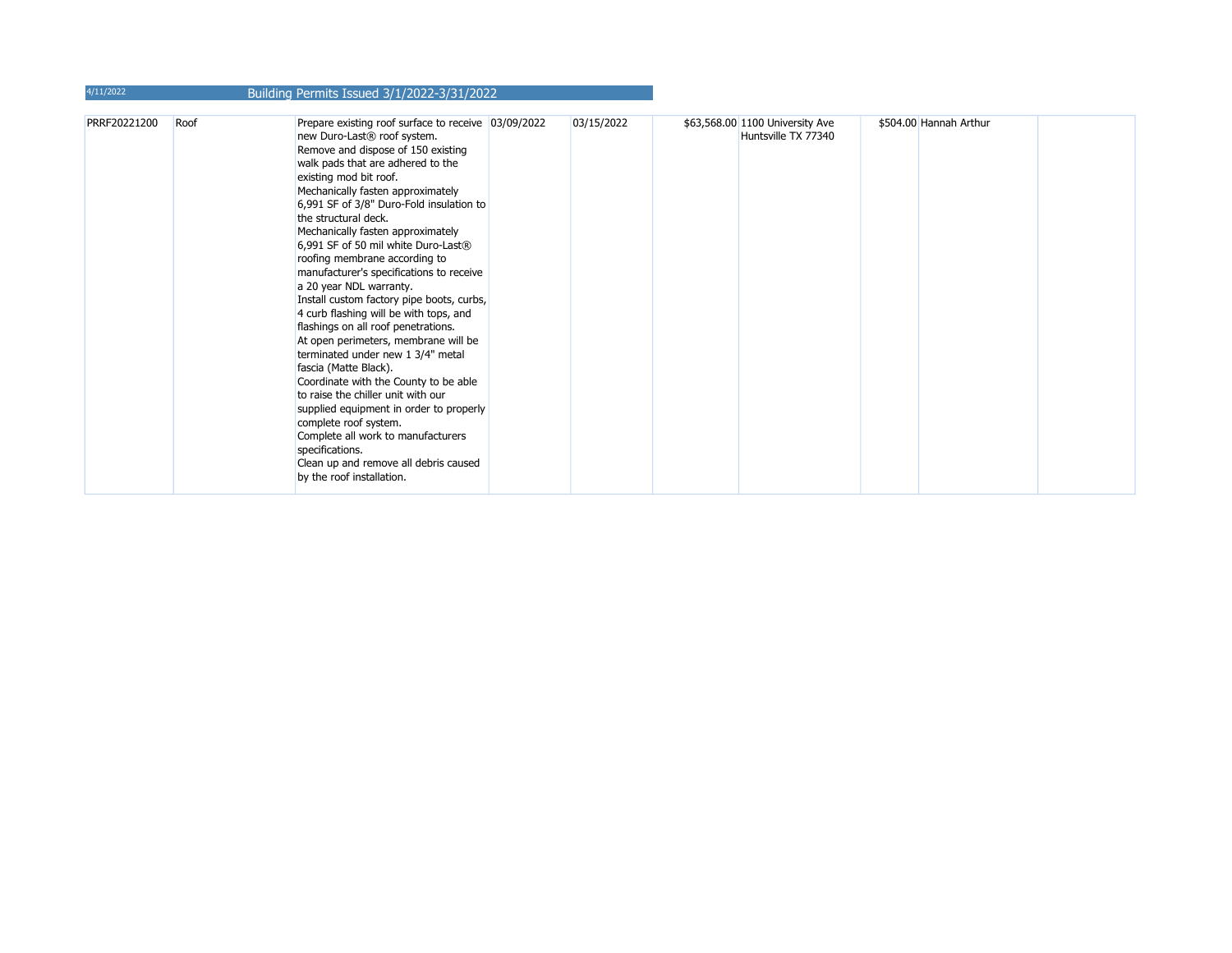| 4/11/2022    |      | Building Permits Issued 3/1/2022-3/31/2022                                                                                                                                                                                                                                                                                                                                                                                                                                                                                                                                                                                                                                                                                                                                                                                                                                                                                                                                                                             |            |                                                        |                        |  |
|--------------|------|------------------------------------------------------------------------------------------------------------------------------------------------------------------------------------------------------------------------------------------------------------------------------------------------------------------------------------------------------------------------------------------------------------------------------------------------------------------------------------------------------------------------------------------------------------------------------------------------------------------------------------------------------------------------------------------------------------------------------------------------------------------------------------------------------------------------------------------------------------------------------------------------------------------------------------------------------------------------------------------------------------------------|------------|--------------------------------------------------------|------------------------|--|
| PRRF20221200 | Roof | Prepare existing roof surface to receive 03/09/2022<br>new Duro-Last <sup>®</sup> roof system.<br>Remove and dispose of 150 existing<br>walk pads that are adhered to the<br>existing mod bit roof.<br>Mechanically fasten approximately<br>6,991 SF of 3/8" Duro-Fold insulation to<br>the structural deck.<br>Mechanically fasten approximately<br>6,991 SF of 50 mil white Duro-Last®<br>roofing membrane according to<br>manufacturer's specifications to receive<br>a 20 year NDL warranty.<br>Install custom factory pipe boots, curbs,<br>4 curb flashing will be with tops, and<br>flashings on all roof penetrations.<br>At open perimeters, membrane will be<br>terminated under new 1 3/4" metal<br>fascia (Matte Black).<br>Coordinate with the County to be able<br>to raise the chiller unit with our<br>supplied equipment in order to properly<br>complete roof system.<br>Complete all work to manufacturers<br>specifications.<br>Clean up and remove all debris caused<br>by the roof installation. | 03/15/2022 | \$63,568.00 1100 University Ave<br>Huntsville TX 77340 | \$504.00 Hannah Arthur |  |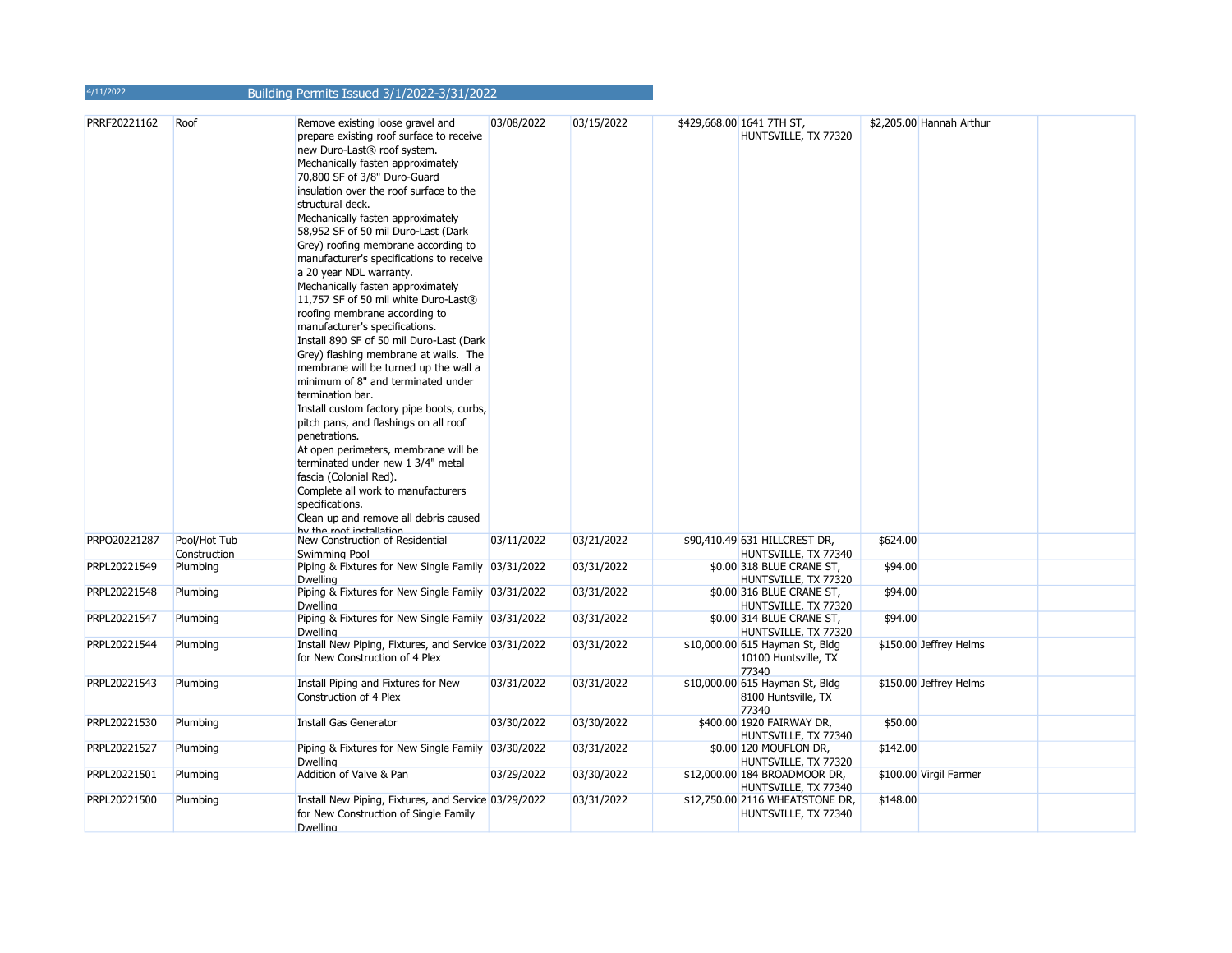| 4/11/2022    |                              | Building Permits Issued 3/1/2022-3/31/2022                                                                                                                                                                                                                                                                                                                                                                                                                                                                                                                                                                                                                                                                                                                                                                                                                                                                                                                                                                                                                                                        |            |            |                                                                  |          |                          |  |
|--------------|------------------------------|---------------------------------------------------------------------------------------------------------------------------------------------------------------------------------------------------------------------------------------------------------------------------------------------------------------------------------------------------------------------------------------------------------------------------------------------------------------------------------------------------------------------------------------------------------------------------------------------------------------------------------------------------------------------------------------------------------------------------------------------------------------------------------------------------------------------------------------------------------------------------------------------------------------------------------------------------------------------------------------------------------------------------------------------------------------------------------------------------|------------|------------|------------------------------------------------------------------|----------|--------------------------|--|
| PRRF20221162 | Roof                         | Remove existing loose gravel and<br>prepare existing roof surface to receive<br>new Duro-Last® roof system.<br>Mechanically fasten approximately<br>70,800 SF of 3/8" Duro-Guard<br>insulation over the roof surface to the<br>structural deck.<br>Mechanically fasten approximately<br>58,952 SF of 50 mil Duro-Last (Dark<br>Grey) roofing membrane according to<br>manufacturer's specifications to receive<br>a 20 year NDL warranty.<br>Mechanically fasten approximately<br>11,757 SF of 50 mil white Duro-Last®<br>roofing membrane according to<br>manufacturer's specifications.<br>Install 890 SF of 50 mil Duro-Last (Dark<br>Grey) flashing membrane at walls. The<br>membrane will be turned up the wall a<br>minimum of 8" and terminated under<br>termination bar.<br>Install custom factory pipe boots, curbs,<br>pitch pans, and flashings on all roof<br>penetrations.<br>At open perimeters, membrane will be<br>terminated under new 1 3/4" metal<br>fascia (Colonial Red).<br>Complete all work to manufacturers<br>specifications.<br>Clean up and remove all debris caused | 03/08/2022 | 03/15/2022 | \$429,668.00 1641 7TH ST,<br>HUNTSVILLE, TX 77320                |          | \$2,205.00 Hannah Arthur |  |
| PRPO20221287 | Pool/Hot Tub<br>Construction | hu the roof inctallation<br>New Construction of Residential<br>Swimming Pool                                                                                                                                                                                                                                                                                                                                                                                                                                                                                                                                                                                                                                                                                                                                                                                                                                                                                                                                                                                                                      | 03/11/2022 | 03/21/2022 | \$90,410.49 631 HILLCREST DR,<br>HUNTSVILLE, TX 77340            | \$624.00 |                          |  |
| PRPL20221549 | Plumbing                     | Piping & Fixtures for New Single Family 03/31/2022<br><b>Dwelling</b>                                                                                                                                                                                                                                                                                                                                                                                                                                                                                                                                                                                                                                                                                                                                                                                                                                                                                                                                                                                                                             |            | 03/31/2022 | \$0.00 318 BLUE CRANE ST,<br>HUNTSVILLE, TX 77320                | \$94.00  |                          |  |
| PRPL20221548 | Plumbing                     | Piping & Fixtures for New Single Family 03/31/2022<br>Dwelling                                                                                                                                                                                                                                                                                                                                                                                                                                                                                                                                                                                                                                                                                                                                                                                                                                                                                                                                                                                                                                    |            | 03/31/2022 | \$0.00 316 BLUE CRANE ST,<br>HUNTSVILLE, TX 77320                | \$94.00  |                          |  |
| PRPL20221547 | Plumbing                     | Piping & Fixtures for New Single Family 03/31/2022<br>Dwelling                                                                                                                                                                                                                                                                                                                                                                                                                                                                                                                                                                                                                                                                                                                                                                                                                                                                                                                                                                                                                                    |            | 03/31/2022 | \$0.00 314 BLUE CRANE ST,<br>HUNTSVILLE, TX 77320                | \$94.00  |                          |  |
| PRPL20221544 | Plumbing                     | Install New Piping, Fixtures, and Service 03/31/2022<br>for New Construction of 4 Plex                                                                                                                                                                                                                                                                                                                                                                                                                                                                                                                                                                                                                                                                                                                                                                                                                                                                                                                                                                                                            |            | 03/31/2022 | \$10,000.00 615 Hayman St, Bldg<br>10100 Huntsville, TX<br>77340 |          | \$150.00 Jeffrey Helms   |  |
| PRPL20221543 | Plumbing                     | Install Piping and Fixtures for New<br>Construction of 4 Plex                                                                                                                                                                                                                                                                                                                                                                                                                                                                                                                                                                                                                                                                                                                                                                                                                                                                                                                                                                                                                                     | 03/31/2022 | 03/31/2022 | \$10,000.00 615 Hayman St, Bldg<br>8100 Huntsville, TX<br>77340  |          | \$150.00 Jeffrey Helms   |  |
| PRPL20221530 | Plumbing                     | Install Gas Generator                                                                                                                                                                                                                                                                                                                                                                                                                                                                                                                                                                                                                                                                                                                                                                                                                                                                                                                                                                                                                                                                             | 03/30/2022 | 03/30/2022 | \$400.00 1920 FAIRWAY DR,<br>HUNTSVILLE, TX 77340                | \$50.00  |                          |  |
| PRPL20221527 | Plumbing                     | Piping & Fixtures for New Single Family 03/30/2022<br><b>Dwelling</b>                                                                                                                                                                                                                                                                                                                                                                                                                                                                                                                                                                                                                                                                                                                                                                                                                                                                                                                                                                                                                             |            | 03/31/2022 | \$0.00 120 MOUFLON DR,<br>HUNTSVILLE, TX 77320                   | \$142.00 |                          |  |
| PRPL20221501 | Plumbing                     | Addition of Valve & Pan                                                                                                                                                                                                                                                                                                                                                                                                                                                                                                                                                                                                                                                                                                                                                                                                                                                                                                                                                                                                                                                                           | 03/29/2022 | 03/30/2022 | \$12,000.00 184 BROADMOOR DR,<br>HUNTSVILLE, TX 77340            |          | \$100.00 Virgil Farmer   |  |
| PRPL20221500 | Plumbing                     | Install New Piping, Fixtures, and Service 03/29/2022<br>for New Construction of Single Family<br>Dwelling                                                                                                                                                                                                                                                                                                                                                                                                                                                                                                                                                                                                                                                                                                                                                                                                                                                                                                                                                                                         |            | 03/31/2022 | \$12,750.00 2116 WHEATSTONE DR,<br>HUNTSVILLE, TX 77340          | \$148.00 |                          |  |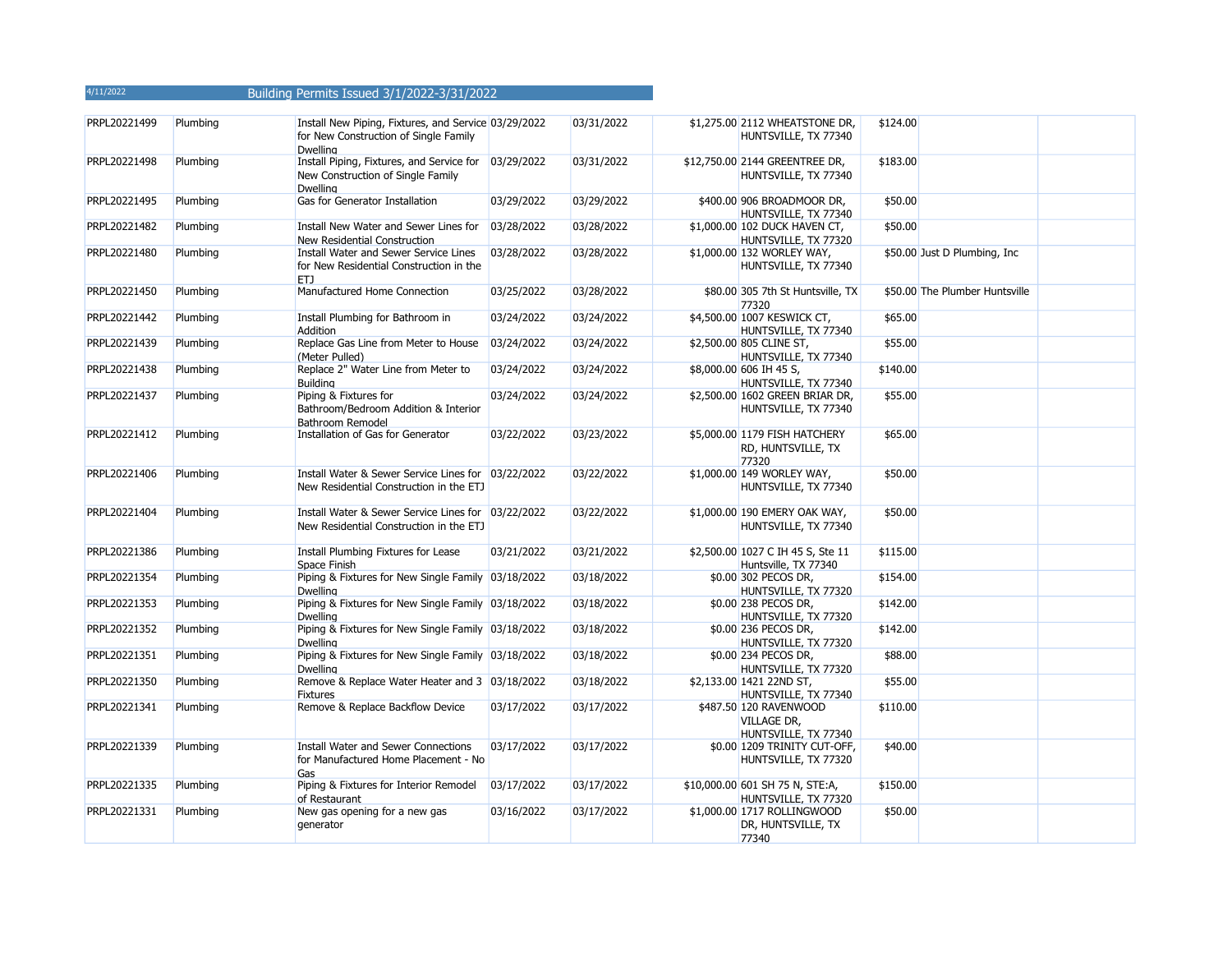| PRPL20221499 | Plumbing | Install New Piping, Fixtures, and Service 03/29/2022<br>for New Construction of Single Family<br><b>Dwelling</b> |            | 03/31/2022 | \$1,275.00 2112 WHEATSTONE DR,<br>HUNTSVILLE, TX 77340               | \$124.00 |                                |  |
|--------------|----------|------------------------------------------------------------------------------------------------------------------|------------|------------|----------------------------------------------------------------------|----------|--------------------------------|--|
| PRPL20221498 | Plumbing | Install Piping, Fixtures, and Service for 03/29/2022<br>New Construction of Single Family<br><b>Dwelling</b>     |            | 03/31/2022 | \$12,750.00 2144 GREENTREE DR,<br>HUNTSVILLE, TX 77340               | \$183.00 |                                |  |
| PRPL20221495 | Plumbing | Gas for Generator Installation                                                                                   | 03/29/2022 | 03/29/2022 | \$400.00 906 BROADMOOR DR,<br>HUNTSVILLE, TX 77340                   | \$50.00  |                                |  |
| PRPL20221482 | Plumbing | Install New Water and Sewer Lines for 03/28/2022<br>New Residential Construction                                 |            | 03/28/2022 | \$1,000.00 102 DUCK HAVEN CT,<br>HUNTSVILLE, TX 77320                | \$50.00  |                                |  |
| PRPL20221480 | Plumbing | Install Water and Sewer Service Lines<br>for New Residential Construction in the<br>ETJ                          | 03/28/2022 | 03/28/2022 | \$1,000.00 132 WORLEY WAY,<br>HUNTSVILLE, TX 77340                   |          | \$50.00 Just D Plumbing, Inc.  |  |
| PRPL20221450 | Plumbing | Manufactured Home Connection                                                                                     | 03/25/2022 | 03/28/2022 | \$80.00 305 7th St Huntsville, TX<br>77320                           |          | \$50.00 The Plumber Huntsville |  |
| PRPL20221442 | Plumbing | Install Plumbing for Bathroom in<br>Addition                                                                     | 03/24/2022 | 03/24/2022 | \$4,500.00 1007 KESWICK CT,<br>HUNTSVILLE, TX 77340                  | \$65.00  |                                |  |
| PRPL20221439 | Plumbing | Replace Gas Line from Meter to House<br>(Meter Pulled)                                                           | 03/24/2022 | 03/24/2022 | \$2,500.00 805 CLINE ST,<br>HUNTSVILLE, TX 77340                     | \$55.00  |                                |  |
| PRPL20221438 | Plumbing | Replace 2" Water Line from Meter to<br><b>Building</b>                                                           | 03/24/2022 | 03/24/2022 | \$8,000.00 606 IH 45 S,<br>HUNTSVILLE, TX 77340                      | \$140.00 |                                |  |
| PRPL20221437 | Plumbing | Piping & Fixtures for<br>Bathroom/Bedroom Addition & Interior<br>Bathroom Remodel                                | 03/24/2022 | 03/24/2022 | \$2,500.00 1602 GREEN BRIAR DR,<br>HUNTSVILLE, TX 77340              | \$55.00  |                                |  |
| PRPL20221412 | Plumbing | Installation of Gas for Generator                                                                                | 03/22/2022 | 03/23/2022 | \$5,000.00 1179 FISH HATCHERY<br>RD, HUNTSVILLE, TX<br>77320         | \$65.00  |                                |  |
| PRPL20221406 | Plumbing | Install Water & Sewer Service Lines for 03/22/2022<br>New Residential Construction in the ETJ                    |            | 03/22/2022 | \$1,000.00 149 WORLEY WAY,<br>HUNTSVILLE, TX 77340                   | \$50.00  |                                |  |
| PRPL20221404 | Plumbing | Install Water & Sewer Service Lines for 03/22/2022<br>New Residential Construction in the ETJ                    |            | 03/22/2022 | \$1,000.00 190 EMERY OAK WAY,<br>HUNTSVILLE, TX 77340                | \$50.00  |                                |  |
| PRPL20221386 | Plumbing | Install Plumbing Fixtures for Lease<br>Space Finish                                                              | 03/21/2022 | 03/21/2022 | \$2,500.00 1027 C IH 45 S, Ste 11<br>Huntsville, TX 77340            | \$115.00 |                                |  |
| PRPL20221354 | Plumbing | Piping & Fixtures for New Single Family 03/18/2022<br><b>Dwelling</b>                                            |            | 03/18/2022 | \$0.00 302 PECOS DR,<br>HUNTSVILLE, TX 77320                         | \$154.00 |                                |  |
| PRPL20221353 | Plumbing | Piping & Fixtures for New Single Family 03/18/2022<br>Dwelling                                                   |            | 03/18/2022 | \$0.00 238 PECOS DR,<br>HUNTSVILLE, TX 77320                         | \$142.00 |                                |  |
| PRPL20221352 | Plumbing | Piping & Fixtures for New Single Family 03/18/2022<br>Dwelling                                                   |            | 03/18/2022 | \$0.00 236 PECOS DR,<br>HUNTSVILLE, TX 77320                         | \$142.00 |                                |  |
| PRPL20221351 | Plumbing | Piping & Fixtures for New Single Family 03/18/2022<br><b>Dwelling</b>                                            |            | 03/18/2022 | \$0.00 234 PECOS DR,<br>HUNTSVILLE, TX 77320                         | \$88.00  |                                |  |
| PRPL20221350 | Plumbing | Remove & Replace Water Heater and 3 03/18/2022<br><b>Fixtures</b>                                                |            | 03/18/2022 | \$2,133.00 1421 22ND ST,<br>HUNTSVILLE, TX 77340                     | \$55.00  |                                |  |
| PRPL20221341 | Plumbing | Remove & Replace Backflow Device                                                                                 | 03/17/2022 | 03/17/2022 | \$487.50 120 RAVENWOOD<br><b>VILLAGE DR,</b><br>HUNTSVILLE, TX 77340 | \$110.00 |                                |  |
| PRPL20221339 | Plumbing | Install Water and Sewer Connections<br>for Manufactured Home Placement - No<br>Gas                               | 03/17/2022 | 03/17/2022 | \$0.00 1209 TRINITY CUT-OFF,<br>HUNTSVILLE, TX 77320                 | \$40.00  |                                |  |
| PRPL20221335 | Plumbing | Piping & Fixtures for Interior Remodel<br>of Restaurant                                                          | 03/17/2022 | 03/17/2022 | \$10,000.00 601 SH 75 N, STE:A,<br>HUNTSVILLE, TX 77320              | \$150.00 |                                |  |
| PRPL20221331 | Plumbing | New gas opening for a new gas<br>generator                                                                       | 03/16/2022 | 03/17/2022 | \$1,000.00 1717 ROLLINGWOOD<br>DR, HUNTSVILLE, TX<br>77340           | \$50.00  |                                |  |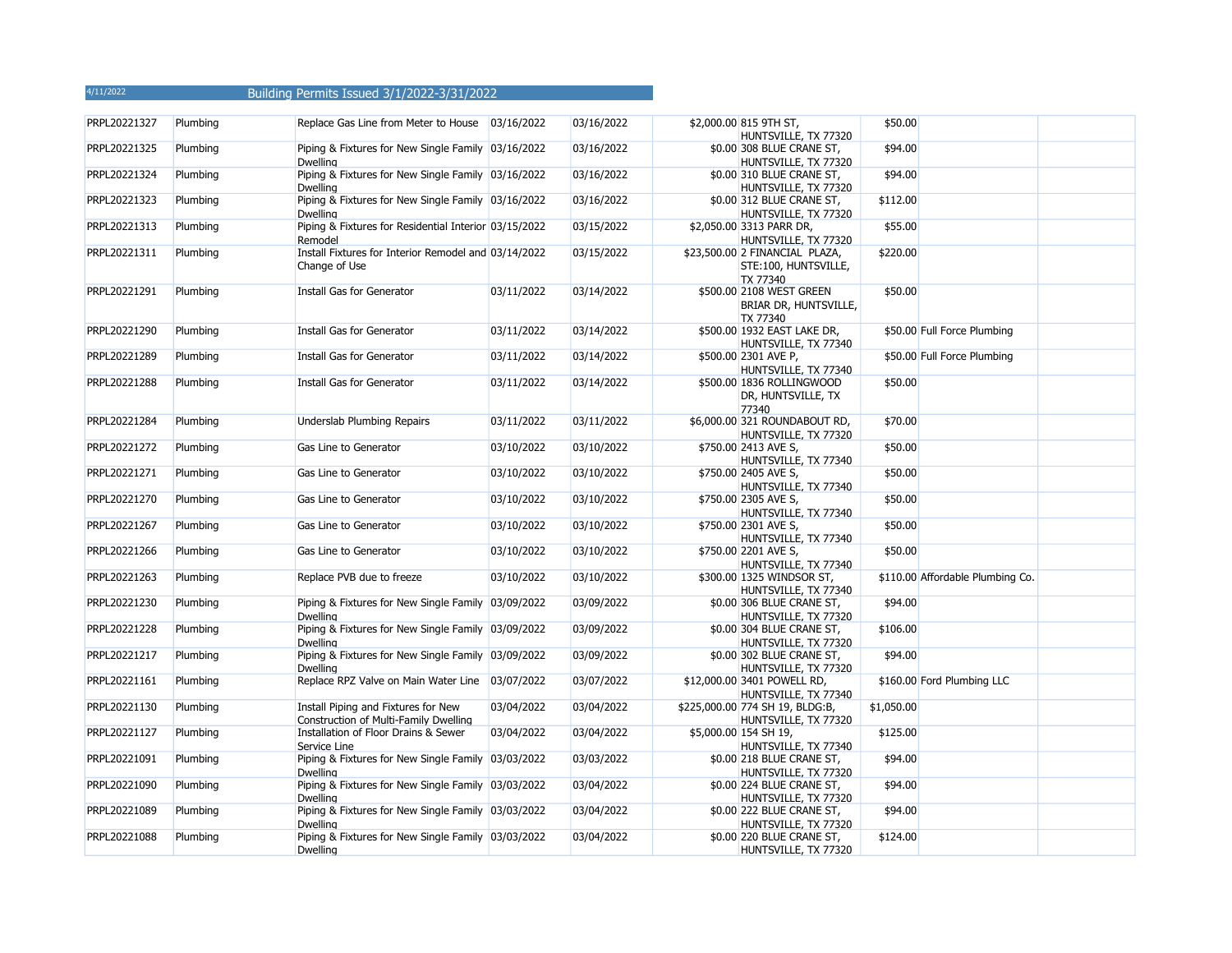| PRPL20221327 | Plumbing | Replace Gas Line from Meter to House 03/16/2022                              |            | 03/16/2022 | \$2,000.00 815 9TH ST,<br>HUNTSVILLE, TX 77320                     | \$50.00    |                                  |  |
|--------------|----------|------------------------------------------------------------------------------|------------|------------|--------------------------------------------------------------------|------------|----------------------------------|--|
| PRPL20221325 | Plumbing | Piping & Fixtures for New Single Family 03/16/2022<br><b>Dwelling</b>        |            | 03/16/2022 | \$0.00 308 BLUE CRANE ST,<br>HUNTSVILLE, TX 77320                  | \$94.00    |                                  |  |
| PRPL20221324 | Plumbing | Piping & Fixtures for New Single Family 03/16/2022<br><b>Dwelling</b>        |            | 03/16/2022 | \$0.00 310 BLUE CRANE ST,<br>HUNTSVILLE, TX 77320                  | \$94.00    |                                  |  |
| PRPL20221323 | Plumbing | Piping & Fixtures for New Single Family 03/16/2022<br><b>Dwelling</b>        |            | 03/16/2022 | \$0.00 312 BLUE CRANE ST,<br>HUNTSVILLE, TX 77320                  | \$112.00   |                                  |  |
| PRPL20221313 | Plumbing | Piping & Fixtures for Residential Interior 03/15/2022<br>Remodel             |            | 03/15/2022 | \$2,050.00 3313 PARR DR,<br>HUNTSVILLE, TX 77320                   | \$55.00    |                                  |  |
| PRPL20221311 | Plumbing | Install Fixtures for Interior Remodel and 03/14/2022<br>Change of Use        |            | 03/15/2022 | \$23,500.00 2 FINANCIAL PLAZA,<br>STE:100, HUNTSVILLE,<br>TX 77340 | \$220.00   |                                  |  |
| PRPL20221291 | Plumbing | Install Gas for Generator                                                    | 03/11/2022 | 03/14/2022 | \$500.00 2108 WEST GREEN<br>BRIAR DR, HUNTSVILLE,<br>TX 77340      | \$50.00    |                                  |  |
| PRPL20221290 | Plumbing | Install Gas for Generator                                                    | 03/11/2022 | 03/14/2022 | \$500.00 1932 EAST LAKE DR,<br>HUNTSVILLE, TX 77340                |            | \$50.00 Full Force Plumbing      |  |
| PRPL20221289 | Plumbing | Install Gas for Generator                                                    | 03/11/2022 | 03/14/2022 | \$500.00 2301 AVE P,<br>HUNTSVILLE, TX 77340                       |            | \$50.00 Full Force Plumbing      |  |
| PRPL20221288 | Plumbing | Install Gas for Generator                                                    | 03/11/2022 | 03/14/2022 | \$500.00 1836 ROLLINGWOOD<br>DR, HUNTSVILLE, TX<br>77340           | \$50.00    |                                  |  |
| PRPL20221284 | Plumbing | Underslab Plumbing Repairs                                                   | 03/11/2022 | 03/11/2022 | \$6,000.00 321 ROUNDABOUT RD,<br>HUNTSVILLE, TX 77320              | \$70.00    |                                  |  |
| PRPL20221272 | Plumbing | Gas Line to Generator                                                        | 03/10/2022 | 03/10/2022 | \$750.00 2413 AVE S,<br>HUNTSVILLE, TX 77340                       | \$50.00    |                                  |  |
| PRPL20221271 | Plumbing | Gas Line to Generator                                                        | 03/10/2022 | 03/10/2022 | \$750.00 2405 AVE S,<br>HUNTSVILLE, TX 77340                       | \$50.00    |                                  |  |
| PRPL20221270 | Plumbing | Gas Line to Generator                                                        | 03/10/2022 | 03/10/2022 | \$750.00 2305 AVE S,<br>HUNTSVILLE, TX 77340                       | \$50.00    |                                  |  |
| PRPL20221267 | Plumbing | Gas Line to Generator                                                        | 03/10/2022 | 03/10/2022 | \$750.00 2301 AVE S,<br>HUNTSVILLE, TX 77340                       | \$50.00    |                                  |  |
| PRPL20221266 | Plumbing | Gas Line to Generator                                                        | 03/10/2022 | 03/10/2022 | \$750.00 2201 AVE S,<br>HUNTSVILLE, TX 77340                       | \$50.00    |                                  |  |
| PRPL20221263 | Plumbing | Replace PVB due to freeze                                                    | 03/10/2022 | 03/10/2022 | \$300.00 1325 WINDSOR ST,<br>HUNTSVILLE, TX 77340                  |            | \$110.00 Affordable Plumbing Co. |  |
| PRPL20221230 | Plumbing | Piping & Fixtures for New Single Family 03/09/2022<br><b>Dwelling</b>        |            | 03/09/2022 | \$0.00 306 BLUE CRANE ST,<br>HUNTSVILLE, TX 77320                  | \$94.00    |                                  |  |
| PRPL20221228 | Plumbing | Piping & Fixtures for New Single Family 03/09/2022<br><b>Dwelling</b>        |            | 03/09/2022 | \$0.00 304 BLUE CRANE ST,<br>HUNTSVILLE, TX 77320                  | \$106.00   |                                  |  |
| PRPL20221217 | Plumbing | Piping & Fixtures for New Single Family 03/09/2022<br><b>Dwelling</b>        |            | 03/09/2022 | \$0.00 302 BLUE CRANE ST,<br>HUNTSVILLE, TX 77320                  | \$94.00    |                                  |  |
| PRPL20221161 | Plumbing | Replace RPZ Valve on Main Water Line 03/07/2022                              |            | 03/07/2022 | \$12,000.00 3401 POWELL RD,<br>HUNTSVILLE, TX 77340                |            | \$160.00 Ford Plumbing LLC       |  |
| PRPL20221130 | Plumbing | Install Piping and Fixtures for New<br>Construction of Multi-Family Dwelling | 03/04/2022 | 03/04/2022 | \$225,000.00 774 SH 19, BLDG:B,<br>HUNTSVILLE, TX 77320            | \$1,050.00 |                                  |  |
| PRPL20221127 | Plumbing | Installation of Floor Drains & Sewer<br>Service Line                         | 03/04/2022 | 03/04/2022 | \$5,000.00 154 SH 19,<br>HUNTSVILLE, TX 77340                      | \$125.00   |                                  |  |
| PRPL20221091 | Plumbing | Piping & Fixtures for New Single Family 03/03/2022<br><b>Dwelling</b>        |            | 03/03/2022 | \$0.00 218 BLUE CRANE ST,<br>HUNTSVILLE, TX 77320                  | \$94.00    |                                  |  |
| PRPL20221090 | Plumbing | Piping & Fixtures for New Single Family 03/03/2022<br><b>Dwelling</b>        |            | 03/04/2022 | \$0.00 224 BLUE CRANE ST,<br>HUNTSVILLE, TX 77320                  | \$94.00    |                                  |  |
| PRPL20221089 | Plumbing | Piping & Fixtures for New Single Family 03/03/2022<br>Dwelling               |            | 03/04/2022 | \$0.00 222 BLUE CRANE ST,<br>HUNTSVILLE, TX 77320                  | \$94.00    |                                  |  |
| PRPL20221088 | Plumbing | Piping & Fixtures for New Single Family 03/03/2022<br><b>Dwelling</b>        |            | 03/04/2022 | \$0.00 220 BLUE CRANE ST,<br>HUNTSVILLE, TX 77320                  | \$124.00   |                                  |  |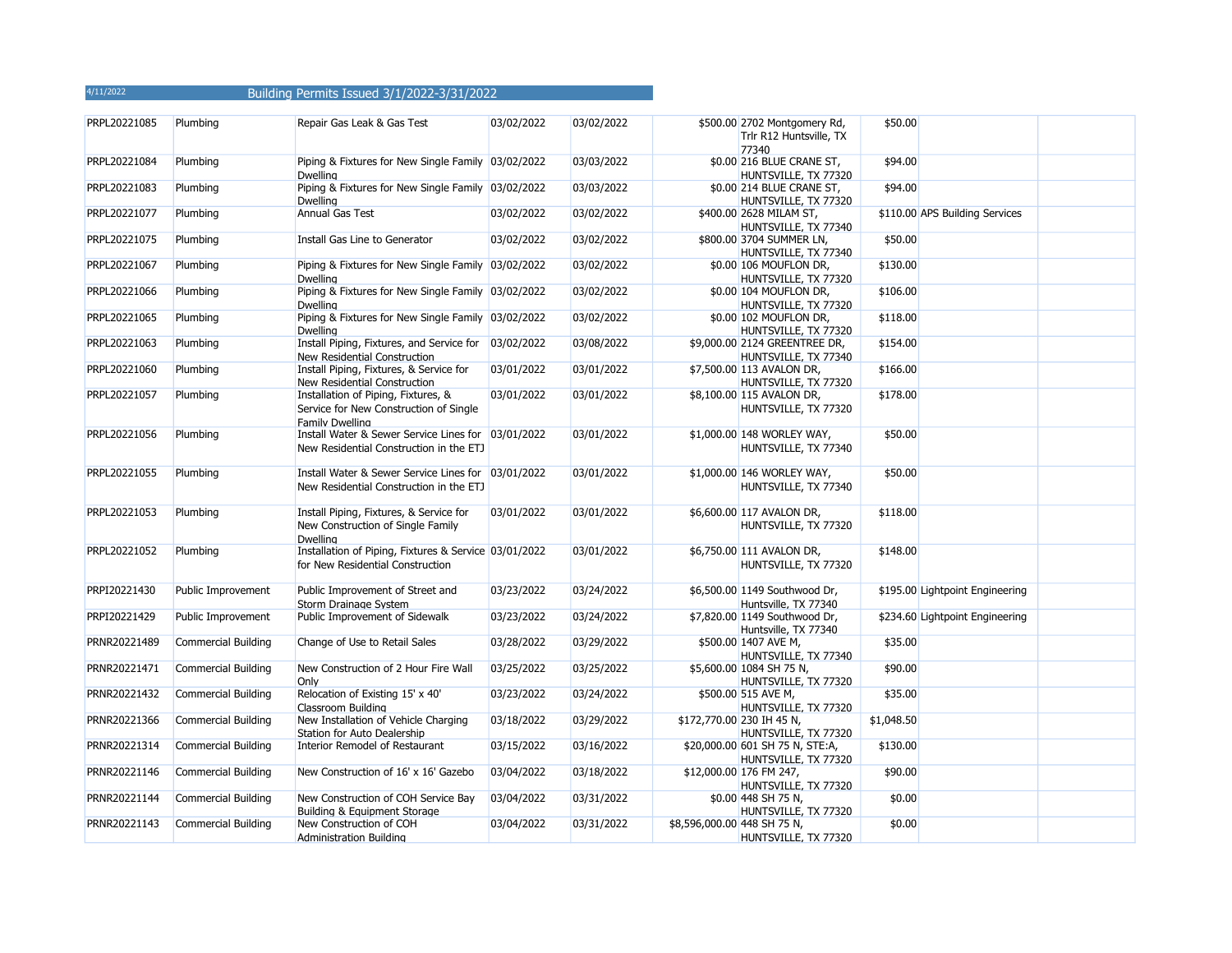| PRPL20221085 | Plumbing                   | Repair Gas Leak & Gas Test                                                                              | 03/02/2022 | 03/02/2022 | \$500.00 2702 Montgomery Rd,<br>Trlr R12 Huntsville, TX<br>77340 | \$50.00    |                                 |  |
|--------------|----------------------------|---------------------------------------------------------------------------------------------------------|------------|------------|------------------------------------------------------------------|------------|---------------------------------|--|
| PRPL20221084 | Plumbing                   | Piping & Fixtures for New Single Family 03/02/2022<br><b>Dwelling</b>                                   |            | 03/03/2022 | \$0.00 216 BLUE CRANE ST,<br>HUNTSVILLE, TX 77320                | \$94.00    |                                 |  |
| PRPL20221083 | Plumbing                   | Piping & Fixtures for New Single Family 03/02/2022<br><b>Dwelling</b>                                   |            | 03/03/2022 | \$0.00 214 BLUE CRANE ST,<br>HUNTSVILLE, TX 77320                | \$94.00    |                                 |  |
| PRPL20221077 | Plumbing                   | <b>Annual Gas Test</b>                                                                                  | 03/02/2022 | 03/02/2022 | \$400.00 2628 MILAM ST,<br>HUNTSVILLE, TX 77340                  |            | \$110.00 APS Building Services  |  |
| PRPL20221075 | Plumbing                   | Install Gas Line to Generator                                                                           | 03/02/2022 | 03/02/2022 | \$800.00 3704 SUMMER LN,<br>HUNTSVILLE, TX 77340                 | \$50.00    |                                 |  |
| PRPL20221067 | Plumbing                   | Piping & Fixtures for New Single Family 03/02/2022<br><b>Dwelling</b>                                   |            | 03/02/2022 | \$0.00 106 MOUFLON DR,<br>HUNTSVILLE, TX 77320                   | \$130.00   |                                 |  |
| PRPL20221066 | Plumbing                   | Piping & Fixtures for New Single Family 03/02/2022<br><b>Dwelling</b>                                   |            | 03/02/2022 | \$0.00 104 MOUFLON DR,<br>HUNTSVILLE, TX 77320                   | \$106.00   |                                 |  |
| PRPL20221065 | Plumbing                   | Piping & Fixtures for New Single Family 03/02/2022<br><b>Dwelling</b>                                   |            | 03/02/2022 | \$0.00 102 MOUFLON DR,<br>HUNTSVILLE, TX 77320                   | \$118.00   |                                 |  |
| PRPL20221063 | Plumbing                   | Install Piping, Fixtures, and Service for 03/02/2022<br>New Residential Construction                    |            | 03/08/2022 | \$9,000.00 2124 GREENTREE DR,<br>HUNTSVILLE, TX 77340            | \$154.00   |                                 |  |
| PRPL20221060 | Plumbing                   | Install Piping, Fixtures, & Service for<br>New Residential Construction                                 | 03/01/2022 | 03/01/2022 | \$7,500.00 113 AVALON DR,<br>HUNTSVILLE, TX 77320                | \$166.00   |                                 |  |
| PRPL20221057 | Plumbing                   | Installation of Piping, Fixtures, &<br>Service for New Construction of Single<br><b>Family Dwelling</b> | 03/01/2022 | 03/01/2022 | \$8,100.00 115 AVALON DR,<br>HUNTSVILLE, TX 77320                | \$178.00   |                                 |  |
| PRPL20221056 | Plumbing                   | Install Water & Sewer Service Lines for 03/01/2022<br>New Residential Construction in the ETJ           |            | 03/01/2022 | \$1,000.00 148 WORLEY WAY,<br>HUNTSVILLE, TX 77340               | \$50.00    |                                 |  |
| PRPL20221055 | Plumbing                   | Install Water & Sewer Service Lines for 03/01/2022<br>New Residential Construction in the ETJ           |            | 03/01/2022 | \$1,000.00 146 WORLEY WAY,<br>HUNTSVILLE, TX 77340               | \$50.00    |                                 |  |
| PRPL20221053 | Plumbing                   | Install Piping, Fixtures, & Service for<br>New Construction of Single Family<br><b>Dwelling</b>         | 03/01/2022 | 03/01/2022 | \$6,600.00 117 AVALON DR,<br>HUNTSVILLE, TX 77320                | \$118.00   |                                 |  |
| PRPL20221052 | Plumbing                   | Installation of Piping, Fixtures & Service 03/01/2022<br>for New Residential Construction               |            | 03/01/2022 | \$6,750.00 111 AVALON DR,<br>HUNTSVILLE, TX 77320                | \$148.00   |                                 |  |
| PRPI20221430 | Public Improvement         | Public Improvement of Street and<br>Storm Drainage System                                               | 03/23/2022 | 03/24/2022 | \$6,500.00 1149 Southwood Dr,<br>Huntsville, TX 77340            |            | \$195.00 Lightpoint Engineering |  |
| PRPI20221429 | Public Improvement         | Public Improvement of Sidewalk                                                                          | 03/23/2022 | 03/24/2022 | \$7,820.00 1149 Southwood Dr,<br>Huntsville, TX 77340            |            | \$234.60 Lightpoint Engineering |  |
| PRNR20221489 | <b>Commercial Building</b> | Change of Use to Retail Sales                                                                           | 03/28/2022 | 03/29/2022 | \$500.00 1407 AVE M,<br>HUNTSVILLE, TX 77340                     | \$35.00    |                                 |  |
| PRNR20221471 | <b>Commercial Building</b> | New Construction of 2 Hour Fire Wall<br>Only                                                            | 03/25/2022 | 03/25/2022 | \$5,600.00 1084 SH 75 N,<br>HUNTSVILLE, TX 77320                 | \$90.00    |                                 |  |
| PRNR20221432 | Commercial Building        | Relocation of Existing 15' x 40'<br>Classroom Building                                                  | 03/23/2022 | 03/24/2022 | \$500.00 515 AVE M,<br>HUNTSVILLE, TX 77320                      | \$35.00    |                                 |  |
| PRNR20221366 | <b>Commercial Building</b> | New Installation of Vehicle Charging<br>Station for Auto Dealership                                     | 03/18/2022 | 03/29/2022 | \$172,770.00 230 IH 45 N,<br>HUNTSVILLE, TX 77320                | \$1,048.50 |                                 |  |
| PRNR20221314 | <b>Commercial Building</b> | Interior Remodel of Restaurant                                                                          | 03/15/2022 | 03/16/2022 | \$20,000.00 601 SH 75 N, STE:A,<br>HUNTSVILLE, TX 77320          | \$130.00   |                                 |  |
| PRNR20221146 | <b>Commercial Building</b> | New Construction of 16' x 16' Gazebo                                                                    | 03/04/2022 | 03/18/2022 | \$12,000.00 176 FM 247,<br>HUNTSVILLE, TX 77320                  | \$90.00    |                                 |  |
| PRNR20221144 | <b>Commercial Building</b> | New Construction of COH Service Bay<br>Building & Equipment Storage                                     | 03/04/2022 | 03/31/2022 | \$0.00 448 SH 75 N,<br>HUNTSVILLE, TX 77320                      | \$0.00     |                                 |  |
| PRNR20221143 | <b>Commercial Building</b> | New Construction of COH<br><b>Administration Building</b>                                               | 03/04/2022 | 03/31/2022 | \$8,596,000.00 448 SH 75 N,<br>HUNTSVILLE, TX 77320              | \$0.00     |                                 |  |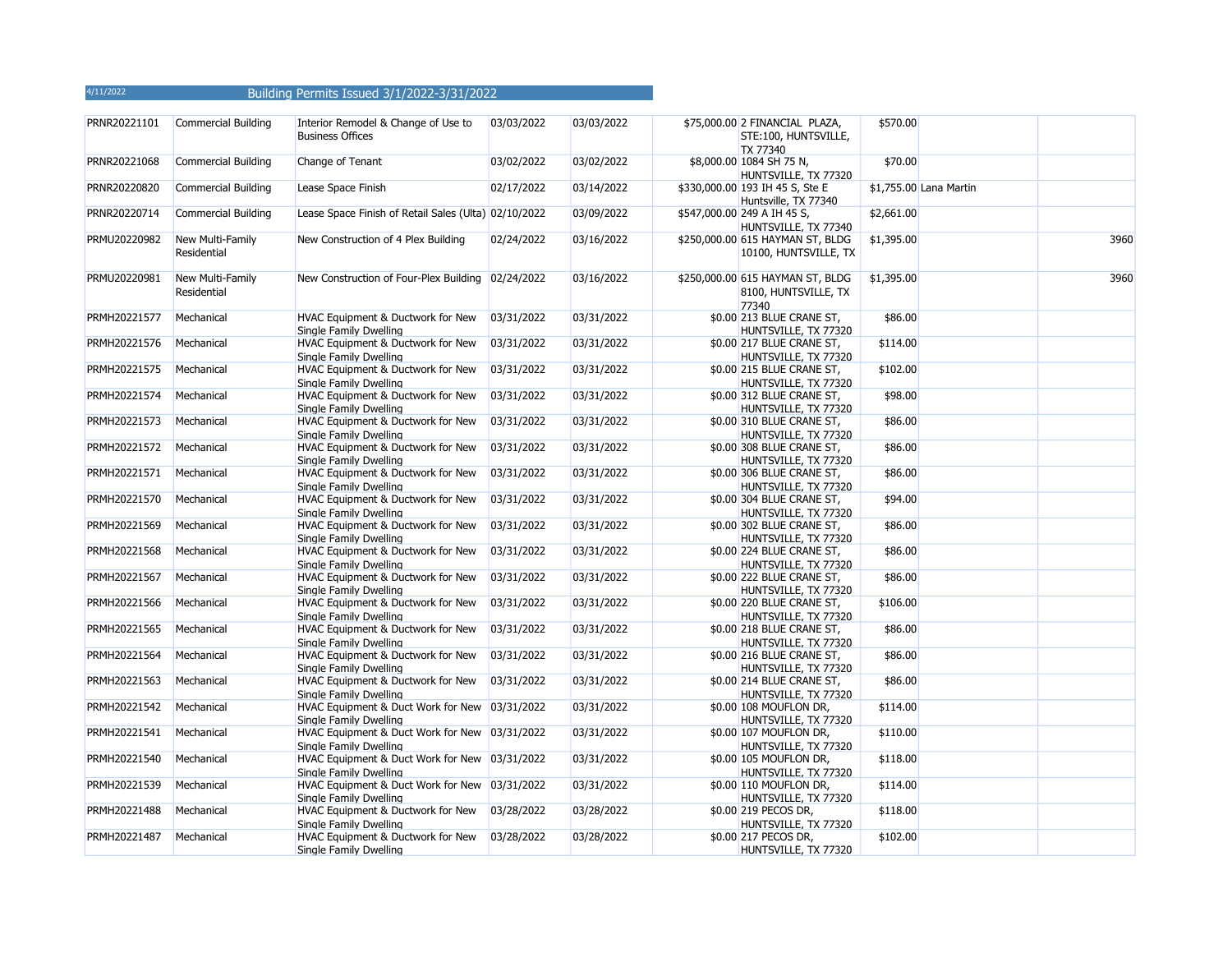| PRNR20221101 | Commercial Building             | Interior Remodel & Change of Use to<br><b>Business Offices</b>          | 03/03/2022 | 03/03/2022 | \$75,000.00 2 FINANCIAL PLAZA,<br>STE:100, HUNTSVILLE,<br>TX 77340 | \$570.00   |                        |      |
|--------------|---------------------------------|-------------------------------------------------------------------------|------------|------------|--------------------------------------------------------------------|------------|------------------------|------|
| PRNR20221068 | <b>Commercial Building</b>      | Change of Tenant                                                        | 03/02/2022 | 03/02/2022 | \$8,000.00 1084 SH 75 N,<br>HUNTSVILLE, TX 77320                   | \$70.00    |                        |      |
| PRNR20220820 | <b>Commercial Building</b>      | Lease Space Finish                                                      | 02/17/2022 | 03/14/2022 | \$330,000.00 193 IH 45 S, Ste E<br>Huntsville, TX 77340            |            | \$1,755.00 Lana Martin |      |
| PRNR20220714 | <b>Commercial Building</b>      | Lease Space Finish of Retail Sales (Ulta) 02/10/2022                    |            | 03/09/2022 | \$547,000.00 249 A IH 45 S,<br>HUNTSVILLE, TX 77340                | \$2,661.00 |                        |      |
| PRMU20220982 | New Multi-Family<br>Residential | New Construction of 4 Plex Building                                     | 02/24/2022 | 03/16/2022 | \$250,000.00 615 HAYMAN ST, BLDG<br>10100, HUNTSVILLE, TX          | \$1,395.00 |                        | 3960 |
| PRMU20220981 | New Multi-Family<br>Residential | New Construction of Four-Plex Building 02/24/2022                       |            | 03/16/2022 | \$250,000.00 615 HAYMAN ST, BLDG<br>8100, HUNTSVILLE, TX<br>77340  | \$1,395.00 |                        | 3960 |
| PRMH20221577 | Mechanical                      | HVAC Equipment & Ductwork for New<br>Single Family Dwelling             | 03/31/2022 | 03/31/2022 | \$0.00 213 BLUE CRANE ST,<br>HUNTSVILLE, TX 77320                  | \$86.00    |                        |      |
| PRMH20221576 | Mechanical                      | HVAC Equipment & Ductwork for New<br>Single Family Dwelling             | 03/31/2022 | 03/31/2022 | \$0.00 217 BLUE CRANE ST,<br>HUNTSVILLE, TX 77320                  | \$114.00   |                        |      |
| PRMH20221575 | Mechanical                      | HVAC Equipment & Ductwork for New<br>Single Family Dwelling             | 03/31/2022 | 03/31/2022 | \$0.00 215 BLUE CRANE ST,<br>HUNTSVILLE, TX 77320                  | \$102.00   |                        |      |
| PRMH20221574 | Mechanical                      | HVAC Equipment & Ductwork for New<br>Single Family Dwelling             | 03/31/2022 | 03/31/2022 | \$0.00 312 BLUE CRANE ST,<br>HUNTSVILLE, TX 77320                  | \$98.00    |                        |      |
| PRMH20221573 | Mechanical                      | HVAC Equipment & Ductwork for New<br>Single Family Dwelling             | 03/31/2022 | 03/31/2022 | \$0.00 310 BLUE CRANE ST,<br>HUNTSVILLE, TX 77320                  | \$86.00    |                        |      |
| PRMH20221572 | Mechanical                      | HVAC Equipment & Ductwork for New<br>Single Family Dwelling             | 03/31/2022 | 03/31/2022 | \$0.00 308 BLUE CRANE ST,<br>HUNTSVILLE, TX 77320                  | \$86.00    |                        |      |
| PRMH20221571 | Mechanical                      | HVAC Equipment & Ductwork for New<br>Single Family Dwelling             | 03/31/2022 | 03/31/2022 | \$0.00 306 BLUE CRANE ST,<br>HUNTSVILLE, TX 77320                  | \$86.00    |                        |      |
| PRMH20221570 | Mechanical                      | HVAC Equipment & Ductwork for New<br>Single Family Dwelling             | 03/31/2022 | 03/31/2022 | \$0.00 304 BLUE CRANE ST,<br>HUNTSVILLE, TX 77320                  | \$94.00    |                        |      |
| PRMH20221569 | Mechanical                      | HVAC Equipment & Ductwork for New<br>Single Family Dwelling             | 03/31/2022 | 03/31/2022 | \$0.00 302 BLUE CRANE ST,<br>HUNTSVILLE, TX 77320                  | \$86.00    |                        |      |
| PRMH20221568 | Mechanical                      | HVAC Equipment & Ductwork for New<br>Single Family Dwelling             | 03/31/2022 | 03/31/2022 | \$0.00 224 BLUE CRANE ST,<br>HUNTSVILLE, TX 77320                  | \$86.00    |                        |      |
| PRMH20221567 | Mechanical                      | HVAC Equipment & Ductwork for New<br>Single Family Dwelling             | 03/31/2022 | 03/31/2022 | \$0.00 222 BLUE CRANE ST,<br>HUNTSVILLE, TX 77320                  | \$86.00    |                        |      |
| PRMH20221566 | Mechanical                      | HVAC Equipment & Ductwork for New<br>Single Family Dwelling             | 03/31/2022 | 03/31/2022 | \$0.00 220 BLUE CRANE ST,<br>HUNTSVILLE, TX 77320                  | \$106.00   |                        |      |
| PRMH20221565 | Mechanical                      | HVAC Equipment & Ductwork for New<br>Single Family Dwelling             | 03/31/2022 | 03/31/2022 | \$0.00 218 BLUE CRANE ST,<br>HUNTSVILLE, TX 77320                  | \$86.00    |                        |      |
| PRMH20221564 | Mechanical                      | HVAC Equipment & Ductwork for New<br>Single Family Dwelling             | 03/31/2022 | 03/31/2022 | \$0.00 216 BLUE CRANE ST,<br>HUNTSVILLE, TX 77320                  | \$86.00    |                        |      |
| PRMH20221563 | Mechanical                      | HVAC Equipment & Ductwork for New<br>Single Family Dwelling             | 03/31/2022 | 03/31/2022 | \$0.00 214 BLUE CRANE ST,<br>HUNTSVILLE, TX 77320                  | \$86.00    |                        |      |
| PRMH20221542 | Mechanical                      | HVAC Equipment & Duct Work for New 03/31/2022<br>Single Family Dwelling |            | 03/31/2022 | \$0.00 108 MOUFLON DR,<br>HUNTSVILLE, TX 77320                     | \$114.00   |                        |      |
| PRMH20221541 | Mechanical                      | HVAC Equipment & Duct Work for New 03/31/2022<br>Single Family Dwelling |            | 03/31/2022 | \$0.00 107 MOUFLON DR,<br>HUNTSVILLE, TX 77320                     | \$110.00   |                        |      |
| PRMH20221540 | Mechanical                      | HVAC Equipment & Duct Work for New 03/31/2022<br>Single Family Dwelling |            | 03/31/2022 | \$0.00 105 MOUFLON DR,<br>HUNTSVILLE, TX 77320                     | \$118.00   |                        |      |
| PRMH20221539 | Mechanical                      | HVAC Equipment & Duct Work for New 03/31/2022<br>Single Family Dwelling |            | 03/31/2022 | \$0.00 110 MOUFLON DR,<br>HUNTSVILLE, TX 77320                     | \$114.00   |                        |      |
| PRMH20221488 | Mechanical                      | HVAC Equipment & Ductwork for New<br>Single Family Dwelling             | 03/28/2022 | 03/28/2022 | \$0.00 219 PECOS DR,<br>HUNTSVILLE, TX 77320                       | \$118.00   |                        |      |
| PRMH20221487 | Mechanical                      | HVAC Equipment & Ductwork for New<br>Single Family Dwelling             | 03/28/2022 | 03/28/2022 | \$0.00 217 PECOS DR,<br>HUNTSVILLE, TX 77320                       | \$102.00   |                        |      |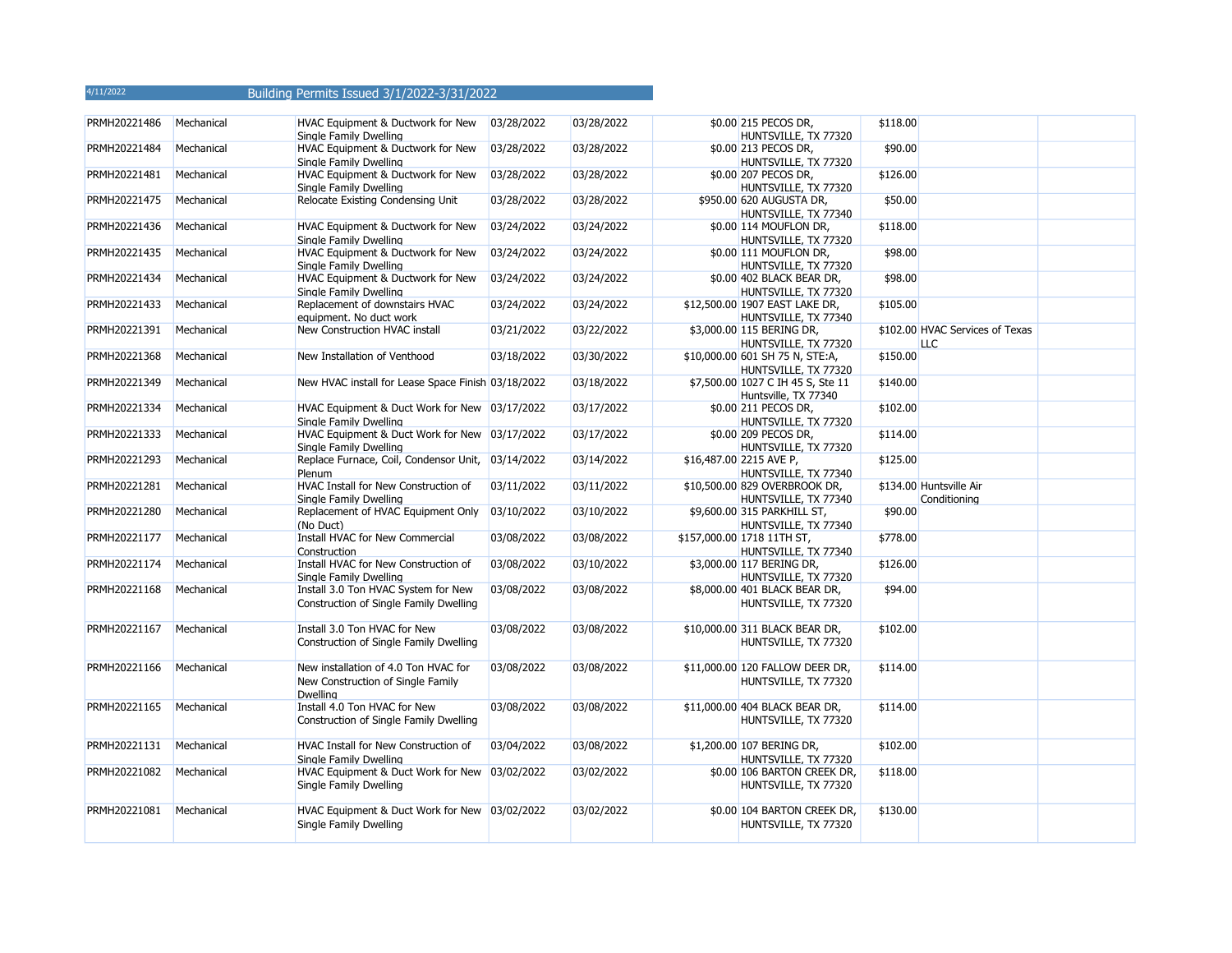| PRMH20221486 | Mechanical | HVAC Equipment & Ductwork for New<br>Single Family Dwelling                           | 03/28/2022 | 03/28/2022 | \$0.00 215 PECOS DR,<br>HUNTSVILLE, TX 77320              | \$118.00 |                                               |  |
|--------------|------------|---------------------------------------------------------------------------------------|------------|------------|-----------------------------------------------------------|----------|-----------------------------------------------|--|
| PRMH20221484 | Mechanical | HVAC Equipment & Ductwork for New<br>Single Family Dwelling                           | 03/28/2022 | 03/28/2022 | \$0.00 213 PECOS DR,<br>HUNTSVILLE, TX 77320              | \$90.00  |                                               |  |
| PRMH20221481 | Mechanical | HVAC Equipment & Ductwork for New<br>Single Family Dwelling                           | 03/28/2022 | 03/28/2022 | \$0.00 207 PECOS DR,<br>HUNTSVILLE, TX 77320              | \$126.00 |                                               |  |
| PRMH20221475 | Mechanical | Relocate Existing Condensing Unit                                                     | 03/28/2022 | 03/28/2022 | \$950.00 620 AUGUSTA DR,<br>HUNTSVILLE, TX 77340          | \$50.00  |                                               |  |
| PRMH20221436 | Mechanical | HVAC Equipment & Ductwork for New<br>Single Family Dwelling                           | 03/24/2022 | 03/24/2022 | \$0.00 114 MOUFLON DR,<br>HUNTSVILLE, TX 77320            | \$118.00 |                                               |  |
| PRMH20221435 | Mechanical | HVAC Equipment & Ductwork for New<br>Single Family Dwelling                           | 03/24/2022 | 03/24/2022 | \$0.00 111 MOUFLON DR,<br>HUNTSVILLE, TX 77320            | \$98.00  |                                               |  |
| PRMH20221434 | Mechanical | HVAC Equipment & Ductwork for New<br>Single Family Dwelling                           | 03/24/2022 | 03/24/2022 | \$0.00 402 BLACK BEAR DR,<br>HUNTSVILLE, TX 77320         | \$98.00  |                                               |  |
| PRMH20221433 | Mechanical | Replacement of downstairs HVAC<br>equipment. No duct work                             | 03/24/2022 | 03/24/2022 | \$12,500.00 1907 EAST LAKE DR,<br>HUNTSVILLE, TX 77340    | \$105.00 |                                               |  |
| PRMH20221391 | Mechanical | New Construction HVAC install                                                         | 03/21/2022 | 03/22/2022 | \$3,000.00 115 BERING DR,<br>HUNTSVILLE, TX 77320         |          | \$102.00 HVAC Services of Texas<br><b>LLC</b> |  |
| PRMH20221368 | Mechanical | New Installation of Venthood                                                          | 03/18/2022 | 03/30/2022 | \$10,000.00 601 SH 75 N, STE:A,<br>HUNTSVILLE, TX 77320   | \$150.00 |                                               |  |
| PRMH20221349 | Mechanical | New HVAC install for Lease Space Finish 03/18/2022                                    |            | 03/18/2022 | \$7,500.00 1027 C IH 45 S, Ste 11<br>Huntsville, TX 77340 | \$140.00 |                                               |  |
| PRMH20221334 | Mechanical | HVAC Equipment & Duct Work for New 03/17/2022<br>Single Family Dwelling               |            | 03/17/2022 | \$0.00 211 PECOS DR,<br>HUNTSVILLE, TX 77320              | \$102.00 |                                               |  |
| PRMH20221333 | Mechanical | HVAC Equipment & Duct Work for New 03/17/2022<br>Single Family Dwelling               |            | 03/17/2022 | \$0.00 209 PECOS DR,<br>HUNTSVILLE, TX 77320              | \$114.00 |                                               |  |
| PRMH20221293 | Mechanical | Replace Furnace, Coil, Condensor Unit, 03/14/2022<br>Plenum                           |            | 03/14/2022 | \$16,487.00 2215 AVE P,<br>HUNTSVILLE, TX 77340           | \$125.00 |                                               |  |
| PRMH20221281 | Mechanical | HVAC Install for New Construction of<br>Single Family Dwelling                        | 03/11/2022 | 03/11/2022 | \$10,500.00 829 OVERBROOK DR,<br>HUNTSVILLE, TX 77340     |          | \$134.00 Huntsville Air<br>Conditioning       |  |
| PRMH20221280 | Mechanical | Replacement of HVAC Equipment Only<br>(No Duct)                                       | 03/10/2022 | 03/10/2022 | \$9,600.00 315 PARKHILL ST,<br>HUNTSVILLE, TX 77340       | \$90.00  |                                               |  |
| PRMH20221177 | Mechanical | Install HVAC for New Commercial<br>Construction                                       | 03/08/2022 | 03/08/2022 | \$157,000.00 1718 11TH ST,<br>HUNTSVILLE, TX 77340        | \$778.00 |                                               |  |
| PRMH20221174 | Mechanical | Install HVAC for New Construction of<br>Single Family Dwelling                        | 03/08/2022 | 03/10/2022 | \$3,000.00 117 BERING DR,<br>HUNTSVILLE, TX 77320         | \$126.00 |                                               |  |
| PRMH20221168 | Mechanical | Install 3.0 Ton HVAC System for New<br>Construction of Single Family Dwelling         | 03/08/2022 | 03/08/2022 | \$8,000.00 401 BLACK BEAR DR,<br>HUNTSVILLE, TX 77320     | \$94.00  |                                               |  |
| PRMH20221167 | Mechanical | Install 3.0 Ton HVAC for New<br>Construction of Single Family Dwelling                | 03/08/2022 | 03/08/2022 | \$10,000.00 311 BLACK BEAR DR,<br>HUNTSVILLE, TX 77320    | \$102.00 |                                               |  |
| PRMH20221166 | Mechanical | New installation of 4.0 Ton HVAC for<br>New Construction of Single Family<br>Dwelling | 03/08/2022 | 03/08/2022 | \$11,000.00 120 FALLOW DEER DR,<br>HUNTSVILLE, TX 77320   | \$114.00 |                                               |  |
| PRMH20221165 | Mechanical | Install 4.0 Ton HVAC for New<br>Construction of Single Family Dwelling                | 03/08/2022 | 03/08/2022 | \$11,000.00 404 BLACK BEAR DR,<br>HUNTSVILLE, TX 77320    | \$114.00 |                                               |  |
| PRMH20221131 | Mechanical | HVAC Install for New Construction of<br>Single Family Dwelling                        | 03/04/2022 | 03/08/2022 | \$1,200.00 107 BERING DR,<br>HUNTSVILLE, TX 77320         | \$102.00 |                                               |  |
| PRMH20221082 | Mechanical | HVAC Equipment & Duct Work for New 03/02/2022<br>Single Family Dwelling               |            | 03/02/2022 | \$0.00 106 BARTON CREEK DR,<br>HUNTSVILLE, TX 77320       | \$118.00 |                                               |  |
| PRMH20221081 | Mechanical | HVAC Equipment & Duct Work for New 03/02/2022<br>Single Family Dwelling               |            | 03/02/2022 | \$0.00 104 BARTON CREEK DR,<br>HUNTSVILLE, TX 77320       | \$130.00 |                                               |  |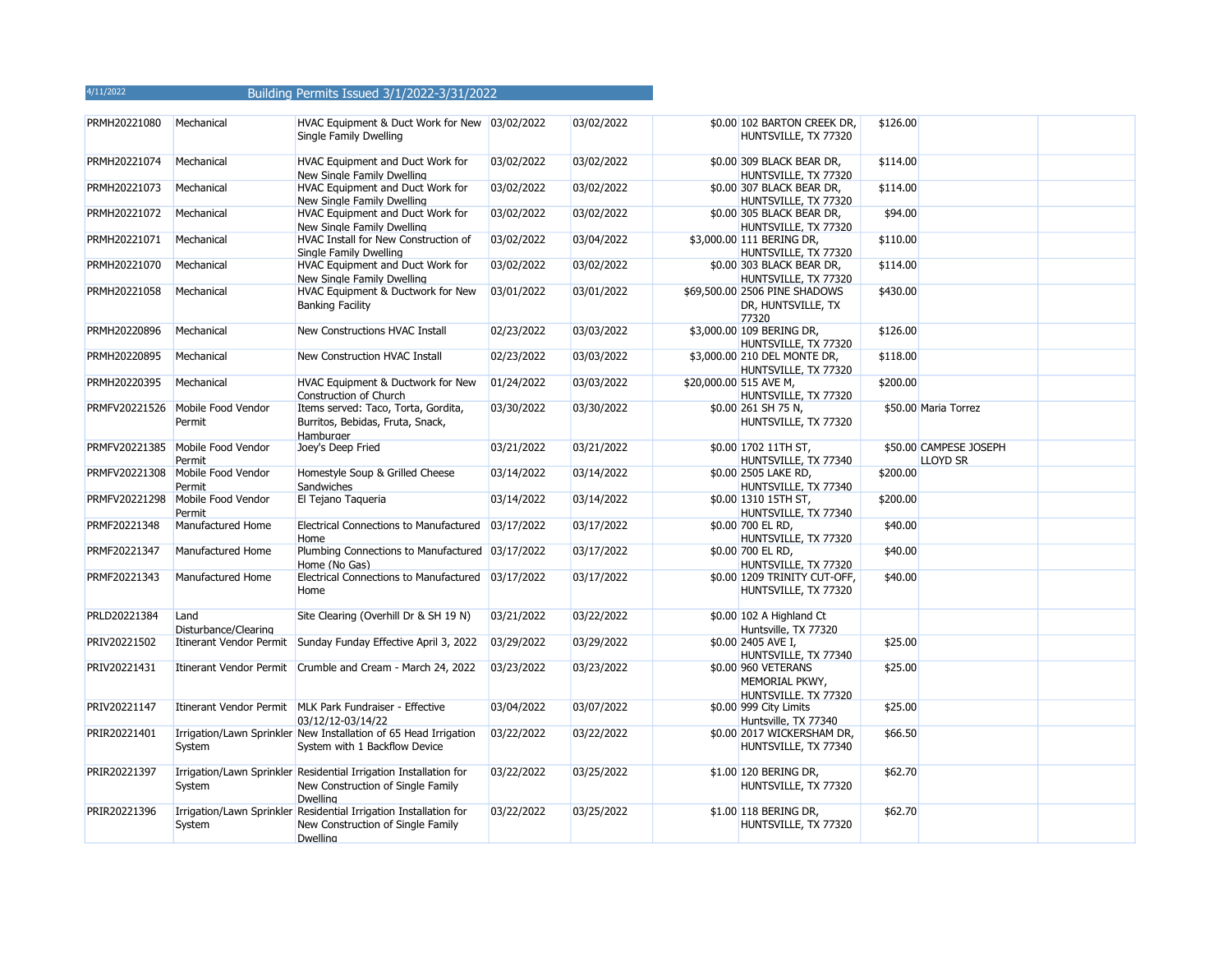| 4/11/2022 |  | <b>Building Permits Issued 3/1/2022-3/31/2022</b> |  |  |  |
|-----------|--|---------------------------------------------------|--|--|--|
|-----------|--|---------------------------------------------------|--|--|--|

| PRMH20221080  | Mechanical                                 | HVAC Equipment & Duct Work for New 03/02/2022<br><b>Single Family Dwelling</b>                                            |            | 03/02/2022 | \$0.00 102 BARTON CREEK DR,<br>HUNTSVILLE, TX 77320           | \$126.00 |                                           |  |
|---------------|--------------------------------------------|---------------------------------------------------------------------------------------------------------------------------|------------|------------|---------------------------------------------------------------|----------|-------------------------------------------|--|
| PRMH20221074  | Mechanical                                 | <b>HVAC Equipment and Duct Work for</b><br>New Single Family Dwelling                                                     | 03/02/2022 | 03/02/2022 | \$0.00 309 BLACK BEAR DR,<br>HUNTSVILLE, TX 77320             | \$114.00 |                                           |  |
| PRMH20221073  | Mechanical                                 | HVAC Equipment and Duct Work for<br>New Single Family Dwelling                                                            | 03/02/2022 | 03/02/2022 | \$0.00 307 BLACK BEAR DR,<br>HUNTSVILLE, TX 77320             | \$114.00 |                                           |  |
| PRMH20221072  | Mechanical                                 | HVAC Equipment and Duct Work for<br>New Single Family Dwelling                                                            | 03/02/2022 | 03/02/2022 | \$0.00 305 BLACK BEAR DR,<br>HUNTSVILLE, TX 77320             | \$94.00  |                                           |  |
| PRMH20221071  | Mechanical                                 | HVAC Install for New Construction of<br><b>Single Family Dwelling</b>                                                     | 03/02/2022 | 03/04/2022 | \$3,000.00 111 BERING DR,<br>HUNTSVILLE, TX 77320             | \$110.00 |                                           |  |
| PRMH20221070  | Mechanical                                 | HVAC Equipment and Duct Work for<br>New Single Family Dwelling                                                            | 03/02/2022 | 03/02/2022 | \$0.00 303 BLACK BEAR DR,<br>HUNTSVILLE, TX 77320             | \$114.00 |                                           |  |
| PRMH20221058  | Mechanical                                 | HVAC Equipment & Ductwork for New<br><b>Banking Facility</b>                                                              | 03/01/2022 | 03/01/2022 | \$69,500.00 2506 PINE SHADOWS<br>DR, HUNTSVILLE, TX<br>77320  | \$430.00 |                                           |  |
| PRMH20220896  | Mechanical                                 | New Constructions HVAC Install                                                                                            | 02/23/2022 | 03/03/2022 | \$3,000.00 109 BERING DR,<br>HUNTSVILLE, TX 77320             | \$126.00 |                                           |  |
| PRMH20220895  | Mechanical                                 | New Construction HVAC Install                                                                                             | 02/23/2022 | 03/03/2022 | \$3,000.00 210 DEL MONTE DR,<br>HUNTSVILLE, TX 77320          | \$118.00 |                                           |  |
| PRMH20220395  | Mechanical                                 | HVAC Equipment & Ductwork for New<br>Construction of Church                                                               | 01/24/2022 | 03/03/2022 | \$20,000.00 515 AVE M,<br>HUNTSVILLE, TX 77320                | \$200.00 |                                           |  |
| PRMFV20221526 | Mobile Food Vendor<br>Permit               | Items served: Taco, Torta, Gordita,<br>Burritos, Bebidas, Fruta, Snack,<br>Hamburger                                      | 03/30/2022 | 03/30/2022 | \$0.00 261 SH 75 N,<br>HUNTSVILLE, TX 77320                   |          | \$50.00 Maria Torrez                      |  |
|               | PRMFV20221385 Mobile Food Vendor<br>Permit | Joey's Deep Fried                                                                                                         | 03/21/2022 | 03/21/2022 | \$0.00 1702 11TH ST,<br>HUNTSVILLE, TX 77340                  |          | \$50.00 CAMPESE JOSEPH<br><b>LLOYD SR</b> |  |
| PRMFV20221308 | Mobile Food Vendor<br>Permit               | Homestyle Soup & Grilled Cheese<br>Sandwiches                                                                             | 03/14/2022 | 03/14/2022 | \$0.00 2505 LAKE RD,<br>HUNTSVILLE, TX 77340                  | \$200.00 |                                           |  |
| PRMFV20221298 | Mobile Food Vendor<br>Permit               | El Tejano Taqueria                                                                                                        | 03/14/2022 | 03/14/2022 | \$0.00 1310 15TH ST,<br>HUNTSVILLE, TX 77340                  | \$200.00 |                                           |  |
| PRMF20221348  | Manufactured Home                          | <b>Electrical Connections to Manufactured</b><br>Home                                                                     | 03/17/2022 | 03/17/2022 | \$0.00 700 EL RD,<br>HUNTSVILLE, TX 77320                     | \$40.00  |                                           |  |
| PRMF20221347  | Manufactured Home                          | Plumbing Connections to Manufactured 03/17/2022<br>Home (No Gas)                                                          |            | 03/17/2022 | \$0.00 700 EL RD,<br>HUNTSVILLE, TX 77320                     | \$40.00  |                                           |  |
| PRMF20221343  | Manufactured Home                          | Electrical Connections to Manufactured 03/17/2022<br>Home                                                                 |            | 03/17/2022 | \$0.00 1209 TRINITY CUT-OFF,<br>HUNTSVILLE, TX 77320          | \$40.00  |                                           |  |
| PRLD20221384  | Land<br>Disturbance/Clearing               | Site Clearing (Overhill Dr & SH 19 N)                                                                                     | 03/21/2022 | 03/22/2022 | \$0.00 102 A Highland Ct<br>Huntsville, TX 77320              |          |                                           |  |
| PRIV20221502  |                                            | Itinerant Vendor Permit Sunday Funday Effective April 3, 2022                                                             | 03/29/2022 | 03/29/2022 | \$0.00 2405 AVE I,<br>HUNTSVILLE, TX 77340                    | \$25.00  |                                           |  |
| PRIV20221431  |                                            | Itinerant Vendor Permit Crumble and Cream - March 24, 2022                                                                | 03/23/2022 | 03/23/2022 | \$0.00 960 VETERANS<br>MEMORIAL PKWY,<br>HUNTSVILLE, TX 77320 | \$25.00  |                                           |  |
| PRIV20221147  |                                            | Itinerant Vendor Permit MLK Park Fundraiser - Effective<br>03/12/12-03/14/22                                              | 03/04/2022 | 03/07/2022 | \$0.00 999 City Limits<br>Huntsville, TX 77340                | \$25.00  |                                           |  |
| PRIR20221401  | System                                     | Irrigation/Lawn Sprinkler New Installation of 65 Head Irrigation<br>System with 1 Backflow Device                         | 03/22/2022 | 03/22/2022 | \$0.00 2017 WICKERSHAM DR,<br>HUNTSVILLE, TX 77340            | \$66.50  |                                           |  |
| PRIR20221397  | System                                     | Irrigation/Lawn Sprinkler Residential Irrigation Installation for<br>New Construction of Single Family<br><b>Dwelling</b> | 03/22/2022 | 03/25/2022 | \$1.00 120 BERING DR,<br>HUNTSVILLE, TX 77320                 | \$62.70  |                                           |  |
| PRIR20221396  | System                                     | Irrigation/Lawn Sprinkler Residential Irrigation Installation for<br>New Construction of Single Family<br><b>Dwelling</b> | 03/22/2022 | 03/25/2022 | \$1.00 118 BERING DR,<br>HUNTSVILLE, TX 77320                 | \$62.70  |                                           |  |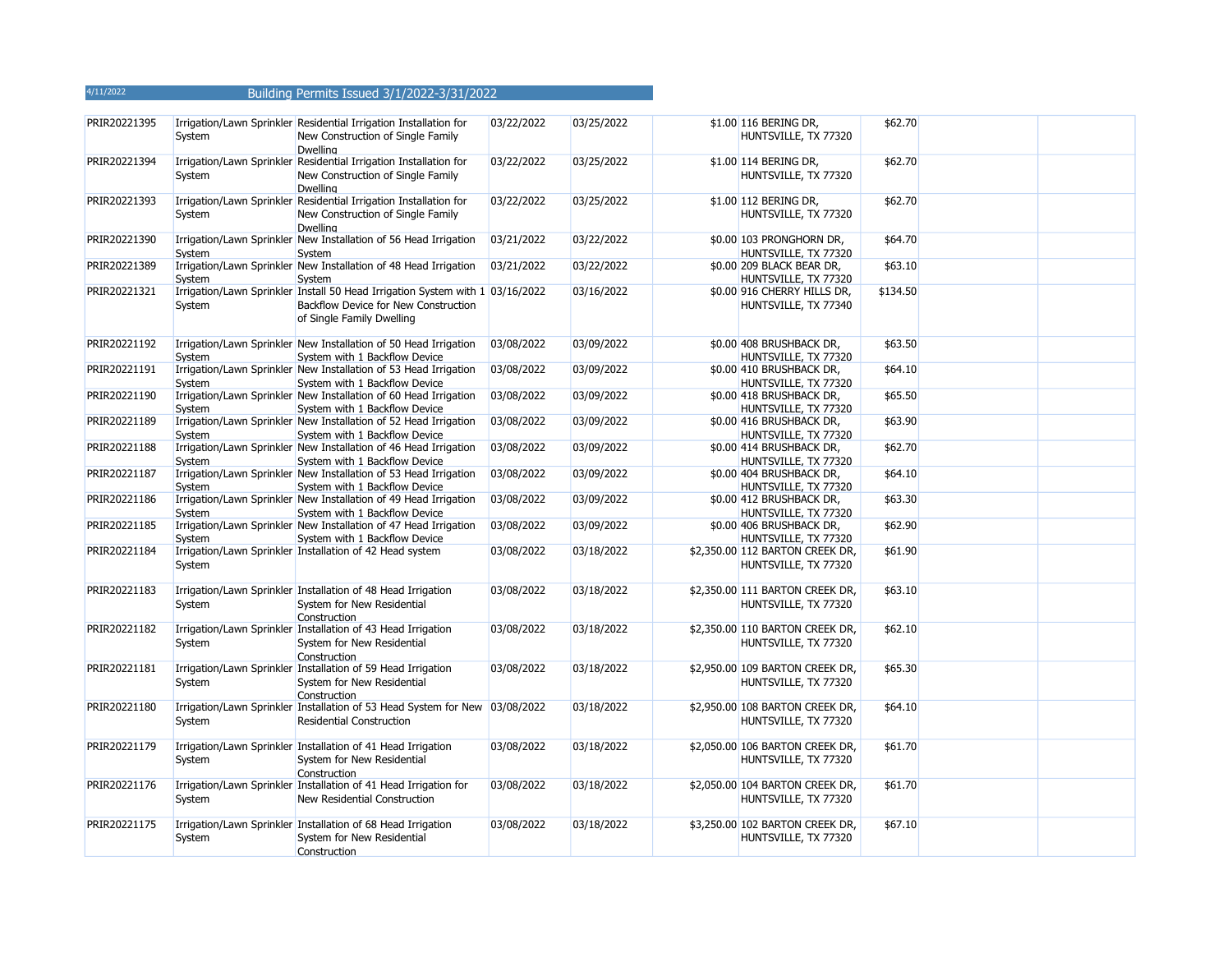| PRIR20221395 | System | Irrigation/Lawn Sprinkler Residential Irrigation Installation for<br>New Construction of Single Family<br><b>Dwelling</b>                          | 03/22/2022 | 03/25/2022 | \$1.00 116 BERING DR,<br>HUNTSVILLE, TX 77320           | \$62.70  |  |
|--------------|--------|----------------------------------------------------------------------------------------------------------------------------------------------------|------------|------------|---------------------------------------------------------|----------|--|
| PRIR20221394 | System | Irrigation/Lawn Sprinkler Residential Irrigation Installation for<br>New Construction of Single Family<br><b>Dwelling</b>                          | 03/22/2022 | 03/25/2022 | \$1.00 114 BERING DR,<br>HUNTSVILLE, TX 77320           | \$62.70  |  |
| PRIR20221393 | System | Irrigation/Lawn Sprinkler Residential Irrigation Installation for<br>New Construction of Single Family<br><b>Dwelling</b>                          | 03/22/2022 | 03/25/2022 | \$1.00 112 BERING DR,<br>HUNTSVILLE, TX 77320           | \$62.70  |  |
| PRIR20221390 | System | Irrigation/Lawn Sprinkler New Installation of 56 Head Irrigation<br>System                                                                         | 03/21/2022 | 03/22/2022 | \$0.00 103 PRONGHORN DR,<br>HUNTSVILLE, TX 77320        | \$64.70  |  |
| PRIR20221389 | System | Irrigation/Lawn Sprinkler New Installation of 48 Head Irrigation<br>System                                                                         | 03/21/2022 | 03/22/2022 | \$0.00 209 BLACK BEAR DR,<br>HUNTSVILLE, TX 77320       | \$63.10  |  |
| PRIR20221321 | System | Irrigation/Lawn Sprinkler Install 50 Head Irrigation System with 1 03/16/2022<br>Backflow Device for New Construction<br>of Single Family Dwelling |            | 03/16/2022 | \$0.00 916 CHERRY HILLS DR,<br>HUNTSVILLE, TX 77340     | \$134.50 |  |
| PRIR20221192 | System | Irrigation/Lawn Sprinkler New Installation of 50 Head Irrigation<br>System with 1 Backflow Device                                                  | 03/08/2022 | 03/09/2022 | \$0.00 408 BRUSHBACK DR,<br>HUNTSVILLE, TX 77320        | \$63.50  |  |
| PRIR20221191 | System | Irrigation/Lawn Sprinkler New Installation of 53 Head Irrigation<br>System with 1 Backflow Device                                                  | 03/08/2022 | 03/09/2022 | \$0.00 410 BRUSHBACK DR,<br>HUNTSVILLE, TX 77320        | \$64.10  |  |
| PRIR20221190 | System | Irrigation/Lawn Sprinkler New Installation of 60 Head Irrigation<br>System with 1 Backflow Device                                                  | 03/08/2022 | 03/09/2022 | \$0.00 418 BRUSHBACK DR,<br>HUNTSVILLE, TX 77320        | \$65.50  |  |
| PRIR20221189 | System | Irrigation/Lawn Sprinkler New Installation of 52 Head Irrigation<br>System with 1 Backflow Device                                                  | 03/08/2022 | 03/09/2022 | \$0.00 416 BRUSHBACK DR,<br>HUNTSVILLE, TX 77320        | \$63.90  |  |
| PRIR20221188 | System | Irrigation/Lawn Sprinkler New Installation of 46 Head Irrigation<br>System with 1 Backflow Device                                                  | 03/08/2022 | 03/09/2022 | \$0.00 414 BRUSHBACK DR,<br>HUNTSVILLE, TX 77320        | \$62.70  |  |
| PRIR20221187 | System | Irrigation/Lawn Sprinkler New Installation of 53 Head Irrigation<br>System with 1 Backflow Device                                                  | 03/08/2022 | 03/09/2022 | \$0.00 404 BRUSHBACK DR,<br>HUNTSVILLE, TX 77320        | \$64.10  |  |
| PRIR20221186 | System | Irrigation/Lawn Sprinkler New Installation of 49 Head Irrigation<br>System with 1 Backflow Device                                                  | 03/08/2022 | 03/09/2022 | \$0.00 412 BRUSHBACK DR,<br>HUNTSVILLE, TX 77320        | \$63.30  |  |
| PRIR20221185 | System | Irrigation/Lawn Sprinkler New Installation of 47 Head Irrigation<br>System with 1 Backflow Device                                                  | 03/08/2022 | 03/09/2022 | \$0.00 406 BRUSHBACK DR,<br>HUNTSVILLE, TX 77320        | \$62.90  |  |
| PRIR20221184 | System | Irrigation/Lawn Sprinkler Installation of 42 Head system                                                                                           | 03/08/2022 | 03/18/2022 | \$2,350.00 112 BARTON CREEK DR,<br>HUNTSVILLE, TX 77320 | \$61.90  |  |
| PRIR20221183 | System | Irrigation/Lawn Sprinkler Installation of 48 Head Irrigation<br>System for New Residential<br>Construction                                         | 03/08/2022 | 03/18/2022 | \$2,350.00 111 BARTON CREEK DR,<br>HUNTSVILLE, TX 77320 | \$63.10  |  |
| PRIR20221182 | System | Irrigation/Lawn Sprinkler Installation of 43 Head Irrigation<br>System for New Residential<br>Construction                                         | 03/08/2022 | 03/18/2022 | \$2,350.00 110 BARTON CREEK DR,<br>HUNTSVILLE, TX 77320 | \$62.10  |  |
| PRIR20221181 | System | Irrigation/Lawn Sprinkler Installation of 59 Head Irrigation<br>System for New Residential<br>Construction                                         | 03/08/2022 | 03/18/2022 | \$2,950.00 109 BARTON CREEK DR,<br>HUNTSVILLE, TX 77320 | \$65.30  |  |
| PRIR20221180 | System | Irrigation/Lawn Sprinkler Installation of 53 Head System for New 03/08/2022<br><b>Residential Construction</b>                                     |            | 03/18/2022 | \$2,950.00 108 BARTON CREEK DR,<br>HUNTSVILLE, TX 77320 | \$64.10  |  |
| PRIR20221179 | System | Irrigation/Lawn Sprinkler Installation of 41 Head Irrigation<br>System for New Residential<br>Construction                                         | 03/08/2022 | 03/18/2022 | \$2,050.00 106 BARTON CREEK DR,<br>HUNTSVILLE, TX 77320 | \$61.70  |  |
| PRIR20221176 | System | Irrigation/Lawn Sprinkler Installation of 41 Head Irrigation for<br>New Residential Construction                                                   | 03/08/2022 | 03/18/2022 | \$2,050.00 104 BARTON CREEK DR,<br>HUNTSVILLE, TX 77320 | \$61.70  |  |
| PRIR20221175 | System | Irrigation/Lawn Sprinkler Installation of 68 Head Irrigation<br>System for New Residential<br>Construction                                         | 03/08/2022 | 03/18/2022 | \$3,250.00 102 BARTON CREEK DR,<br>HUNTSVILLE, TX 77320 | \$67.10  |  |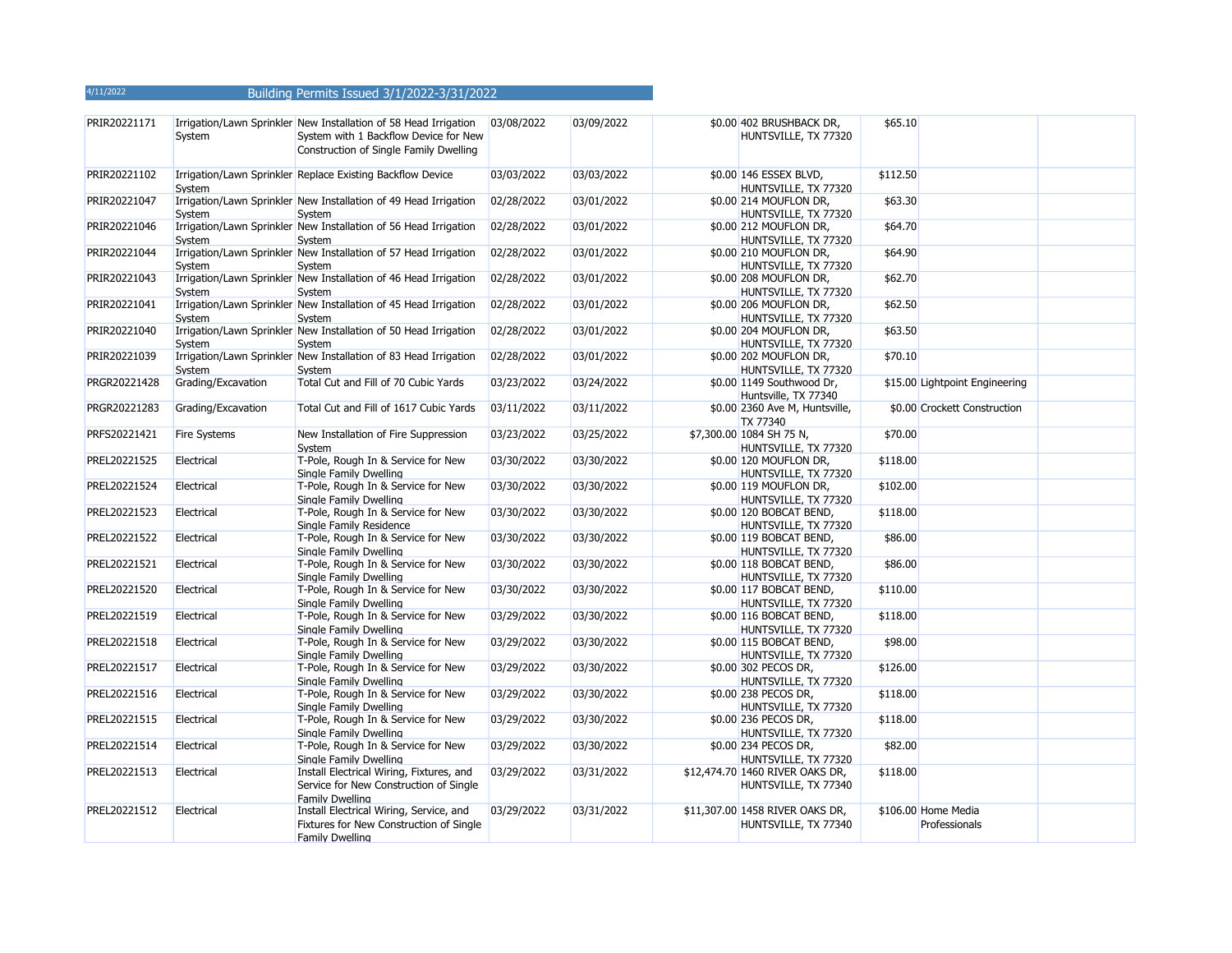| PRIR20221171 | System             | Irrigation/Lawn Sprinkler New Installation of 58 Head Irrigation<br>System with 1 Backflow Device for New<br>Construction of Single Family Dwelling | 03/08/2022 | 03/09/2022 | \$0.00 402 BRUSHBACK DR,<br>HUNTSVILLE, TX 77320        | \$65.10  |                                      |  |
|--------------|--------------------|-----------------------------------------------------------------------------------------------------------------------------------------------------|------------|------------|---------------------------------------------------------|----------|--------------------------------------|--|
| PRIR20221102 | System             | Irrigation/Lawn Sprinkler Replace Existing Backflow Device                                                                                          | 03/03/2022 | 03/03/2022 | \$0.00 146 ESSEX BLVD,<br>HUNTSVILLE, TX 77320          | \$112.50 |                                      |  |
| PRIR20221047 | System             | Irrigation/Lawn Sprinkler New Installation of 49 Head Irrigation<br>System                                                                          | 02/28/2022 | 03/01/2022 | \$0.00 214 MOUFLON DR,<br>HUNTSVILLE, TX 77320          | \$63.30  |                                      |  |
| PRIR20221046 | System             | Irrigation/Lawn Sprinkler New Installation of 56 Head Irrigation<br>Svstem                                                                          | 02/28/2022 | 03/01/2022 | \$0.00 212 MOUFLON DR,<br>HUNTSVILLE, TX 77320          | \$64.70  |                                      |  |
| PRIR20221044 | System             | Irrigation/Lawn Sprinkler New Installation of 57 Head Irrigation<br>System                                                                          | 02/28/2022 | 03/01/2022 | \$0.00 210 MOUFLON DR,<br>HUNTSVILLE, TX 77320          | \$64.90  |                                      |  |
| PRIR20221043 | System             | Irrigation/Lawn Sprinkler New Installation of 46 Head Irrigation<br>System                                                                          | 02/28/2022 | 03/01/2022 | \$0.00 208 MOUFLON DR,<br>HUNTSVILLE, TX 77320          | \$62.70  |                                      |  |
| PRIR20221041 | System             | Irrigation/Lawn Sprinkler New Installation of 45 Head Irrigation<br>System                                                                          | 02/28/2022 | 03/01/2022 | \$0.00 206 MOUFLON DR,<br>HUNTSVILLE, TX 77320          | \$62.50  |                                      |  |
| PRIR20221040 | System             | Irrigation/Lawn Sprinkler New Installation of 50 Head Irrigation<br>System                                                                          | 02/28/2022 | 03/01/2022 | \$0.00 204 MOUFLON DR,<br>HUNTSVILLE, TX 77320          | \$63.50  |                                      |  |
| PRIR20221039 | System             | Irrigation/Lawn Sprinkler New Installation of 83 Head Irrigation<br>System                                                                          | 02/28/2022 | 03/01/2022 | \$0.00 202 MOUFLON DR,<br>HUNTSVILLE, TX 77320          | \$70.10  |                                      |  |
| PRGR20221428 | Grading/Excavation | Total Cut and Fill of 70 Cubic Yards                                                                                                                | 03/23/2022 | 03/24/2022 | \$0.00 1149 Southwood Dr,<br>Huntsville, TX 77340       |          | \$15.00 Lightpoint Engineering       |  |
| PRGR20221283 | Grading/Excavation | Total Cut and Fill of 1617 Cubic Yards                                                                                                              | 03/11/2022 | 03/11/2022 | \$0.00 2360 Ave M, Huntsville,<br>TX 77340              |          | \$0.00 Crockett Construction         |  |
| PRFS20221421 | Fire Systems       | New Installation of Fire Suppression<br>System                                                                                                      | 03/23/2022 | 03/25/2022 | \$7,300.00 1084 SH 75 N,<br>HUNTSVILLE, TX 77320        | \$70.00  |                                      |  |
| PREL20221525 | Electrical         | T-Pole, Rough In & Service for New<br>Single Family Dwelling                                                                                        | 03/30/2022 | 03/30/2022 | \$0.00 120 MOUFLON DR,<br>HUNTSVILLE, TX 77320          | \$118.00 |                                      |  |
| PREL20221524 | Electrical         | T-Pole, Rough In & Service for New<br>Single Family Dwelling                                                                                        | 03/30/2022 | 03/30/2022 | \$0.00 119 MOUFLON DR,<br>HUNTSVILLE, TX 77320          | \$102.00 |                                      |  |
| PREL20221523 | Electrical         | T-Pole, Rough In & Service for New<br>Single Family Residence                                                                                       | 03/30/2022 | 03/30/2022 | \$0.00 120 BOBCAT BEND,<br>HUNTSVILLE, TX 77320         | \$118.00 |                                      |  |
| PREL20221522 | Electrical         | T-Pole, Rough In & Service for New<br>Single Family Dwelling                                                                                        | 03/30/2022 | 03/30/2022 | \$0.00 119 BOBCAT BEND,<br>HUNTSVILLE, TX 77320         | \$86.00  |                                      |  |
| PREL20221521 | Electrical         | T-Pole, Rough In & Service for New<br>Single Family Dwelling                                                                                        | 03/30/2022 | 03/30/2022 | \$0.00 118 BOBCAT BEND,<br>HUNTSVILLE, TX 77320         | \$86.00  |                                      |  |
| PREL20221520 | Electrical         | T-Pole, Rough In & Service for New<br>Single Family Dwelling                                                                                        | 03/30/2022 | 03/30/2022 | \$0.00 117 BOBCAT BEND,<br>HUNTSVILLE, TX 77320         | \$110.00 |                                      |  |
| PREL20221519 | Electrical         | T-Pole, Rough In & Service for New<br>Single Family Dwelling                                                                                        | 03/29/2022 | 03/30/2022 | \$0.00 116 BOBCAT BEND,<br>HUNTSVILLE, TX 77320         | \$118.00 |                                      |  |
| PREL20221518 | Electrical         | T-Pole, Rough In & Service for New<br>Single Family Dwelling                                                                                        | 03/29/2022 | 03/30/2022 | \$0.00 115 BOBCAT BEND,<br>HUNTSVILLE, TX 77320         | \$98.00  |                                      |  |
| PREL20221517 | Electrical         | T-Pole, Rough In & Service for New<br>Single Family Dwelling                                                                                        | 03/29/2022 | 03/30/2022 | \$0.00 302 PECOS DR,<br>HUNTSVILLE, TX 77320            | \$126.00 |                                      |  |
| PREL20221516 | Electrical         | T-Pole, Rough In & Service for New<br>Single Family Dwelling                                                                                        | 03/29/2022 | 03/30/2022 | \$0.00 238 PECOS DR,<br>HUNTSVILLE, TX 77320            | \$118.00 |                                      |  |
| PREL20221515 | Electrical         | T-Pole, Rough In & Service for New<br>Single Family Dwelling                                                                                        | 03/29/2022 | 03/30/2022 | \$0.00 236 PECOS DR,<br>HUNTSVILLE, TX 77320            | \$118.00 |                                      |  |
| PREL20221514 | Electrical         | T-Pole, Rough In & Service for New<br>Single Family Dwelling                                                                                        | 03/29/2022 | 03/30/2022 | \$0.00 234 PECOS DR,<br>HUNTSVILLE, TX 77320            | \$82.00  |                                      |  |
| PREL20221513 | Electrical         | Install Electrical Wiring, Fixtures, and<br>Service for New Construction of Single<br>Family Dwelling                                               | 03/29/2022 | 03/31/2022 | \$12,474.70 1460 RIVER OAKS DR,<br>HUNTSVILLE, TX 77340 | \$118.00 |                                      |  |
| PREL20221512 | Electrical         | Install Electrical Wiring, Service, and<br>Fixtures for New Construction of Single<br>Family Dwelling                                               | 03/29/2022 | 03/31/2022 | \$11,307.00 1458 RIVER OAKS DR,<br>HUNTSVILLE, TX 77340 |          | \$106.00 Home Media<br>Professionals |  |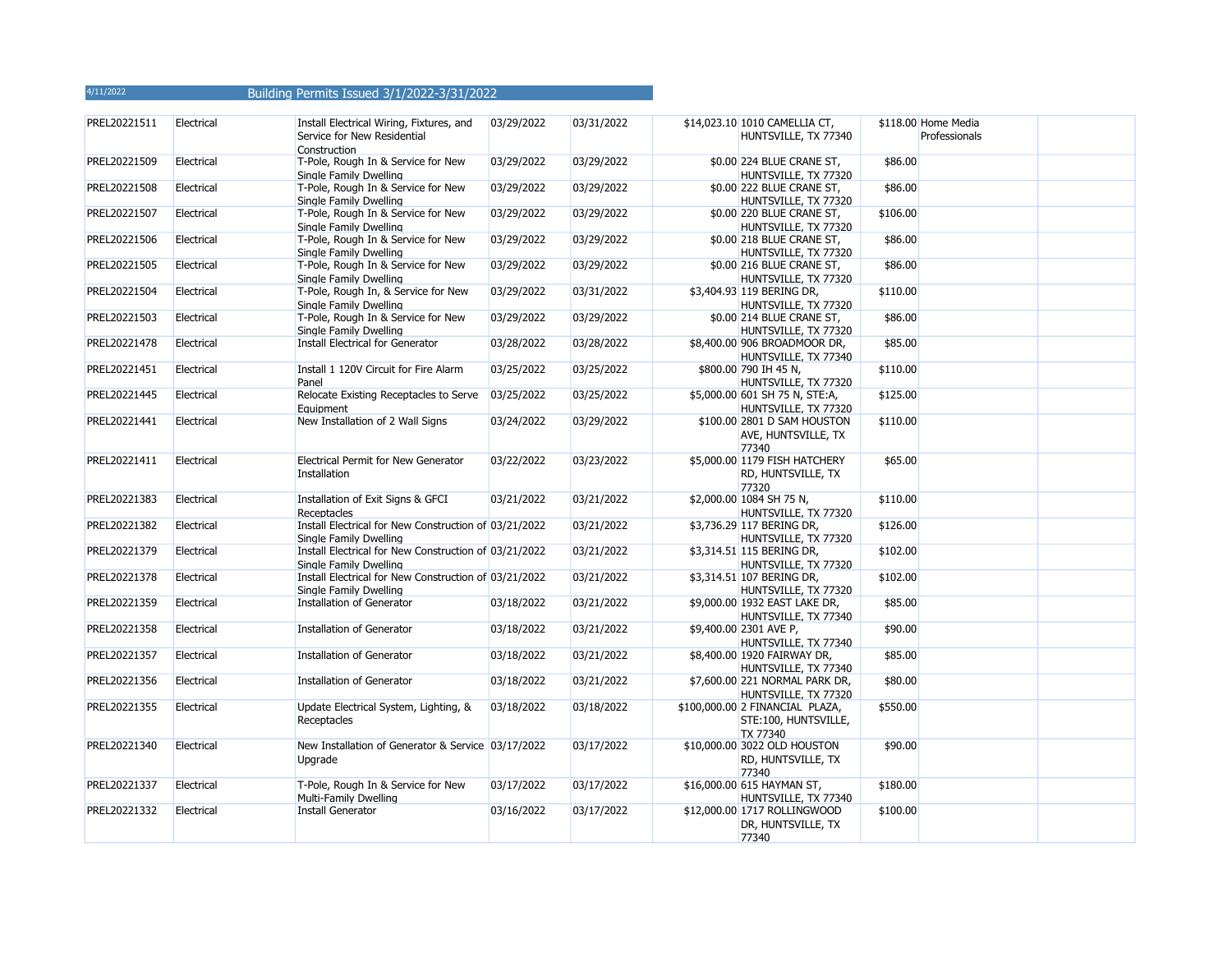| PREL20221511 | Electrical | Install Electrical Wiring, Fixtures, and<br>Service for New Residential<br>Construction | 03/29/2022 | 03/31/2022 | \$14,023.10 1010 CAMELLIA CT,<br>HUNTSVILLE, TX 77340               |          | \$118.00 Home Media<br>Professionals |
|--------------|------------|-----------------------------------------------------------------------------------------|------------|------------|---------------------------------------------------------------------|----------|--------------------------------------|
| PREL20221509 | Electrical | T-Pole, Rough In & Service for New<br>Single Family Dwelling                            | 03/29/2022 | 03/29/2022 | \$0.00 224 BLUE CRANE ST,<br>HUNTSVILLE, TX 77320                   | \$86.00  |                                      |
| PREL20221508 | Electrical | T-Pole, Rough In & Service for New<br>Single Family Dwelling                            | 03/29/2022 | 03/29/2022 | \$0.00 222 BLUE CRANE ST,<br>HUNTSVILLE, TX 77320                   | \$86.00  |                                      |
| PREL20221507 | Electrical | T-Pole, Rough In & Service for New<br>Single Family Dwelling                            | 03/29/2022 | 03/29/2022 | \$0.00 220 BLUE CRANE ST,<br>HUNTSVILLE, TX 77320                   | \$106.00 |                                      |
| PREL20221506 | Electrical | T-Pole, Rough In & Service for New<br>Single Family Dwelling                            | 03/29/2022 | 03/29/2022 | \$0.00 218 BLUE CRANE ST,<br>HUNTSVILLE, TX 77320                   | \$86.00  |                                      |
| PREL20221505 | Electrical | T-Pole, Rough In & Service for New<br>Single Family Dwelling                            | 03/29/2022 | 03/29/2022 | \$0.00 216 BLUE CRANE ST,<br>HUNTSVILLE, TX 77320                   | \$86.00  |                                      |
| PREL20221504 | Electrical | T-Pole, Rough In, & Service for New<br>Single Family Dwelling                           | 03/29/2022 | 03/31/2022 | \$3,404.93 119 BERING DR,<br>HUNTSVILLE, TX 77320                   | \$110.00 |                                      |
| PREL20221503 | Electrical | T-Pole, Rough In & Service for New<br>Single Family Dwelling                            | 03/29/2022 | 03/29/2022 | \$0.00 214 BLUE CRANE ST,<br>HUNTSVILLE, TX 77320                   | \$86.00  |                                      |
| PREL20221478 | Electrical | Install Electrical for Generator                                                        | 03/28/2022 | 03/28/2022 | \$8,400.00 906 BROADMOOR DR,<br>HUNTSVILLE, TX 77340                | \$85.00  |                                      |
| PREL20221451 | Electrical | Install 1 120V Circuit for Fire Alarm<br>Panel                                          | 03/25/2022 | 03/25/2022 | \$800.00 790 IH 45 N,<br>HUNTSVILLE, TX 77320                       | \$110.00 |                                      |
| PREL20221445 | Electrical | Relocate Existing Receptacles to Serve<br>Equipment                                     | 03/25/2022 | 03/25/2022 | \$5,000.00 601 SH 75 N, STE:A,<br>HUNTSVILLE, TX 77320              | \$125.00 |                                      |
| PREL20221441 | Electrical | New Installation of 2 Wall Signs                                                        | 03/24/2022 | 03/29/2022 | \$100.00 2801 D SAM HOUSTON<br>AVE, HUNTSVILLE, TX<br>77340         | \$110.00 |                                      |
| PREL20221411 | Electrical | Electrical Permit for New Generator<br>Installation                                     | 03/22/2022 | 03/23/2022 | \$5,000.00 1179 FISH HATCHERY<br>RD, HUNTSVILLE, TX<br>77320        | \$65.00  |                                      |
| PREL20221383 | Electrical | Installation of Exit Signs & GFCI<br>Receptacles                                        | 03/21/2022 | 03/21/2022 | \$2,000.00 1084 SH 75 N,<br>HUNTSVILLE, TX 77320                    | \$110.00 |                                      |
| PREL20221382 | Electrical | Install Electrical for New Construction of 03/21/2022<br>Single Family Dwelling         |            | 03/21/2022 | \$3,736.29 117 BERING DR,<br>HUNTSVILLE, TX 77320                   | \$126.00 |                                      |
| PREL20221379 | Electrical | Install Electrical for New Construction of 03/21/2022<br>Single Family Dwelling         |            | 03/21/2022 | \$3,314.51 115 BERING DR,<br>HUNTSVILLE, TX 77320                   | \$102.00 |                                      |
| PREL20221378 | Electrical | Install Electrical for New Construction of 03/21/2022<br>Single Family Dwelling         |            | 03/21/2022 | \$3,314.51 107 BERING DR,<br>HUNTSVILLE, TX 77320                   | \$102.00 |                                      |
| PREL20221359 | Electrical | Installation of Generator                                                               | 03/18/2022 | 03/21/2022 | \$9,000.00 1932 EAST LAKE DR,<br>HUNTSVILLE, TX 77340               | \$85.00  |                                      |
| PREL20221358 | Electrical | Installation of Generator                                                               | 03/18/2022 | 03/21/2022 | \$9,400.00 2301 AVE P,<br>HUNTSVILLE, TX 77340                      | \$90.00  |                                      |
| PREL20221357 | Electrical | Installation of Generator                                                               | 03/18/2022 | 03/21/2022 | \$8,400.00 1920 FAIRWAY DR,<br>HUNTSVILLE, TX 77340                 | \$85.00  |                                      |
| PREL20221356 | Electrical | Installation of Generator                                                               | 03/18/2022 | 03/21/2022 | \$7,600.00 221 NORMAL PARK DR,<br>HUNTSVILLE, TX 77320              | \$80.00  |                                      |
| PREL20221355 | Electrical | Update Electrical System, Lighting, &<br>Receptacles                                    | 03/18/2022 | 03/18/2022 | \$100,000.00 2 FINANCIAL PLAZA,<br>STE:100, HUNTSVILLE,<br>TX 77340 | \$550.00 |                                      |
| PREL20221340 | Electrical | New Installation of Generator & Service 03/17/2022<br>Upgrade                           |            | 03/17/2022 | \$10,000.00 3022 OLD HOUSTON<br>RD, HUNTSVILLE, TX<br>77340         | \$90.00  |                                      |
| PREL20221337 | Electrical | T-Pole, Rough In & Service for New<br>Multi-Family Dwelling                             | 03/17/2022 | 03/17/2022 | \$16,000.00 615 HAYMAN ST,<br>HUNTSVILLE, TX 77340                  | \$180.00 |                                      |
| PREL20221332 | Electrical | Install Generator                                                                       | 03/16/2022 | 03/17/2022 | \$12,000.00 1717 ROLLINGWOOD<br>DR, HUNTSVILLE, TX<br>77340         | \$100.00 |                                      |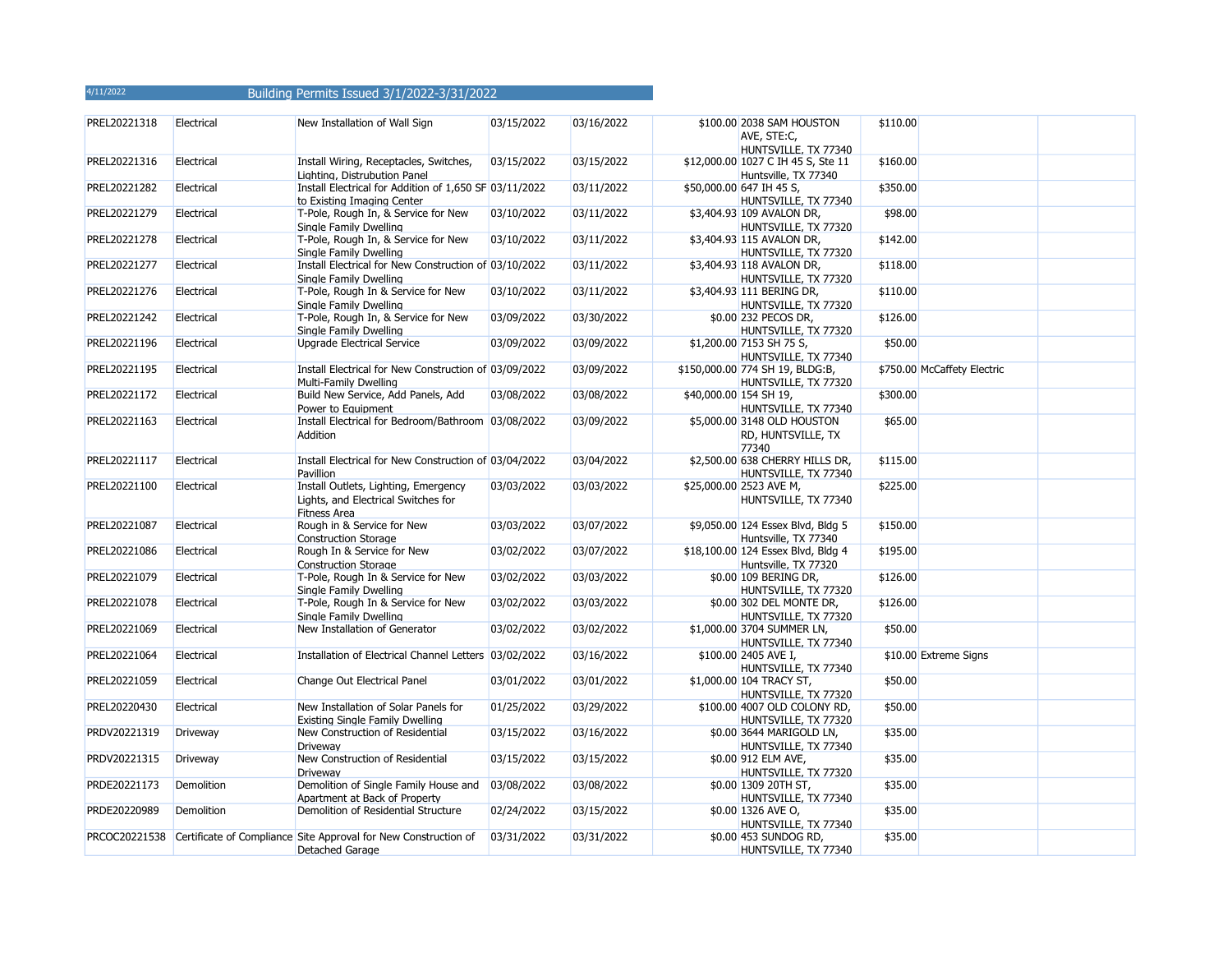| PREL20221318 | Electrical        | New Installation of Wall Sign                                                                      | 03/15/2022 | 03/16/2022 | \$100.00 2038 SAM HOUSTON<br>AVE, STE:C,<br>HUNTSVILLE, TX 77340 | \$110.00 |                             |  |
|--------------|-------------------|----------------------------------------------------------------------------------------------------|------------|------------|------------------------------------------------------------------|----------|-----------------------------|--|
| PREL20221316 | Electrical        | Install Wiring, Receptacles, Switches,<br>Lighting, Distrubution Panel                             | 03/15/2022 | 03/15/2022 | \$12,000.00 1027 C IH 45 S, Ste 11<br>Huntsville, TX 77340       | \$160.00 |                             |  |
| PREL20221282 | Electrical        | Install Electrical for Addition of 1,650 SF 03/11/2022<br>to Existing Imaging Center               |            | 03/11/2022 | \$50,000.00 647 IH 45 S,<br>HUNTSVILLE, TX 77340                 | \$350.00 |                             |  |
| PREL20221279 | Electrical        | T-Pole, Rough In, & Service for New<br>Single Family Dwelling                                      | 03/10/2022 | 03/11/2022 | \$3,404.93 109 AVALON DR,<br>HUNTSVILLE, TX 77320                | \$98.00  |                             |  |
| PREL20221278 | Electrical        | T-Pole, Rough In, & Service for New<br>Single Family Dwelling                                      | 03/10/2022 | 03/11/2022 | \$3,404.93 115 AVALON DR,<br>HUNTSVILLE, TX 77320                | \$142.00 |                             |  |
| PREL20221277 | Electrical        | Install Electrical for New Construction of 03/10/2022<br>Single Family Dwelling                    |            | 03/11/2022 | \$3,404.93 118 AVALON DR,<br>HUNTSVILLE, TX 77320                | \$118.00 |                             |  |
| PREL20221276 | Electrical        | T-Pole, Rough In & Service for New<br>Single Family Dwelling                                       | 03/10/2022 | 03/11/2022 | \$3,404.93 111 BERING DR,<br>HUNTSVILLE, TX 77320                | \$110.00 |                             |  |
| PREL20221242 | Electrical        | T-Pole, Rough In, & Service for New<br>Single Family Dwelling                                      | 03/09/2022 | 03/30/2022 | \$0.00 232 PECOS DR,<br>HUNTSVILLE, TX 77320                     | \$126.00 |                             |  |
| PREL20221196 | Electrical        | Upgrade Electrical Service                                                                         | 03/09/2022 | 03/09/2022 | \$1,200.00 7153 SH 75 S,<br>HUNTSVILLE, TX 77340                 | \$50.00  |                             |  |
| PREL20221195 | Electrical        | Install Electrical for New Construction of 03/09/2022<br>Multi-Family Dwelling                     |            | 03/09/2022 | \$150,000.00 774 SH 19, BLDG:B,<br>HUNTSVILLE, TX 77320          |          | \$750.00 McCaffety Electric |  |
| PREL20221172 | Electrical        | Build New Service, Add Panels, Add<br>Power to Equipment                                           | 03/08/2022 | 03/08/2022 | \$40,000.00 154 SH 19,<br>HUNTSVILLE, TX 77340                   | \$300.00 |                             |  |
| PREL20221163 | Electrical        | Install Electrical for Bedroom/Bathroom 03/08/2022<br>Addition                                     |            | 03/09/2022 | \$5,000.00 3148 OLD HOUSTON<br>RD, HUNTSVILLE, TX<br>77340       | \$65.00  |                             |  |
| PREL20221117 | Electrical        | Install Electrical for New Construction of 03/04/2022<br>Pavillion                                 |            | 03/04/2022 | \$2,500.00 638 CHERRY HILLS DR,<br>HUNTSVILLE, TX 77340          | \$115.00 |                             |  |
| PREL20221100 | Electrical        | Install Outlets, Lighting, Emergency<br>Lights, and Electrical Switches for<br><b>Fitness Area</b> | 03/03/2022 | 03/03/2022 | \$25,000.00 2523 AVE M,<br>HUNTSVILLE, TX 77340                  | \$225.00 |                             |  |
| PREL20221087 | Electrical        | Rough in & Service for New<br><b>Construction Storage</b>                                          | 03/03/2022 | 03/07/2022 | \$9,050.00 124 Essex Blvd, Bldg 5<br>Huntsville, TX 77340        | \$150.00 |                             |  |
| PREL20221086 | Electrical        | Rough In & Service for New<br><b>Construction Storage</b>                                          | 03/02/2022 | 03/07/2022 | \$18,100.00 124 Essex Blvd, Bldg 4<br>Huntsville, TX 77320       | \$195.00 |                             |  |
| PREL20221079 | Electrical        | T-Pole, Rough In & Service for New<br>Single Family Dwelling                                       | 03/02/2022 | 03/03/2022 | \$0.00 109 BERING DR,<br>HUNTSVILLE, TX 77320                    | \$126.00 |                             |  |
| PREL20221078 | Electrical        | T-Pole, Rough In & Service for New<br>Single Family Dwelling                                       | 03/02/2022 | 03/03/2022 | \$0.00 302 DEL MONTE DR,<br>HUNTSVILLE, TX 77320                 | \$126.00 |                             |  |
| PREL20221069 | Electrical        | New Installation of Generator                                                                      | 03/02/2022 | 03/02/2022 | \$1,000.00 3704 SUMMER LN,<br>HUNTSVILLE, TX 77340               | \$50.00  |                             |  |
| PREL20221064 | Electrical        | Installation of Electrical Channel Letters 03/02/2022                                              |            | 03/16/2022 | \$100.00 2405 AVE I,<br>HUNTSVILLE, TX 77340                     |          | \$10.00 Extreme Signs       |  |
| PREL20221059 | Electrical        | Change Out Electrical Panel                                                                        | 03/01/2022 | 03/01/2022 | \$1,000.00 104 TRACY ST,<br>HUNTSVILLE, TX 77320                 | \$50.00  |                             |  |
| PREL20220430 | Electrical        | New Installation of Solar Panels for<br>Existing Single Family Dwelling                            | 01/25/2022 | 03/29/2022 | \$100.00 4007 OLD COLONY RD,<br>HUNTSVILLE, TX 77320             | \$50.00  |                             |  |
| PRDV20221319 | Driveway          | New Construction of Residential<br>Driveway                                                        | 03/15/2022 | 03/16/2022 | \$0.00 3644 MARIGOLD LN,<br>HUNTSVILLE, TX 77340                 | \$35.00  |                             |  |
| PRDV20221315 | Driveway          | New Construction of Residential<br>Driveway                                                        | 03/15/2022 | 03/15/2022 | \$0.00 912 ELM AVE,<br>HUNTSVILLE, TX 77320                      | \$35.00  |                             |  |
| PRDE20221173 | <b>Demolition</b> | Demolition of Single Family House and<br>Apartment at Back of Property                             | 03/08/2022 | 03/08/2022 | \$0.00 1309 20TH ST,<br>HUNTSVILLE, TX 77340                     | \$35.00  |                             |  |
| PRDE20220989 | <b>Demolition</b> | Demolition of Residential Structure                                                                | 02/24/2022 | 03/15/2022 | \$0.00 1326 AVE O,<br>HUNTSVILLE, TX 77340                       | \$35.00  |                             |  |
|              |                   | PRCOC20221538 Certificate of Compliance Site Approval for New Construction of<br>Detached Garage   | 03/31/2022 | 03/31/2022 | \$0.00 453 SUNDOG RD,<br>HUNTSVILLE, TX 77340                    | \$35.00  |                             |  |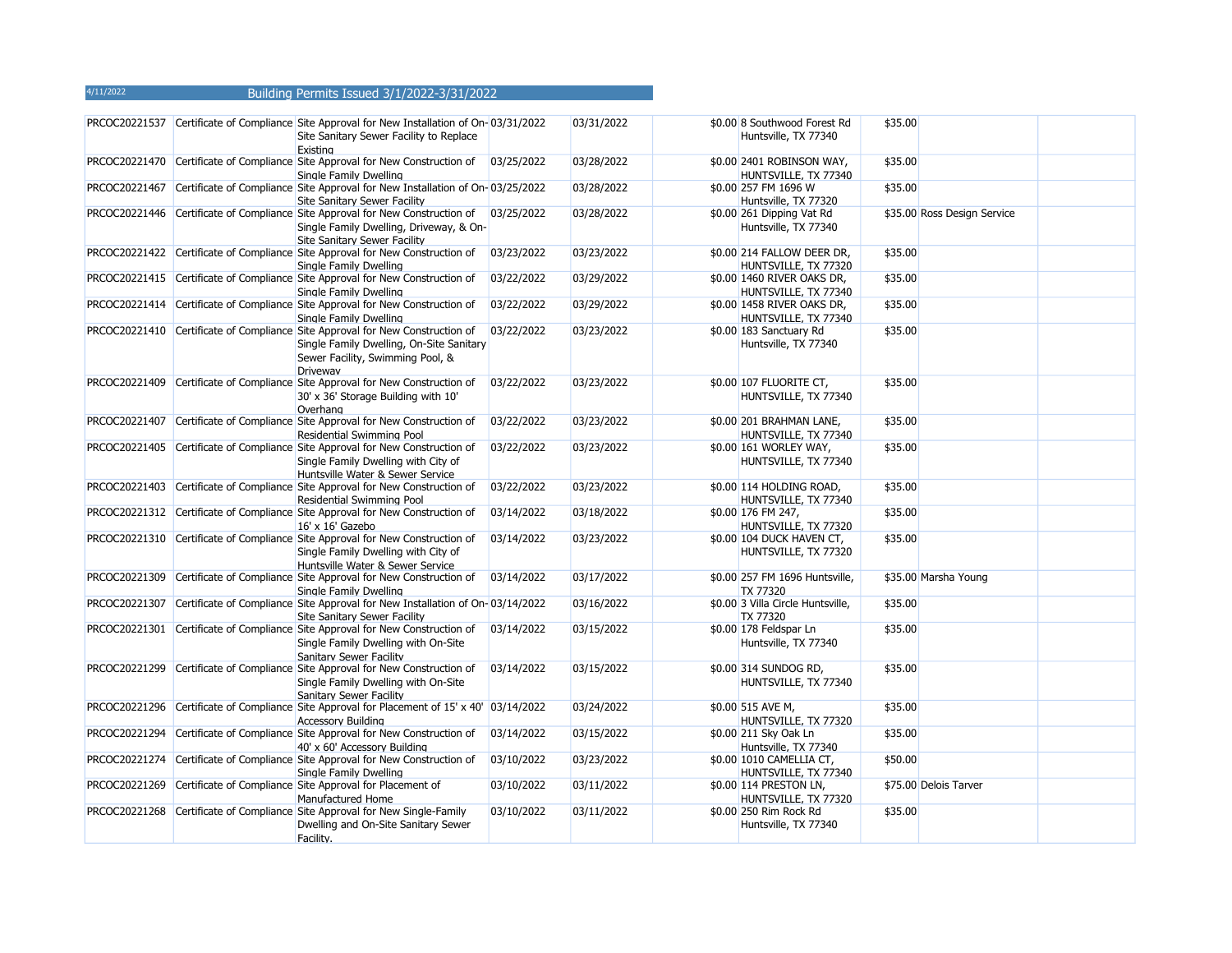|               | PRCOC20221537 Certificate of Compliance Site Approval for New Installation of On-03/31/2022<br>Site Sanitary Sewer Facility to Replace<br>Existing                        |            | 03/31/2022 | \$0.00 8 Southwood Forest Rd<br>Huntsville, TX 77340 | \$35.00 |                             |  |
|---------------|---------------------------------------------------------------------------------------------------------------------------------------------------------------------------|------------|------------|------------------------------------------------------|---------|-----------------------------|--|
|               | PRCOC20221470 Certificate of Compliance Site Approval for New Construction of<br>Single Family Dwelling                                                                   | 03/25/2022 | 03/28/2022 | \$0.00 2401 ROBINSON WAY,<br>HUNTSVILLE, TX 77340    | \$35.00 |                             |  |
|               | PRCOC20221467 Certificate of Compliance Site Approval for New Installation of On-03/25/2022<br>Site Sanitary Sewer Facility                                               |            | 03/28/2022 | \$0.00 257 FM 1696 W<br>Huntsville, TX 77320         | \$35.00 |                             |  |
|               | PRCOC20221446 Certificate of Compliance Site Approval for New Construction of<br>Single Family Dwelling, Driveway, & On-<br>Site Sanitary Sewer Facility                  | 03/25/2022 | 03/28/2022 | \$0.00 261 Dipping Vat Rd<br>Huntsville, TX 77340    |         | \$35.00 Ross Design Service |  |
|               | PRCOC20221422 Certificate of Compliance Site Approval for New Construction of<br>Single Family Dwelling                                                                   | 03/23/2022 | 03/23/2022 | \$0.00 214 FALLOW DEER DR,<br>HUNTSVILLE, TX 77320   | \$35.00 |                             |  |
|               | PRCOC20221415 Certificate of Compliance Site Approval for New Construction of<br>Single Family Dwelling                                                                   | 03/22/2022 | 03/29/2022 | \$0.00 1460 RIVER OAKS DR,<br>HUNTSVILLE, TX 77340   | \$35.00 |                             |  |
|               | PRCOC20221414 Certificate of Compliance Site Approval for New Construction of<br>Single Family Dwelling                                                                   | 03/22/2022 | 03/29/2022 | \$0.00 1458 RIVER OAKS DR,<br>HUNTSVILLE, TX 77340   | \$35.00 |                             |  |
|               | PRCOC20221410 Certificate of Compliance Site Approval for New Construction of<br>Single Family Dwelling, On-Site Sanitary<br>Sewer Facility, Swimming Pool, &<br>Driveway | 03/22/2022 | 03/23/2022 | \$0.00 183 Sanctuary Rd<br>Huntsville, TX 77340      | \$35.00 |                             |  |
|               | PRCOC20221409 Certificate of Compliance Site Approval for New Construction of<br>30' x 36' Storage Building with 10'<br>Overhang                                          | 03/22/2022 | 03/23/2022 | \$0.00 107 FLUORITE CT,<br>HUNTSVILLE, TX 77340      | \$35.00 |                             |  |
|               | PRCOC20221407 Certificate of Compliance Site Approval for New Construction of<br>Residential Swimming Pool                                                                | 03/22/2022 | 03/23/2022 | \$0.00 201 BRAHMAN LANE,<br>HUNTSVILLE, TX 77340     | \$35.00 |                             |  |
|               | PRCOC20221405 Certificate of Compliance Site Approval for New Construction of<br>Single Family Dwelling with City of<br>Huntsville Water & Sewer Service                  | 03/22/2022 | 03/23/2022 | \$0.00 161 WORLEY WAY,<br>HUNTSVILLE, TX 77340       | \$35.00 |                             |  |
|               | PRCOC20221403 Certificate of Compliance Site Approval for New Construction of<br>Residential Swimming Pool                                                                | 03/22/2022 | 03/23/2022 | \$0.00 114 HOLDING ROAD,<br>HUNTSVILLE, TX 77340     | \$35.00 |                             |  |
|               | PRCOC20221312 Certificate of Compliance Site Approval for New Construction of<br>16' x 16' Gazebo                                                                         | 03/14/2022 | 03/18/2022 | \$0.00 176 FM 247,<br>HUNTSVILLE, TX 77320           | \$35.00 |                             |  |
|               | PRCOC20221310 Certificate of Compliance Site Approval for New Construction of<br>Single Family Dwelling with City of<br>Huntsville Water & Sewer Service                  | 03/14/2022 | 03/23/2022 | \$0.00 104 DUCK HAVEN CT,<br>HUNTSVILLE, TX 77320    | \$35.00 |                             |  |
|               | PRCOC20221309 Certificate of Compliance Site Approval for New Construction of<br>Single Family Dwelling                                                                   | 03/14/2022 | 03/17/2022 | \$0.00 257 FM 1696 Huntsville,<br><b>TX 77320</b>    |         | \$35.00 Marsha Young        |  |
| PRCOC20221307 | Certificate of Compliance Site Approval for New Installation of On-03/14/2022<br>Site Sanitary Sewer Facility                                                             |            | 03/16/2022 | \$0.00 3 Villa Circle Huntsville,<br><b>TX 77320</b> | \$35.00 |                             |  |
|               | PRCOC20221301 Certificate of Compliance Site Approval for New Construction of<br>Single Family Dwelling with On-Site<br>Sanitary Sewer Facility                           | 03/14/2022 | 03/15/2022 | \$0.00 178 Feldspar Ln<br>Huntsville, TX 77340       | \$35.00 |                             |  |
|               | PRCOC20221299 Certificate of Compliance Site Approval for New Construction of<br>Single Family Dwelling with On-Site<br>Sanitary Sewer Facility                           | 03/14/2022 | 03/15/2022 | \$0.00 314 SUNDOG RD,<br>HUNTSVILLE, TX 77340        | \$35.00 |                             |  |
| PRCOC20221296 | Certificate of Compliance Site Approval for Placement of 15' x 40' 03/14/2022<br><b>Accessory Building</b>                                                                |            | 03/24/2022 | \$0.00 515 AVE M,<br>HUNTSVILLE, TX 77320            | \$35.00 |                             |  |
|               | PRCOC20221294 Certificate of Compliance Site Approval for New Construction of<br>40' x 60' Accessory Building                                                             | 03/14/2022 | 03/15/2022 | \$0.00 211 Sky Oak Ln<br>Huntsville, TX 77340        | \$35.00 |                             |  |
|               | PRCOC20221274 Certificate of Compliance Site Approval for New Construction of<br>Single Family Dwelling                                                                   | 03/10/2022 | 03/23/2022 | \$0.00 1010 CAMELLIA CT,<br>HUNTSVILLE, TX 77340     | \$50.00 |                             |  |
|               | PRCOC20221269 Certificate of Compliance Site Approval for Placement of<br>Manufactured Home                                                                               | 03/10/2022 | 03/11/2022 | \$0.00 114 PRESTON LN,<br>HUNTSVILLE, TX 77320       |         | \$75.00 Delois Tarver       |  |
|               | PRCOC20221268 Certificate of Compliance Site Approval for New Single-Family<br>Dwelling and On-Site Sanitary Sewer<br>Facility.                                           | 03/10/2022 | 03/11/2022 | \$0.00 250 Rim Rock Rd<br>Huntsville, TX 77340       | \$35.00 |                             |  |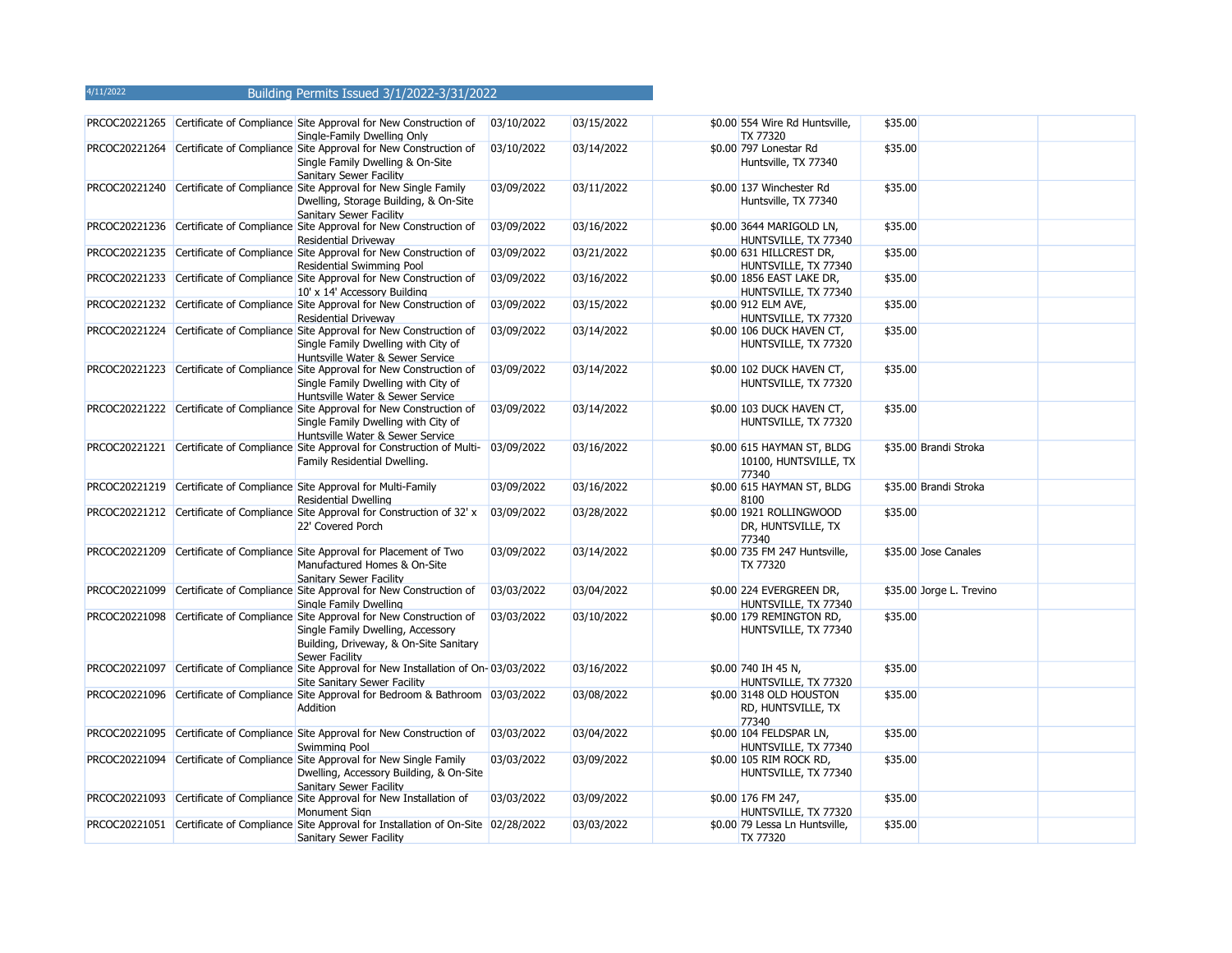|  | PRCOC20221265 Certificate of Compliance Site Approval for New Construction of<br>Single-Family Dwelling Only                                                                          | 03/10/2022 | 03/15/2022 | \$0.00 554 Wire Rd Huntsville,<br><b>TX 77320</b>            | \$35.00 |                          |
|--|---------------------------------------------------------------------------------------------------------------------------------------------------------------------------------------|------------|------------|--------------------------------------------------------------|---------|--------------------------|
|  | PRCOC20221264 Certificate of Compliance Site Approval for New Construction of<br>Single Family Dwelling & On-Site<br>Sanitary Sewer Facility                                          | 03/10/2022 | 03/14/2022 | \$0.00 797 Lonestar Rd<br>Huntsville, TX 77340               | \$35.00 |                          |
|  | PRCOC20221240 Certificate of Compliance Site Approval for New Single Family<br>Dwelling, Storage Building, & On-Site<br>Sanitary Sewer Facility                                       | 03/09/2022 | 03/11/2022 | \$0.00 137 Winchester Rd<br>Huntsville, TX 77340             | \$35.00 |                          |
|  | PRCOC20221236 Certificate of Compliance Site Approval for New Construction of<br><b>Residential Driveway</b>                                                                          | 03/09/2022 | 03/16/2022 | \$0.00 3644 MARIGOLD LN,<br>HUNTSVILLE, TX 77340             | \$35.00 |                          |
|  | PRCOC20221235 Certificate of Compliance Site Approval for New Construction of<br>Residential Swimming Pool                                                                            | 03/09/2022 | 03/21/2022 | \$0.00 631 HILLCREST DR,<br>HUNTSVILLE, TX 77340             | \$35.00 |                          |
|  | PRCOC20221233 Certificate of Compliance Site Approval for New Construction of<br>10' x 14' Accessory Building                                                                         | 03/09/2022 | 03/16/2022 | \$0.00 1856 EAST LAKE DR,<br>HUNTSVILLE, TX 77340            | \$35.00 |                          |
|  | PRCOC20221232 Certificate of Compliance Site Approval for New Construction of<br><b>Residential Driveway</b>                                                                          | 03/09/2022 | 03/15/2022 | \$0.00 912 ELM AVE,<br>HUNTSVILLE, TX 77320                  | \$35.00 |                          |
|  | PRCOC20221224 Certificate of Compliance Site Approval for New Construction of<br>Single Family Dwelling with City of<br>Huntsville Water & Sewer Service                              | 03/09/2022 | 03/14/2022 | \$0.00 106 DUCK HAVEN CT,<br>HUNTSVILLE, TX 77320            | \$35.00 |                          |
|  | PRCOC20221223 Certificate of Compliance Site Approval for New Construction of<br>Single Family Dwelling with City of<br>Huntsville Water & Sewer Service                              | 03/09/2022 | 03/14/2022 | \$0.00 102 DUCK HAVEN CT,<br>HUNTSVILLE, TX 77320            | \$35.00 |                          |
|  | PRCOC20221222 Certificate of Compliance Site Approval for New Construction of<br>Single Family Dwelling with City of<br>Huntsville Water & Sewer Service                              | 03/09/2022 | 03/14/2022 | \$0.00 103 DUCK HAVEN CT,<br>HUNTSVILLE, TX 77320            | \$35.00 |                          |
|  | PRCOC20221221 Certificate of Compliance Site Approval for Construction of Multi- 03/09/2022<br>Family Residential Dwelling.                                                           |            | 03/16/2022 | \$0.00 615 HAYMAN ST, BLDG<br>10100, HUNTSVILLE, TX<br>77340 |         | \$35.00 Brandi Stroka    |
|  | PRCOC20221219 Certificate of Compliance Site Approval for Multi-Family<br><b>Residential Dwelling</b>                                                                                 | 03/09/2022 | 03/16/2022 | \$0.00 615 HAYMAN ST, BLDG<br>8100                           |         | \$35.00 Brandi Stroka    |
|  | PRCOC20221212 Certificate of Compliance Site Approval for Construction of 32' x<br>22' Covered Porch                                                                                  | 03/09/2022 | 03/28/2022 | \$0.00 1921 ROLLINGWOOD<br>DR, HUNTSVILLE, TX<br>77340       | \$35.00 |                          |
|  | PRCOC20221209 Certificate of Compliance Site Approval for Placement of Two<br>Manufactured Homes & On-Site<br>Sanitary Sewer Facility                                                 | 03/09/2022 | 03/14/2022 | \$0.00 735 FM 247 Huntsville,<br>TX 77320                    |         | \$35.00 Jose Canales     |
|  | PRCOC20221099 Certificate of Compliance Site Approval for New Construction of<br>Single Family Dwelling                                                                               | 03/03/2022 | 03/04/2022 | \$0.00 224 EVERGREEN DR,<br>HUNTSVILLE, TX 77340             |         | \$35.00 Jorge L. Trevino |
|  | PRCOC20221098 Certificate of Compliance Site Approval for New Construction of<br>Single Family Dwelling, Accessory<br>Building, Driveway, & On-Site Sanitary<br><b>Sewer Facility</b> | 03/03/2022 | 03/10/2022 | \$0.00 179 REMINGTON RD,<br>HUNTSVILLE, TX 77340             | \$35.00 |                          |
|  | PRCOC20221097 Certificate of Compliance Site Approval for New Installation of On-03/03/2022<br>Site Sanitary Sewer Facility                                                           |            | 03/16/2022 | \$0.00 740 IH 45 N,<br>HUNTSVILLE, TX 77320                  | \$35.00 |                          |
|  | PRCOC20221096 Certificate of Compliance Site Approval for Bedroom & Bathroom 03/03/2022<br>Addition                                                                                   |            | 03/08/2022 | \$0.00 3148 OLD HOUSTON<br>RD, HUNTSVILLE, TX<br>77340       | \$35.00 |                          |
|  | PRCOC20221095 Certificate of Compliance Site Approval for New Construction of<br>Swimming Pool                                                                                        | 03/03/2022 | 03/04/2022 | \$0.00 104 FELDSPAR LN,<br>HUNTSVILLE, TX 77340              | \$35.00 |                          |
|  | PRCOC20221094 Certificate of Compliance Site Approval for New Single Family<br>Dwelling, Accessory Building, & On-Site<br>Sanitary Sewer Facility                                     | 03/03/2022 | 03/09/2022 | \$0.00 105 RIM ROCK RD,<br>HUNTSVILLE, TX 77340              | \$35.00 |                          |
|  | PRCOC20221093 Certificate of Compliance Site Approval for New Installation of<br>Monument Sian                                                                                        | 03/03/2022 | 03/09/2022 | \$0.00 176 FM 247,<br>HUNTSVILLE, TX 77320                   | \$35.00 |                          |
|  | PRCOC20221051 Certificate of Compliance Site Approval for Installation of On-Site 02/28/2022<br>Sanitary Sewer Facility                                                               |            | 03/03/2022 | \$0.00 79 Lessa Ln Huntsville,<br>TX 77320                   | \$35.00 |                          |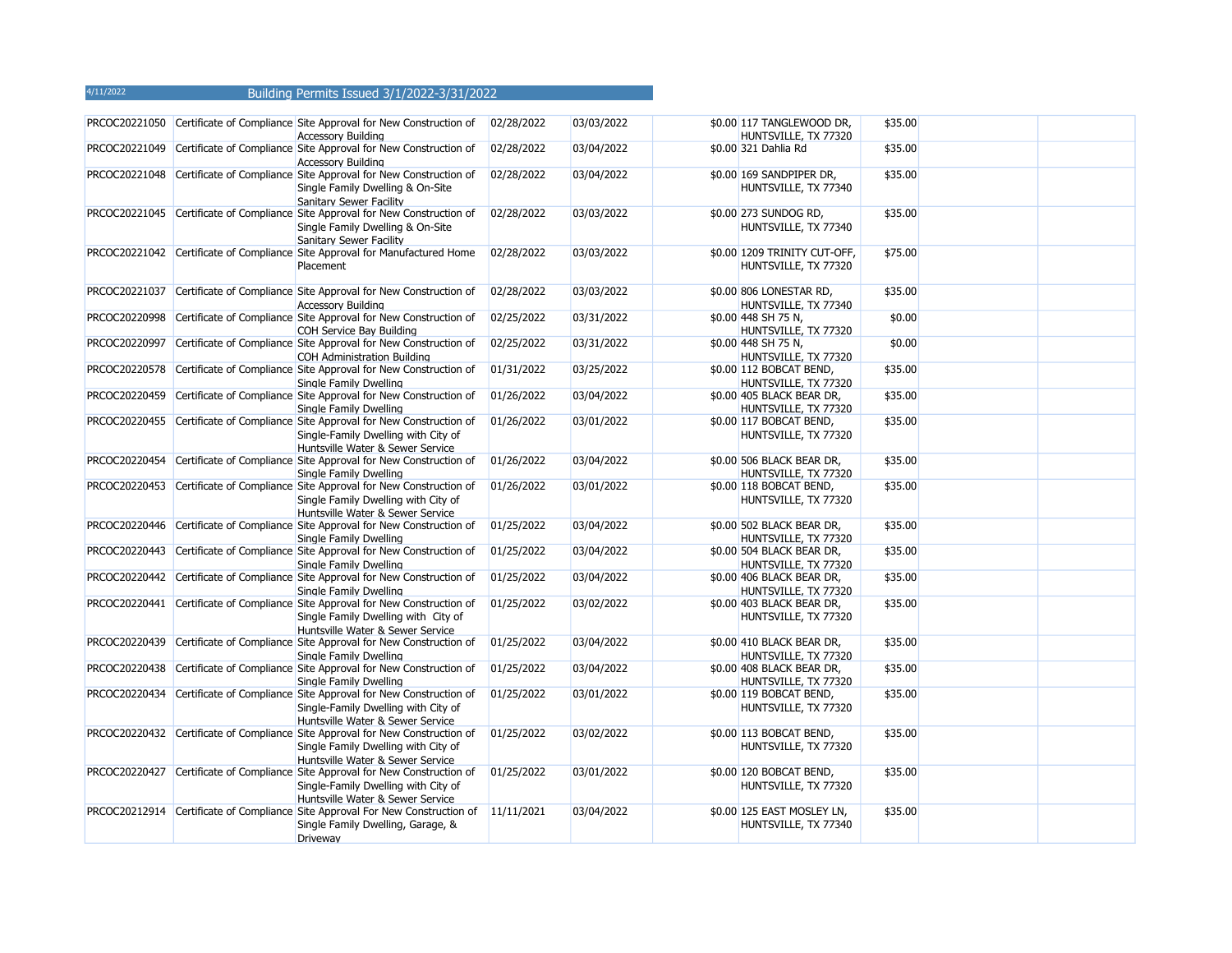|               | PRCOC20221050 Certificate of Compliance Site Approval for New Construction of<br><b>Accessory Building</b>                                               | 02/28/2022 | 03/03/2022 | \$0.00 117 TANGLEWOOD DR,<br>HUNTSVILLE, TX 77320    | \$35.00 |  |
|---------------|----------------------------------------------------------------------------------------------------------------------------------------------------------|------------|------------|------------------------------------------------------|---------|--|
|               | PRCOC20221049 Certificate of Compliance Site Approval for New Construction of<br><b>Accessory Building</b>                                               | 02/28/2022 | 03/04/2022 | \$0.00 321 Dahlia Rd                                 | \$35.00 |  |
|               | PRCOC20221048 Certificate of Compliance Site Approval for New Construction of<br>Single Family Dwelling & On-Site<br>Sanitary Sewer Facility             | 02/28/2022 | 03/04/2022 | \$0.00 169 SANDPIPER DR,<br>HUNTSVILLE, TX 77340     | \$35.00 |  |
|               | PRCOC20221045 Certificate of Compliance Site Approval for New Construction of<br>Single Family Dwelling & On-Site<br>Sanitary Sewer Facility             | 02/28/2022 | 03/03/2022 | \$0.00 273 SUNDOG RD,<br>HUNTSVILLE, TX 77340        | \$35.00 |  |
|               | PRCOC20221042 Certificate of Compliance Site Approval for Manufactured Home<br>Placement                                                                 | 02/28/2022 | 03/03/2022 | \$0.00 1209 TRINITY CUT-OFF,<br>HUNTSVILLE, TX 77320 | \$75.00 |  |
| PRCOC20221037 | Certificate of Compliance Site Approval for New Construction of<br><b>Accessory Building</b>                                                             | 02/28/2022 | 03/03/2022 | \$0.00 806 LONESTAR RD,<br>HUNTSVILLE, TX 77340      | \$35.00 |  |
| PRCOC20220998 | Certificate of Compliance Site Approval for New Construction of<br>COH Service Bay Building                                                              | 02/25/2022 | 03/31/2022 | \$0.00 448 SH 75 N,<br>HUNTSVILLE, TX 77320          | \$0.00  |  |
| PRCOC20220997 | Certificate of Compliance Site Approval for New Construction of<br><b>COH Administration Building</b>                                                    | 02/25/2022 | 03/31/2022 | \$0.00 448 SH 75 N,<br>HUNTSVILLE, TX 77320          | \$0.00  |  |
| PRCOC20220578 | Certificate of Compliance Site Approval for New Construction of<br>Sinale Family Dwelling                                                                | 01/31/2022 | 03/25/2022 | \$0.00 112 BOBCAT BEND,<br>HUNTSVILLE, TX 77320      | \$35.00 |  |
| PRCOC20220459 | Certificate of Compliance Site Approval for New Construction of<br>Single Family Dwelling                                                                | 01/26/2022 | 03/04/2022 | \$0.00 405 BLACK BEAR DR,<br>HUNTSVILLE, TX 77320    | \$35.00 |  |
|               | PRCOC20220455 Certificate of Compliance Site Approval for New Construction of<br>Single-Family Dwelling with City of<br>Huntsville Water & Sewer Service | 01/26/2022 | 03/01/2022 | \$0.00 117 BOBCAT BEND,<br>HUNTSVILLE, TX 77320      | \$35.00 |  |
|               | PRCOC20220454 Certificate of Compliance Site Approval for New Construction of<br>Single Family Dwelling                                                  | 01/26/2022 | 03/04/2022 | \$0.00 506 BLACK BEAR DR,<br>HUNTSVILLE, TX 77320    | \$35.00 |  |
|               | PRCOC20220453 Certificate of Compliance Site Approval for New Construction of<br>Single Family Dwelling with City of<br>Huntsville Water & Sewer Service | 01/26/2022 | 03/01/2022 | \$0.00 118 BOBCAT BEND,<br>HUNTSVILLE, TX 77320      | \$35.00 |  |
| PRCOC20220446 | Certificate of Compliance Site Approval for New Construction of<br>Single Family Dwelling                                                                | 01/25/2022 | 03/04/2022 | \$0.00 502 BLACK BEAR DR,<br>HUNTSVILLE, TX 77320    | \$35.00 |  |
| PRCOC20220443 | Certificate of Compliance Site Approval for New Construction of<br>Single Family Dwelling                                                                | 01/25/2022 | 03/04/2022 | \$0.00 504 BLACK BEAR DR,<br>HUNTSVILLE, TX 77320    | \$35.00 |  |
|               | PRCOC20220442 Certificate of Compliance Site Approval for New Construction of<br>Single Family Dwelling                                                  | 01/25/2022 | 03/04/2022 | \$0.00 406 BLACK BEAR DR,<br>HUNTSVILLE, TX 77320    | \$35.00 |  |
|               | PRCOC20220441 Certificate of Compliance Site Approval for New Construction of<br>Single Family Dwelling with City of<br>Huntsville Water & Sewer Service | 01/25/2022 | 03/02/2022 | \$0.00 403 BLACK BEAR DR,<br>HUNTSVILLE, TX 77320    | \$35.00 |  |
| PRCOC20220439 | Certificate of Compliance Site Approval for New Construction of<br>Single Family Dwelling                                                                | 01/25/2022 | 03/04/2022 | \$0.00 410 BLACK BEAR DR,<br>HUNTSVILLE, TX 77320    | \$35.00 |  |
|               | PRCOC20220438 Certificate of Compliance Site Approval for New Construction of<br>Single Family Dwelling                                                  | 01/25/2022 | 03/04/2022 | \$0.00 408 BLACK BEAR DR,<br>HUNTSVILLE, TX 77320    | \$35.00 |  |
|               | PRCOC20220434 Certificate of Compliance Site Approval for New Construction of<br>Single-Family Dwelling with City of<br>Huntsville Water & Sewer Service | 01/25/2022 | 03/01/2022 | \$0.00 119 BOBCAT BEND,<br>HUNTSVILLE, TX 77320      | \$35.00 |  |
|               | PRCOC20220432 Certificate of Compliance Site Approval for New Construction of<br>Single Family Dwelling with City of<br>Huntsville Water & Sewer Service | 01/25/2022 | 03/02/2022 | \$0.00 113 BOBCAT BEND,<br>HUNTSVILLE, TX 77320      | \$35.00 |  |
|               | PRCOC20220427 Certificate of Compliance Site Approval for New Construction of<br>Single-Family Dwelling with City of<br>Huntsville Water & Sewer Service | 01/25/2022 | 03/01/2022 | \$0.00 120 BOBCAT BEND,<br>HUNTSVILLE, TX 77320      | \$35.00 |  |
|               | PRCOC20212914 Certificate of Compliance Site Approval For New Construction of 11/11/2021<br>Single Family Dwelling, Garage, &<br>Driveway                |            | 03/04/2022 | \$0.00 125 EAST MOSLEY LN,<br>HUNTSVILLE, TX 77340   | \$35.00 |  |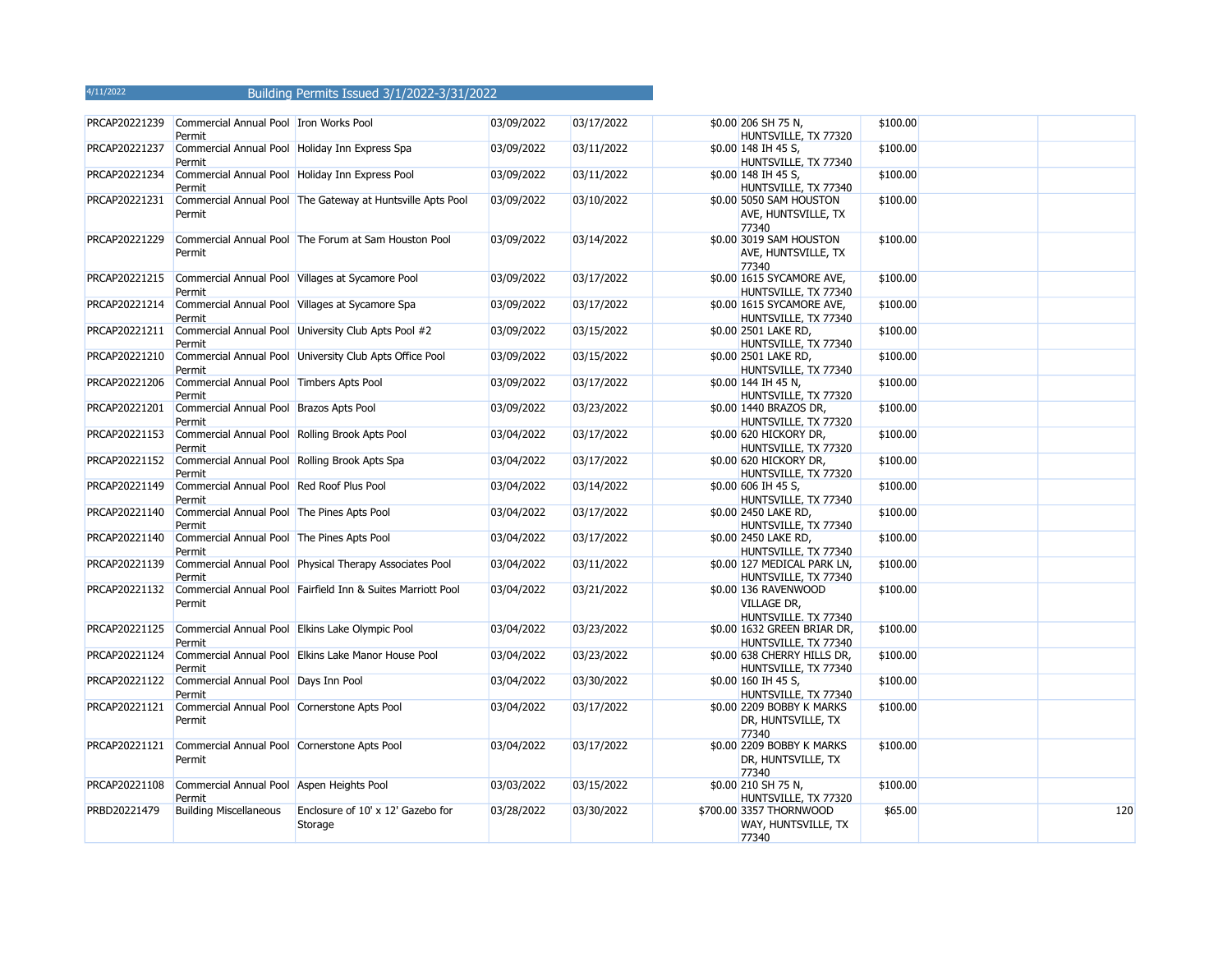| PRCAP20221239 | Commercial Annual Pool Tron Works Pool<br>Permit         |                                                             | 03/09/2022 | 03/17/2022 | \$0.00 206 SH 75 N,<br>HUNTSVILLE, TX 77320                        | \$100.00 |     |
|---------------|----------------------------------------------------------|-------------------------------------------------------------|------------|------------|--------------------------------------------------------------------|----------|-----|
| PRCAP20221237 | Commercial Annual Pool Holiday Inn Express Spa<br>Permit |                                                             | 03/09/2022 | 03/11/2022 | \$0.00 148 IH 45 S,<br>HUNTSVILLE, TX 77340                        | \$100.00 |     |
| PRCAP20221234 | Permit                                                   | Commercial Annual Pool Holiday Inn Express Pool             | 03/09/2022 | 03/11/2022 | \$0.00 148 IH 45 S,<br>HUNTSVILLE, TX 77340                        | \$100.00 |     |
| PRCAP20221231 | Permit                                                   | Commercial Annual Pool The Gateway at Huntsville Apts Pool  | 03/09/2022 | 03/10/2022 | \$0.00 5050 SAM HOUSTON<br>AVE, HUNTSVILLE, TX<br>77340            | \$100.00 |     |
| PRCAP20221229 | Permit                                                   | Commercial Annual Pool The Forum at Sam Houston Pool        | 03/09/2022 | 03/14/2022 | \$0.00 3019 SAM HOUSTON<br>AVE, HUNTSVILLE, TX<br>77340            | \$100.00 |     |
| PRCAP20221215 | Permit                                                   | Commercial Annual Pool Villages at Sycamore Pool            | 03/09/2022 | 03/17/2022 | \$0.00 1615 SYCAMORE AVE,<br>HUNTSVILLE, TX 77340                  | \$100.00 |     |
| PRCAP20221214 | Permit                                                   | Commercial Annual Pool Villages at Sycamore Spa             | 03/09/2022 | 03/17/2022 | \$0.00 1615 SYCAMORE AVE,<br>HUNTSVILLE, TX 77340                  | \$100.00 |     |
| PRCAP20221211 | Permit                                                   | Commercial Annual Pool University Club Apts Pool #2         | 03/09/2022 | 03/15/2022 | \$0.00 2501 LAKE RD,<br>HUNTSVILLE, TX 77340                       | \$100.00 |     |
| PRCAP20221210 | Permit                                                   | Commercial Annual Pool University Club Apts Office Pool     | 03/09/2022 | 03/15/2022 | \$0.00 2501 LAKE RD,<br>HUNTSVILLE, TX 77340                       | \$100.00 |     |
| PRCAP20221206 | Commercial Annual Pool Timbers Apts Pool<br>Permit       |                                                             | 03/09/2022 | 03/17/2022 | \$0.00 144 IH 45 N,<br>HUNTSVILLE, TX 77320                        | \$100.00 |     |
| PRCAP20221201 | Commercial Annual Pool Brazos Apts Pool<br>Permit        |                                                             | 03/09/2022 | 03/23/2022 | \$0.00 1440 BRAZOS DR,<br>HUNTSVILLE, TX 77320                     | \$100.00 |     |
| PRCAP20221153 | Commercial Annual Pool Rolling Brook Apts Pool<br>Permit |                                                             | 03/04/2022 | 03/17/2022 | \$0.00 620 HICKORY DR,<br>HUNTSVILLE, TX 77320                     | \$100.00 |     |
| PRCAP20221152 | Commercial Annual Pool Rolling Brook Apts Spa<br>Permit  |                                                             | 03/04/2022 | 03/17/2022 | \$0.00 620 HICKORY DR,<br>HUNTSVILLE, TX 77320                     | \$100.00 |     |
| PRCAP20221149 | Commercial Annual Pool Red Roof Plus Pool<br>Permit      |                                                             | 03/04/2022 | 03/14/2022 | \$0.00 606 IH 45 S,<br>HUNTSVILLE, TX 77340                        | \$100.00 |     |
| PRCAP20221140 | Commercial Annual Pool The Pines Apts Pool<br>Permit     |                                                             | 03/04/2022 | 03/17/2022 | \$0.00 2450 LAKE RD,<br>HUNTSVILLE, TX 77340                       | \$100.00 |     |
| PRCAP20221140 | Commercial Annual Pool The Pines Apts Pool<br>Permit     |                                                             | 03/04/2022 | 03/17/2022 | \$0.00 2450 LAKE RD,<br>HUNTSVILLE, TX 77340                       | \$100.00 |     |
| PRCAP20221139 | Permit                                                   | Commercial Annual Pool Physical Therapy Associates Pool     | 03/04/2022 | 03/11/2022 | \$0.00 127 MEDICAL PARK LN,<br>HUNTSVILLE, TX 77340                | \$100.00 |     |
| PRCAP20221132 | Permit                                                   | Commercial Annual Pool Fairfield Inn & Suites Marriott Pool | 03/04/2022 | 03/21/2022 | \$0.00 136 RAVENWOOD<br><b>VILLAGE DR,</b><br>HUNTSVILLE, TX 77340 | \$100.00 |     |
| PRCAP20221125 | Permit                                                   | Commercial Annual Pool Elkins Lake Olympic Pool             | 03/04/2022 | 03/23/2022 | \$0.00 1632 GREEN BRIAR DR,<br>HUNTSVILLE, TX 77340                | \$100.00 |     |
| PRCAP20221124 | Permit                                                   | Commercial Annual Pool Elkins Lake Manor House Pool         | 03/04/2022 | 03/23/2022 | \$0.00 638 CHERRY HILLS DR,<br>HUNTSVILLE, TX 77340                | \$100.00 |     |
| PRCAP20221122 | Commercial Annual Pool Days Inn Pool<br>Permit           |                                                             | 03/04/2022 | 03/30/2022 | \$0.00 160 IH 45 S,<br>HUNTSVILLE, TX 77340                        | \$100.00 |     |
| PRCAP20221121 | Commercial Annual Pool Cornerstone Apts Pool<br>Permit   |                                                             | 03/04/2022 | 03/17/2022 | \$0.00 2209 BOBBY K MARKS<br>DR, HUNTSVILLE, TX<br>77340           | \$100.00 |     |
| PRCAP20221121 | Commercial Annual Pool Cornerstone Apts Pool<br>Permit   |                                                             | 03/04/2022 | 03/17/2022 | \$0.00 2209 BOBBY K MARKS<br>DR, HUNTSVILLE, TX<br>77340           | \$100.00 |     |
| PRCAP20221108 | Commercial Annual Pool Aspen Heights Pool<br>Permit      |                                                             | 03/03/2022 | 03/15/2022 | \$0.00 210 SH 75 N,<br>HUNTSVILLE, TX 77320                        | \$100.00 |     |
| PRBD20221479  | <b>Building Miscellaneous</b>                            | Enclosure of 10' x 12' Gazebo for<br>Storage                | 03/28/2022 | 03/30/2022 | \$700.00 3357 THORNWOOD<br>WAY, HUNTSVILLE, TX<br>77340            | \$65.00  | 120 |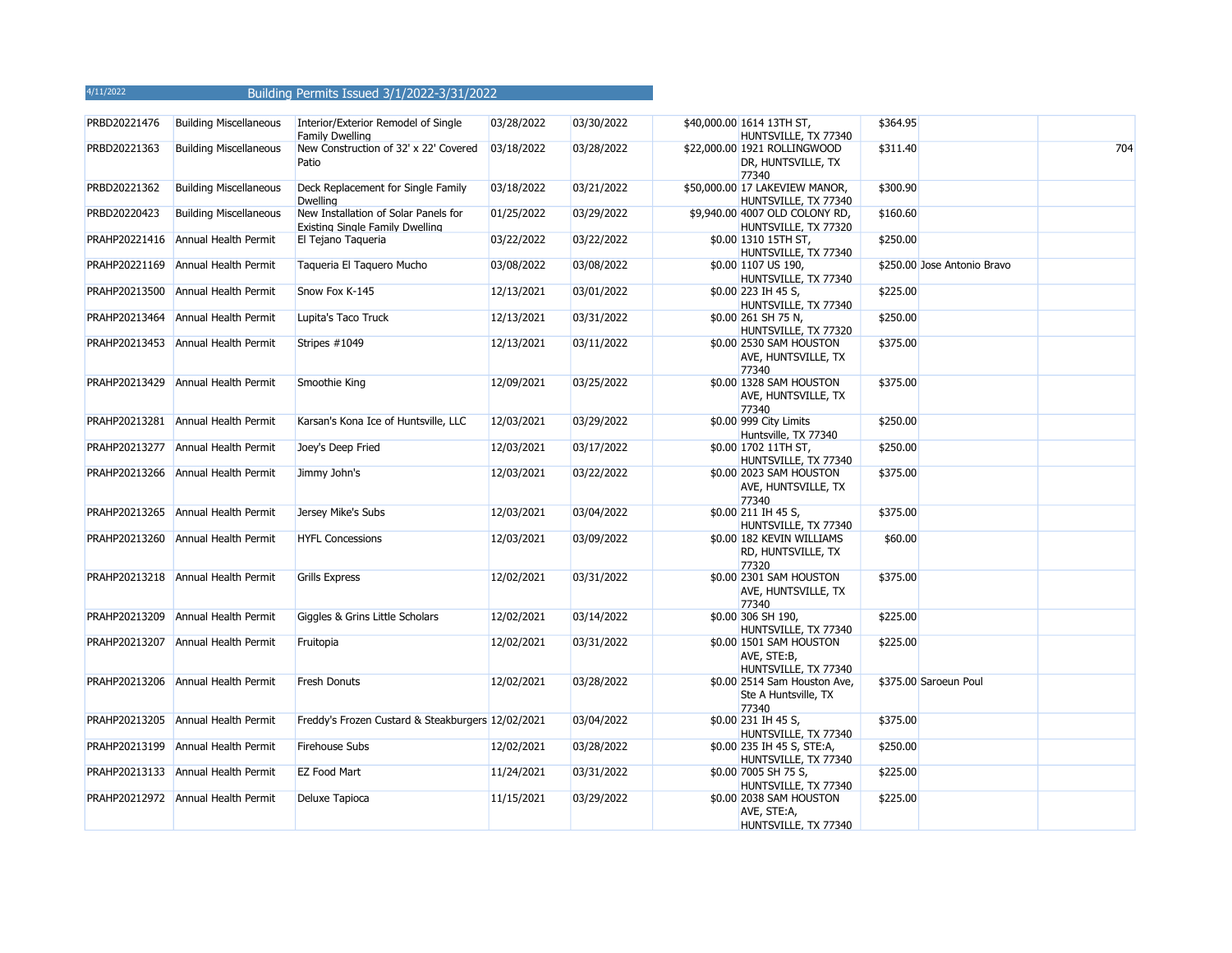| PRBD20221476  | <b>Building Miscellaneous</b>      | Interior/Exterior Remodel of Single<br>Family Dwelling                  | 03/28/2022 | 03/30/2022 | \$40,000.00 1614 13TH ST,<br>HUNTSVILLE, TX 77340              | \$364.95 |                             |     |
|---------------|------------------------------------|-------------------------------------------------------------------------|------------|------------|----------------------------------------------------------------|----------|-----------------------------|-----|
| PRBD20221363  | <b>Building Miscellaneous</b>      | New Construction of 32' x 22' Covered<br>Patio                          | 03/18/2022 | 03/28/2022 | \$22,000.00 1921 ROLLINGWOOD<br>DR, HUNTSVILLE, TX<br>77340    | \$311.40 |                             | 704 |
| PRBD20221362  | <b>Building Miscellaneous</b>      | Deck Replacement for Single Family<br>Dwelling                          | 03/18/2022 | 03/21/2022 | \$50,000.00 17 LAKEVIEW MANOR,<br>HUNTSVILLE, TX 77340         | \$300.90 |                             |     |
| PRBD20220423  | <b>Building Miscellaneous</b>      | New Installation of Solar Panels for<br>Existing Single Family Dwelling | 01/25/2022 | 03/29/2022 | \$9,940.00 4007 OLD COLONY RD,<br>HUNTSVILLE, TX 77320         | \$160.60 |                             |     |
|               | PRAHP20221416 Annual Health Permit | El Tejano Taqueria                                                      | 03/22/2022 | 03/22/2022 | \$0.00 1310 15TH ST,<br>HUNTSVILLE, TX 77340                   | \$250.00 |                             |     |
|               | PRAHP20221169 Annual Health Permit | Taqueria El Taquero Mucho                                               | 03/08/2022 | 03/08/2022 | \$0.00 1107 US 190,<br>HUNTSVILLE, TX 77340                    |          | \$250.00 Jose Antonio Bravo |     |
|               | PRAHP20213500 Annual Health Permit | Snow Fox K-145                                                          | 12/13/2021 | 03/01/2022 | \$0.00 223 IH 45 S,<br>HUNTSVILLE, TX 77340                    | \$225.00 |                             |     |
|               | PRAHP20213464 Annual Health Permit | Lupita's Taco Truck                                                     | 12/13/2021 | 03/31/2022 | \$0.00 261 SH 75 N,<br>HUNTSVILLE, TX 77320                    | \$250.00 |                             |     |
|               | PRAHP20213453 Annual Health Permit | Stripes #1049                                                           | 12/13/2021 | 03/11/2022 | \$0.00 2530 SAM HOUSTON<br>AVE, HUNTSVILLE, TX<br>77340        | \$375.00 |                             |     |
|               | PRAHP20213429 Annual Health Permit | Smoothie King                                                           | 12/09/2021 | 03/25/2022 | \$0.00 1328 SAM HOUSTON<br>AVE, HUNTSVILLE, TX<br>77340        | \$375.00 |                             |     |
|               | PRAHP20213281 Annual Health Permit | Karsan's Kona Ice of Huntsville, LLC                                    | 12/03/2021 | 03/29/2022 | \$0.00 999 City Limits<br>Huntsville, TX 77340                 | \$250.00 |                             |     |
|               | PRAHP20213277 Annual Health Permit | Joey's Deep Fried                                                       | 12/03/2021 | 03/17/2022 | \$0.00 1702 11TH ST,<br>HUNTSVILLE, TX 77340                   | \$250.00 |                             |     |
|               | PRAHP20213266 Annual Health Permit | Jimmy John's                                                            | 12/03/2021 | 03/22/2022 | \$0.00 2023 SAM HOUSTON<br>AVE, HUNTSVILLE, TX<br>77340        | \$375.00 |                             |     |
|               | PRAHP20213265 Annual Health Permit | Jersey Mike's Subs                                                      | 12/03/2021 | 03/04/2022 | \$0.00 211 IH 45 S,<br>HUNTSVILLE, TX 77340                    | \$375.00 |                             |     |
|               | PRAHP20213260 Annual Health Permit | <b>HYFL Concessions</b>                                                 | 12/03/2021 | 03/09/2022 | \$0.00 182 KEVIN WILLIAMS<br>RD, HUNTSVILLE, TX<br>77320       | \$60.00  |                             |     |
|               | PRAHP20213218 Annual Health Permit | <b>Grills Express</b>                                                   | 12/02/2021 | 03/31/2022 | \$0.00 2301 SAM HOUSTON<br>AVE, HUNTSVILLE, TX<br>77340        | \$375.00 |                             |     |
| PRAHP20213209 | Annual Health Permit               | Giggles & Grins Little Scholars                                         | 12/02/2021 | 03/14/2022 | \$0.00 306 SH 190,<br>HUNTSVILLE, TX 77340                     | \$225.00 |                             |     |
|               | PRAHP20213207 Annual Health Permit | Fruitopia                                                               | 12/02/2021 | 03/31/2022 | \$0.00 1501 SAM HOUSTON<br>AVE, STE:B,<br>HUNTSVILLE, TX 77340 | \$225.00 |                             |     |
|               | PRAHP20213206 Annual Health Permit | Fresh Donuts                                                            | 12/02/2021 | 03/28/2022 | \$0.00 2514 Sam Houston Ave,<br>Ste A Huntsville, TX<br>77340  |          | \$375.00 Saroeun Poul       |     |
|               | PRAHP20213205 Annual Health Permit | Freddy's Frozen Custard & Steakburgers 12/02/2021                       |            | 03/04/2022 | \$0.00 231 IH 45 S,<br>HUNTSVILLE, TX 77340                    | \$375.00 |                             |     |
|               | PRAHP20213199 Annual Health Permit | Firehouse Subs                                                          | 12/02/2021 | 03/28/2022 | \$0.00 235 IH 45 S, STE:A,<br>HUNTSVILLE, TX 77340             | \$250.00 |                             |     |
|               | PRAHP20213133 Annual Health Permit | EZ Food Mart                                                            | 11/24/2021 | 03/31/2022 | \$0.00 7005 SH 75 S,<br>HUNTSVILLE, TX 77340                   | \$225.00 |                             |     |
|               | PRAHP20212972 Annual Health Permit | Deluxe Tapioca                                                          | 11/15/2021 | 03/29/2022 | \$0.00 2038 SAM HOUSTON<br>AVE, STE:A,<br>HUNTSVILLE, TX 77340 | \$225.00 |                             |     |